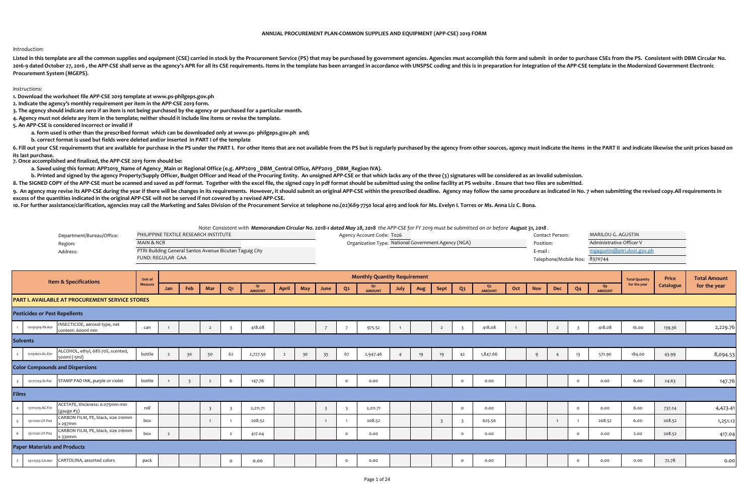## *Introduction:*

Listed in this template are all the common supplies and equipment (CSE) carried in stock by the Procurement Service (PS) that may be purchased by government agencies. Agencies must accomplish this form and submit in order 2016-9 dated October 27, 2016, the APP-CSE shall serve as the agency's APR for all its CSE requirements. Items in the template has been arranged in accordance with UNSPSC coding and this is in preparation for integration o **Procurement System (MGEPS).** 

## *Instructions:*

**1. Download the worksheet file APP-CSE 2019 template at www.ps-philgeps.gov.ph**

**2. Indicate the agency's monthly requirement per item in the APP-CSE 2019 form.**

**3. The agency should indicate zero if an item is not being purchased by the agency or purchased for a particular month.**

**4. Agency must not delete any item in the template; neither should it include line items or revise the template.** 

**5. An APP-CSE is considered incorrect or invalid if**

**a. form used is other than the prescribed format which can be downloaded only at www.ps- philgeps.gov.ph and;**

**b. correct format is used but fields were deleted and/or inserted in PART I of the template** 

6. Fill out your CSE requirements that are available for purchase in the PS under the PART I. For other Items that are not available from the PS but is regularly purchased by the agency from other sources, agency must indi **its last purchase.**

**7. Once accomplished and finalized, the APP-CSE 2019 form should be:**

**a. Saved using this format: APP2019\_Name of Agency\_Main or Regional Office (e.g. APP2019 \_DBM\_Central Office, APP2019 \_DBM\_Region IVA).** 

b. Printed and signed by the agency Property/Supply Officer, Budget Officer and Head of the Procuring Entity. An unsigned APP-CSE or that which lacks any of the three (3) signatures will be considered as an invalid submiss

8. The SIGNED COPY of the APP-CSE must be scanned and saved as pdf format. Together with the excel file, the signed copy in pdf format should be submitted using the online facility at PS website . Ensure that two files are

9. An agency may revise its APP-CSE during the year if there will be changes in its requirements. However, it should submit an original APP-CSE within the prescribed deadline. Agency may follow the same procedure as indica **excess of the quantities indicated in the original APP-CSE will not be served if not covered by a revised APP-CSE.**

10. For further assistance/clarification, agencies may call the Marketing and Sales Division of the Procurement Service at telephone no.(02)689-7750 local 4019 and look for Ms. Evelyn I. Torres or Ms. Anna Liz C. Bona.

*Note: Consistent with Memorandum Circular No. 2018-1 dated May 28, 2018 the APP-CSE for FY 2019 must be submitted on or before August 31, 2018 .*

| Department/Bureau/Office: | PHILIPPINE TEXTILE RESEARCH INSTITUTE                   | Agency Account Code: To26                           | Contact Person:               | MARILOU G. AGUSTIN         |
|---------------------------|---------------------------------------------------------|-----------------------------------------------------|-------------------------------|----------------------------|
| Region:                   | <b>MAIN &amp; NCR</b>                                   | Organization Type: National Government Agency (NGA) | Position:                     | Administrative Officer V   |
| Address:                  | PTRI Building General Santos Avenue Bicutan Taguig City |                                                     | E-mail :                      | mgagustin@ptri.dost.gov.ph |
|                           | FUND: REGULAR GAA                                       |                                                     | Telephone/Mobile Nos: 8370744 |                            |

|                          |                                      | <b>Item &amp; Specifications</b>                     | Unit of |                |     |     |                |                        |                |     |      |          | <b>Monthly Quantity Requirement</b> |                |     |                |                |                        |     |            |     |                |                                 | <b>Total Quantity</b> | Price     | <b>Total Amount</b> |
|--------------------------|--------------------------------------|------------------------------------------------------|---------|----------------|-----|-----|----------------|------------------------|----------------|-----|------|----------|-------------------------------------|----------------|-----|----------------|----------------|------------------------|-----|------------|-----|----------------|---------------------------------|-----------------------|-----------|---------------------|
|                          |                                      |                                                      | Measure | Jan            | Feb | Mar | Q <sub>1</sub> | $Q_1$<br><b>AMOUNT</b> | <b>April</b>   | May | June | Q2       | Q <sub>2</sub><br><b>AMOUNT</b>     | July           | Aug | Sept           | Q <sub>3</sub> | $Q_3$<br><b>AMOUNT</b> | Oct | <b>Nov</b> | Dec | Q <sub>4</sub> | Q <sub>4</sub><br><b>AMOUNT</b> | for the year          | Catalogue | for the year        |
|                          |                                      | PART I. AVAILABLE AT PROCUREMENT SERVICE STORES      |         |                |     |     |                |                        |                |     |      |          |                                     |                |     |                |                |                        |     |            |     |                |                                 |                       |           |                     |
|                          | <b>Pesticides or Pest Repellents</b> |                                                      |         |                |     |     |                |                        |                |     |      |          |                                     |                |     |                |                |                        |     |            |     |                |                                 |                       |           |                     |
| $\overline{1}$           | 10191509-IN-A01                      | INSECTICIDE, aerosol type, net<br>content: 600ml min | can     |                |     |     |                | 418.08                 |                |     |      |          | 975.52                              | $\overline{1}$ |     | $\overline{2}$ |                | 418.08                 |     |            |     |                | 418.08                          | 16.00                 | 139.36    | 2,229.76            |
|                          | <b>Solvents</b>                      |                                                      |         |                |     |     |                |                        |                |     |      |          |                                     |                |     |                |                |                        |     |            |     |                |                                 |                       |           |                     |
| $\overline{2}$           | 12191601-AL-E01                      | ALCOHOL, ethyl, 68%-70%, scented,<br>500ml (-5ml)    | bottle  | $\overline{2}$ | 30  | 30  | 62             | 2,727.50               | $\overline{2}$ | 30  | 35   | 67       | 2,947.46                            |                | 19  | 19             | 42             | 1,847.66               |     | 9          |     | 13             | 571.90                          | 184.00                | 43.99     | 8,094.53            |
|                          |                                      | <b>Color Compounds and Dispersions</b>               |         |                |     |     |                |                        |                |     |      |          |                                     |                |     |                |                |                        |     |            |     |                |                                 |                       |           |                     |
| $\overline{3}$           | 12171703-SI-P01                      | STAMP PAD INK, purple or violet                      | bottle  |                |     |     |                | 147.76                 |                |     |      | $\Omega$ | 0.00                                |                |     |                | $\circ$        | 0.00                   |     |            |     |                | 0.00                            | 6.00                  | 24.63     | 147.76              |
| Films                    |                                      |                                                      |         |                |     |     |                |                        |                |     |      |          |                                     |                |     |                |                |                        |     |            |     |                |                                 |                       |           |                     |
| $\overline{A}$           | 13111203-AC-F01                      | ACETATE, thickness: 0.075mm min<br>$(gauge\#3)$      | roll    |                |     |     |                | 2,211.71               |                |     |      |          | 2,211.71                            |                |     |                | $\Omega$       | 0.00                   |     |            |     | $\Omega$       | 0.00                            | 6.00                  | 737.24    | 4,423.41            |
| $\overline{\phantom{0}}$ | 13111201-CF-P02                      | CARBON FILM, PE, black, size 210mm<br>x 297mm        | box     |                |     |     |                | 208.52                 |                |     |      |          | 208.52                              |                |     |                |                | 625.56                 |     |            |     |                | 208.52                          | 6.00                  | 208.52    | 1,251.12            |
|                          | 13111201-CF-P02                      | CARBON FILM, PE, black, size 216mm<br>x 330mm        | box     | $\overline{2}$ |     |     |                | 417.04                 |                |     |      | $\Omega$ | 0.00                                |                |     |                | $\Omega$       | 0.00                   |     |            |     | $\Omega$       | 0.00                            | 2.00                  | 208.52    | 417.04              |
|                          | <b>Paper Materials and Products</b>  |                                                      |         |                |     |     |                |                        |                |     |      |          |                                     |                |     |                |                |                        |     |            |     |                |                                 |                       |           |                     |
| $\overline{7}$           |                                      | 14111525-CA-A01 CARTOLINA, assorted colors           | pack    |                |     |     | $\Omega$       | 0.00                   |                |     |      | $\circ$  | 0.00                                |                |     |                | $\circ$        | 0.00                   |     |            |     | $\circ$        | 0.00                            | 0.00                  | 72.78     | 0.00                |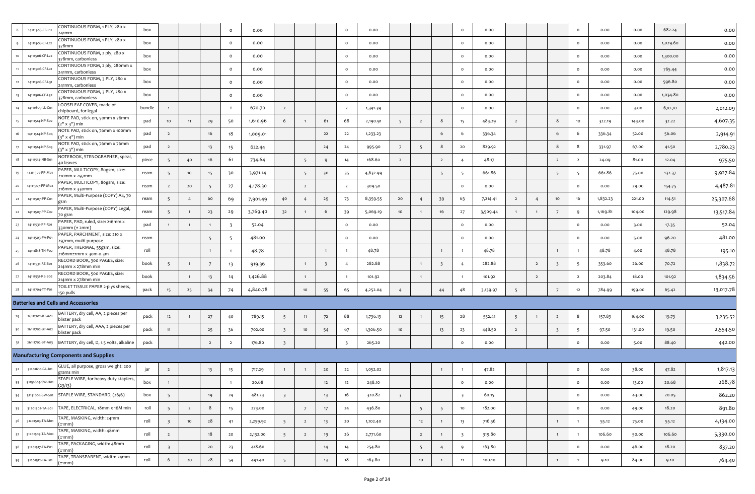| $8\phantom{.0}$ | 14111506-CF-L11 | CONTINUOUS FORM, 1 PLY, 280 x<br>241mm               | box    |                         |                |                 | $\circ$                 | 0.00     |                         |                 |                         | $\mathsf{o}$            | 0.00     |                         |                 |                         | $\circ$                 | 0.00     |                |                |                         | $\circ$         | 0.00     | 0.00   | 682.24   | 0.00      |
|-----------------|-----------------|------------------------------------------------------|--------|-------------------------|----------------|-----------------|-------------------------|----------|-------------------------|-----------------|-------------------------|-------------------------|----------|-------------------------|-----------------|-------------------------|-------------------------|----------|----------------|----------------|-------------------------|-----------------|----------|--------|----------|-----------|
|                 | 14111506-CF-L12 | CONTINUOUS FORM, 1 PLY, 280 x<br>378mm               | box    |                         |                |                 | $\circ$                 | 0.00     |                         |                 |                         | $\overline{\mathbf{0}}$ | 0.00     |                         |                 |                         | $\circ$                 | 0.00     |                |                |                         | $\circ$         | 0.00     | 0.00   | 1,029.60 | 0.00      |
|                 | 14111506-CF-L22 | CONTINUOUS FORM, 2 ply, 280 x<br>78mm, carbonless    | box    |                         |                |                 | $\circ$                 | 0.00     |                         |                 |                         | $\circ$                 | 0.00     |                         |                 |                         | $\mathsf{o}$            | 0.00     |                |                |                         | $\circ$         | 0.00     | 0.00   | 1,300.00 | 0.00      |
|                 | 14111506-CF-L21 | CONTINUOUS FORM, 2 ply, 280mm x<br>241mm, carbonless | box    |                         |                |                 | $\circ$                 | 0.00     |                         |                 |                         | $\circ$                 | 0.00     |                         |                 |                         | $\circ$                 | 0.00     |                |                |                         | $\circ$         | 0.00     | 0.00   | 765.44   | 0.00      |
| 12              | 1411506-CF-L31  | CONTINUOUS FORM, 3 PLY, 280 x<br>41mm, carbonless    | box    |                         |                |                 | $\circ$                 | 0.00     |                         |                 |                         | $\circ$                 | 0.00     |                         |                 |                         | $\circ$                 | 0.00     |                |                |                         | $\circ$         | 0.00     | 0.00   | 596.80   | 0.00      |
| 13              | 14111506-CF-L32 | CONTINUOUS FORM, 3 PLY, 280 x<br>378mm, carbonless   | box    |                         |                |                 | $\circ$                 | 0.00     |                         |                 |                         | $\circ$                 | 0.00     |                         |                 |                         | $\circ$                 | 0.00     |                |                |                         | $\circ$         | 0.00     | 0.00   | 1,034.80 | 0.00      |
|                 | 14111609-LL-C01 | LOOSELEAF COVER, made of<br>chipboard, for legal     | bundle |                         |                |                 |                         | 670.70   | $\overline{2}$          |                 |                         | $\overline{2}$          | 1,341.39 |                         |                 |                         | $\circ$                 | 0.00     |                |                |                         | $\circ$         | 0.00     | 3.00   | 670.70   | 2,012.09  |
| 15              | 14111514-NP-So2 | NOTE PAD, stick on, 50mm x 76mm<br>(2" x 3") min     | pad    | 10                      | 11             | 29              | 50                      | 1,610.96 | 6                       |                 | 61                      | 68                      | 2,190.91 | 5                       | $\overline{2}$  | 8                       | 15                      | 483.29   | $\overline{2}$ |                | 8                       | 10              | 322.19   | 143.00 | 32.22    | 4,607.35  |
| 16              | 14111514-NP-S04 | NOTE PAD, stick on, 76mm x 100mm<br>3" x 4") min     | pad    | $\overline{2}$          |                | 16              | 18                      | 1,009.01 |                         |                 | 22                      | 22                      | 1,233.23 |                         |                 | 6                       | 6                       | 336.34   |                |                | 6                       | 6               | 336.34   | 52.00  | 56.06    | 2,914.9   |
| 17              | 14111514-NP-S03 | NOTE PAD, stick on, 76mm x 76mm<br>3" x 3") min      | pad    | $\overline{2}$          |                | 13              | 15                      | 622.44   |                         |                 | 24                      | 24                      | 995.90   | $\overline{7}$          | 5               | 8                       | 20                      | 829.92   |                |                | 8                       | 8               | 331.97   | 67.00  | 41.50    | 2,780.23  |
| 18              | 14111514-NB-S01 | NOTEBOOK, STENOGRAPHER, spiral,<br>40 leaves         | piece  | 5                       | 40             | 16              | 61                      | 734.64   |                         | 5               | 9                       | 14                      | 168.60   | $\overline{2}$          |                 | $\overline{2}$          | $\overline{4}$          | 48.17    |                |                | $\overline{2}$          | $\overline{2}$  | 24.09    | 81.00  | 12.04    | 975.50    |
| 19              | 14111507-PP-M01 | PAPER, MULTICOPY, 8ogsm, size:<br>10mm x 297mm       | ream   | 5                       | 10             | 15              | 30                      | 3,971.14 |                         | 5               | 30                      | 35                      | 4,632.99 |                         |                 | 5                       | - 5                     | 661.86   |                |                | 5                       | 5               | 661.86   | 75.00  | 132.37   | 9,927.84  |
| 20              | 14111507-PP-M02 | PAPER, MULTICOPY, 80gsm, size:<br>216mm x 330mm      | ream   | $\overline{2}$          | 20             | $5\overline{5}$ | 27                      | 4,178.30 |                         | $\overline{2}$  |                         | $\overline{2}$          | 309.50   |                         |                 |                         | $\circ$                 | 0.00     |                |                |                         | $\circ$         | 0.00     | 29.00  | 154.75   | 4,487.8   |
|                 | 14111507-PP-C01 | PAPER, Multi-Purpose (COPY) A4, 70<br>プSM            | ream   | 5 <sup>5</sup>          | $\overline{4}$ | 60              | 69                      | 7,901.49 | 40                      | $\overline{4}$  | 29                      | 73                      | 8,359.55 | 20                      | $\overline{4}$  | 39                      | 63                      | 7,214.41 | $\overline{2}$ | 4              | 10                      | 16              | 1,832.23 | 221.00 | 114.51   | 25,307.68 |
| $22 -$          | 14111507-PP-C02 | PAPER, Multi-Purpose (COPY) Legal,<br>70 gsm         | ream   | 5                       | $\mathbf{1}$   | 23              | 29                      | 3,769.40 | 32                      |                 | 6                       | 39                      | 5,069.19 | 10 <sub>1</sub>         |                 | 16                      | 27                      | 3,509.44 | $\mathbf{1}$   |                | $\overline{7}$          | 9               | 1,169.81 | 104.00 | 129.98   | 13,517.84 |
| 23              | 14111531-PP-R01 | PAPER, PAD, ruled, size: 216mm x<br>30mm (± 2mm)     | pad    |                         | $\mathbf{1}$   | $\overline{1}$  | $\overline{\mathbf{3}}$ | 52.04    |                         |                 |                         | $\mathsf{o}$            | 0.00     |                         |                 |                         | $\circ$                 | 0.00     |                |                |                         | $\circ$         | 0.00     | 3.00   | 17.35    | 52.04     |
| 24              | 14111503-PA-P01 | PAPER, PARCHMENT, size: 210 x<br>97mm, multi-purpose | ream   |                         |                | 5               | -5                      | 481.00   |                         |                 |                         | $\circ$                 | 0.00     |                         |                 |                         | $\circ$                 | 0.00     |                |                |                         | $\circ$         | 0.00     | 5.00   | 96.20    | 481.00    |
| 25              | 14111818-TH-P02 | PAPER, THERMAL, 55gsm, size:<br>216mm±1mm x 30m-0.3m | roll   |                         |                | $\overline{1}$  |                         | 48.78    |                         |                 | $\overline{1}$          | $\overline{1}$          | 48.78    |                         |                 | $\mathbf{1}$            | $\overline{1}$          | 48.78    |                |                | $\mathbf{1}$            | $\overline{1}$  | 48.78    | 4.00   | 48.78    | 195.10    |
| 26              | 14111531-RE-B01 | RECORD BOOK, 300 PAGES, size:<br>214mm x 278mm min   | book   | 5                       | $\mathbf{1}$   | 7               | 13                      | 919.36   |                         | $\mathbf{1}$    | $\overline{\mathbf{3}}$ | $\overline{4}$          | 282.88   |                         | $\overline{1}$  | $\overline{\mathbf{3}}$ | $\overline{4}$          | 282.88   |                | $\overline{2}$ | $\overline{\mathbf{3}}$ | 5               | 353.60   | 26.00  | 70.72    | 1,838.72  |
| $27 -$          | 14111531-RE-B02 | RECORD BOOK, 500 PAGES, size:<br>214mm x 278mm min   | book   |                         | $\overline{1}$ | 13              | 14                      | 1,426.88 |                         | $\mathbf{1}$    |                         | $\overline{1}$          | 101.92   |                         | $\overline{1}$  |                         | $\overline{1}$          | 101.92   |                | $\overline{2}$ |                         | $\overline{2}$  | 203.84   | 18.00  | 101.92   | 1,834.56  |
| 28              | 14111704-TT-P01 | TOILET TISSUE PAPER 2-plys sheets,<br>150 pulls      | pack   | 15                      | 25             | 34              | 74                      | 4,840.78 |                         | 10              | 55                      | 65                      | 4,252.04 | $\overline{4}$          |                 | 44                      | 48                      | 3,139.97 | 5              |                | $\overline{7}$          | 12              | 784.99   | 199.00 | 65.42    | 13,017.78 |
|                 |                 | <b>Batteries and Cells and Accessories</b>           |        |                         |                |                 |                         |          |                         |                 |                         |                         |          |                         |                 |                         |                         |          |                |                |                         |                 |          |        |          |           |
| 29              | 26111702-BT-A01 | BATTERY, dry cell, AA, 2 pieces per<br>blister pack  | pack   | 12                      | $\mathbf{1}$   | 27              | 40                      | 789.15   | 5                       | 11              | 72                      | 88                      | 1,736.13 | 12                      |                 | 15                      | 28                      | 552.41   | 5              |                | $\overline{2}$          | - 8             | 157.83   | 164.00 | 19.73    | 3,235.52  |
| 30              | 26111702-BT-A02 | BATTERY, dry cell, AAA, 2 pieces per<br>plister pack | pack   | 11                      |                | 25              | 36                      | 702.00   | $\overline{\mathbf{3}}$ | 10              | 54                      | 67                      | 1,306.50 | 10 <sub>10</sub>        |                 | 13                      | 23                      | 448.50   | $\overline{2}$ |                | $\overline{\mathbf{3}}$ | $5\overline{)}$ | 97.50    | 131.00 | 19.50    | 2,554.50  |
| 31              | 26111702-BT-A03 | BATTERY, dry cell, D, 1.5 volts, alkaline            | pack   |                         |                | $\overline{2}$  | $\overline{2}$          | 176.80   | $\overline{\mathbf{3}}$ |                 |                         | $\overline{\mathbf{3}}$ | 265.20   |                         |                 |                         | $\circ$                 | 0.00     |                |                |                         | $\circ$         | 0.00     | 5.00   | 88.40    | 442.00    |
|                 |                 | <b>Manufacturing Components and Supplies</b>         |        |                         |                |                 |                         |          |                         |                 |                         |                         |          |                         |                 |                         |                         |          |                |                |                         |                 |          |        |          |           |
| 32              | 31201610-GL-J01 | GLUE, all purpose, gross weight: 200<br>grams min    | jar    | $\overline{2}$          |                | 13              | 15                      | 717.29   |                         |                 | 20                      | 22                      | 1,052.02 |                         |                 | $\overline{1}$          | $\overline{1}$          | 47.82    |                |                |                         | $\circ$         | 0.00     | 38.00  | 47.82    | 1,817.13  |
| 33              | 31151804-SW-H01 | STAPLE WIRE, for heavy duty staplers,<br>(23/13)     | box    |                         |                |                 |                         | 20.68    |                         |                 | 12                      | 12                      | 248.10   |                         |                 |                         | $\mathsf{o}$            | 0.00     |                |                |                         | $\circ$         | 0.00     | 13.00  | 20.68    | 268.78    |
| 34              | 31151804-SW-S01 | STAPLE WIRE, STANDARD, (26/6)                        | box    | 5 <sup>5</sup>          |                | 19              | 24                      | 481.23   | $\overline{\mathbf{3}}$ |                 | 13                      | 16                      | 320.82   | $\overline{\mathbf{3}}$ |                 |                         | $\overline{\mathbf{3}}$ | 60.15    |                |                |                         | $\circ$         | 0.00     | 43.00  | 20.05    | 862.20    |
| 35              | 31201502-TA-E01 | TAPE, ELECTRICAL, 18mm x 16M min                     | roll   | 5 <sup>5</sup>          | $\overline{2}$ | 8               | 15                      | 273.00   |                         | $7\overline{ }$ | 17                      | 24                      | 436.80   |                         | $5\overline{ }$ | 5 <sup>5</sup>          | 10                      | 182.00   |                |                |                         | $\circ$         | 0.00     | 49.00  | 18.20    | 891.80    |
| 36              | 31201503-TA-M01 | TAPE, MASKING, width: 24mm<br>$\pm$ 1mm)             | roll   | $\overline{\mathbf{3}}$ | 10             | 28              | 41                      | 2,259.92 | 5 <sup>5</sup>          | $\overline{2}$  | 13                      | 20                      | 1,102.40 |                         | 12              | $\overline{1}$          | 13                      | 716.56   |                |                | $\overline{1}$          | $\overline{1}$  | 55.12    | 75.00  | 55.12    | 4,134.00  |
| 37              | 31201503-TA-M02 | TAPE, MASKING, width: 48mm<br>±1mm)                  | roll   | $\overline{2}$          |                | 18              | 20                      | 2,132.00 | 5 <sup>5</sup>          | $\overline{2}$  | 19                      | 26                      | 2,771.60 |                         | $\overline{2}$  | $\overline{1}$          | $\overline{\mathbf{3}}$ | 319.80   |                |                | $\mathbf{1}$            | $\overline{1}$  | 106.60   | 50.00  | 106.60   | 5,330.00  |
| 38              | 31201517-TA-P01 | TAPE, PACKAGING, width: 48mm<br>(±1mm                | roll   | $\overline{\mathbf{3}}$ |                | 20              | 23                      | 418.60   |                         |                 | 14                      | 14                      | 254.80   |                         | $5\overline{)}$ | $\overline{4}$          | 9                       | 163.80   |                |                |                         | $\circ$         | 0.00     | 46.00  | 18.20    | 837.20    |
| 39              | 31201512-TA-T01 | TAPE, TRANSPARENT, width: 24mm<br>$(\pm 1mm)$        | roll   | 6                       | 20             | $28\,$          | 54                      | 491.40   | 5 <sup>5</sup>          |                 | 13                      | 18                      | 163.80   |                         | 10              | $\overline{1}$          | 11                      | 100.10   |                |                | $\mathbf{1}$            | $\overline{1}$  | 9.10     | 84.00  | 9.10     | 764.40    |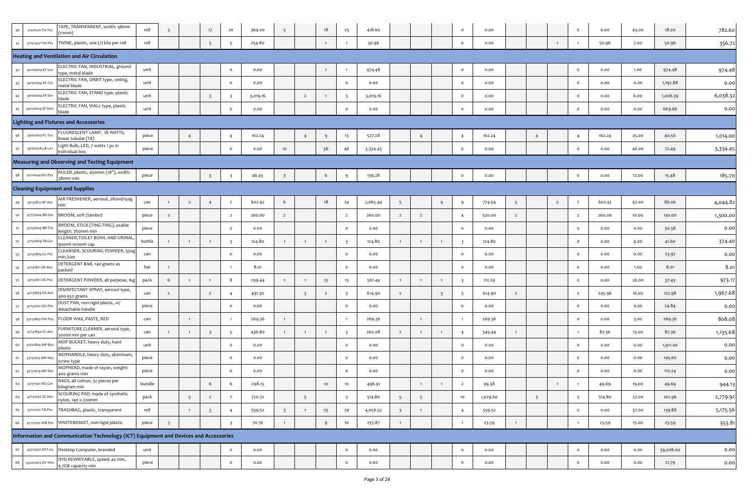| 40 | TAPE, TRANSPARENT, width: 48mm<br>31201512-TA-T02<br>(±1mm)                          | roll   | $\overline{\mathbf{3}}$ |                | 17                      | 20                      | 364.00   | 5                       |                         | 18             | 23                      | 418.60   |                         |                |                         | $\circ$                  | 0.00     |                |                |                | $\circ$         | 0.00   | 43.00 | 18.20     | 782.60   |
|----|--------------------------------------------------------------------------------------|--------|-------------------------|----------------|-------------------------|-------------------------|----------|-------------------------|-------------------------|----------------|-------------------------|----------|-------------------------|----------------|-------------------------|--------------------------|----------|----------------|----------------|----------------|-----------------|--------|-------|-----------|----------|
| 41 | TWINE, plastic, one (1) kilo per roll<br>31151507-TW-P01                             | roll   |                         |                | 5                       | -5                      | 254.80   |                         |                         | $\overline{1}$ |                         | 50.96    |                         |                |                         | $\mathsf{o}$             | 0.00     |                |                | $\overline{1}$ |                 | 50.96  | 7.00  | 50.96     | 356.72   |
|    | <b>Heating and Ventilation and Air Circulation</b>                                   |        |                         |                |                         |                         |          |                         |                         |                |                         |          |                         |                |                         |                          |          |                |                |                |                 |        |       |           |          |
| 42 | ELECTRIC FAN, INDUSTRIAL, ground<br>40101604-EF-G01<br>ype, metal blade              | unit   |                         |                |                         | $\circ$                 | 0.00     |                         |                         | $\overline{1}$ |                         | 974.48   |                         |                |                         | $\circ$                  | 0.00     |                |                |                | $\circ$         | 0.00   | 1.00  | 974.48    | 974.48   |
| 43 | ELECTRIC FAN, ORBIT type, ceiling,<br>40101604-EF-C01<br>metal blade                 | unit   |                         |                |                         | $\Omega$                | 0.00     |                         |                         |                | $\circ$                 | 0.00     |                         |                |                         | $\circ$                  | 0.00     |                |                |                | $\circ$         | 0.00   | 0.00  | 1,192.88  | 0.00     |
| 44 | ELECTRIC FAN, STAND type, plastic<br>40101604-EF-S01<br>plade                        | unit   |                         |                | $\overline{\mathbf{3}}$ | $\overline{\mathbf{3}}$ | 3,019.16 |                         | $\overline{2}$          | $\overline{1}$ | $\overline{\mathbf{3}}$ | 3,019.16 |                         |                |                         | $\circ$                  | 0.00     |                |                |                | $\circ$         | 0.00   | 6.00  | 1,006.39  | 6,038.32 |
| 45 | ELECTRIC FAN, WALL type, plastic<br>40101604-EF-W01<br>blade                         | unit   |                         |                |                         | $\circ$                 | 0.00     |                         |                         |                | $\circ$                 | 0.00     |                         |                |                         | $\mathsf{o}$             | 0.00     |                |                |                | $\circ$         | 0.00   | 0.00  | 669.66    | 0.00     |
|    | <b>Lighting and Fixtures and Accessories</b>                                         |        |                         |                |                         |                         |          |                         |                         |                |                         |          |                         |                |                         |                          |          |                |                |                |                 |        |       |           |          |
| 46 | LUORESCENT LAMP, 18 WATTS,<br>39101605-FL-T01<br>inear tubular (T8)                  | piece  |                         | $\overline{4}$ |                         | $\overline{4}$          | 162.24   |                         | $\overline{4}$          | -9             | 13                      | 527.28   |                         | $\overline{4}$ |                         | $\overline{4}$           | 162.24   |                | $\overline{4}$ |                | $\overline{4}$  | 162.24 | 25.00 | 40.56     | 1,014.00 |
| 47 | Ligth Bulb, LED, 7 watts 1 pc in<br>39101628-LB-L01<br>individual box                | piece  |                         |                |                         | $\circ$                 | 0.00     | 10 <sub>1</sub>         |                         | 36             | 46                      | 3,334.45 |                         |                |                         | $\mathsf{o}$             | 0.00     |                |                |                | $\circ$         | 0.00   | 46.00 | 72.49     | 3,334.45 |
|    | <b>Measuring and Observing and Testing Equipment</b>                                 |        |                         |                |                         |                         |          |                         |                         |                |                         |          |                         |                |                         |                          |          |                |                |                |                 |        |       |           |          |
| 48 | RULER, plastic, 450mm (18"), width:<br>41111604-RU-P02<br>38mm min                   | piece  |                         |                | $\overline{\mathbf{3}}$ | $\overline{\mathbf{3}}$ | 46.43    | $\overline{\mathbf{3}}$ |                         | 6              | 9                       | 139.28   |                         |                |                         | $\mathsf{o}$             | 0.00     |                |                |                | $\circ$         | 0.00   | 12.00 | 15.48     | 185.70   |
|    | <b>Cleaning Equipment and Supplies</b>                                               |        |                         |                |                         |                         |          |                         |                         |                |                         |          |                         |                |                         |                          |          |                |                |                |                 |        |       |           |          |
| 49 | AIR FRESHENER, aerosol, 28oml/150g<br>47131812-AF-A01<br>min                         | can    | $\overline{1}$          | $\overline{2}$ | $\overline{4}$          | 7                       | 602.42   | 6                       |                         | 18             | 24                      | 2,065.44 | 5 <sup>5</sup>          |                | $\overline{4}$          | 9                        | 774.54   | 5 <sup>5</sup> |                | $\overline{2}$ | 7               | 602.42 | 47.00 | 86.06     | 4,044.82 |
| 50 | 47131604-BR-S01<br>BROOM, soft (tambo)                                               | piece  | $\overline{2}$          |                |                         | $\overline{2}$          | 260.00   | $\overline{2}$          |                         |                | $\overline{2}$          | 260.00   | $\overline{2}$          | $\overline{2}$ |                         | $\overline{4}$           | 520.00   | $\overline{2}$ |                |                | $\overline{2}$  | 260.00 | 10.00 | 130.00    | 1,300.00 |
| 51 | BROOM, STICK (TING-TING), usable<br>47131604-BR-T01<br>length: 760mm min             | piece  |                         |                |                         | $\Omega$                | 0.00     |                         |                         |                | $\circ$                 | 0.00     |                         |                |                         | $\circ$                  | 0.00     |                |                |                | $\circ$         | 0.00   | 0.00  | 30.58     | 0.00     |
| 52 | CLEANER,TOILET BOWL AND URINAL<br>47131829-TB-C01<br>900ml-1000ml cap                | bottle | $\mathbf{1}$            | $\overline{1}$ | $\overline{1}$          | $\overline{\mathbf{3}}$ | 124.80   | 1                       | $\overline{1}$          | $\overline{1}$ | $\overline{\mathbf{3}}$ | 124.80   | $\overline{1}$          | $\overline{1}$ | $\overline{1}$          | $\overline{\phantom{a}}$ | 124.80   |                |                |                | $\circ$         | 0.00   | 9.00  | 41.60     | 374.40   |
| 53 | CLEANSER, SCOURING POWDER, 350g<br>47131805-CL-P01<br>nin./can                       | can    |                         |                |                         | $\circ$                 | 0.00     |                         |                         |                | $\circ$                 | 0.00     |                         |                |                         | $\circ$                  | 0.00     |                |                |                | $\circ$         | 0.00   | 0.00  | 23.92     | 0.00     |
| 54 | DETERGENT BAR, 140 grams as<br>47131811-DE-B02<br>packed                             | bar    | $\overline{1}$          |                |                         |                         | 8.01     |                         |                         |                | $\circ$                 | 0.00     |                         |                |                         | $\circ$                  | 0.00     |                |                |                | $\circ$         | 0.00   | 1.00  | 8.01      | 8.01     |
| 55 | DETERGENT POWDER, all purpose, 1kg<br>47131811-DE-Po2                                | pack   | 6                       | $\overline{1}$ | $\overline{1}$          | 8                       | 299.44   | 1                       | $\overline{1}$          | 13             | 15                      | 561.44   | $\mathbf{1}$            | $\overline{1}$ | $\overline{1}$          | $\overline{\phantom{a}}$ | 112.29   |                |                |                | $\circ$         | 0.00   | 26.00 | 37.43     | 973.17   |
| 56 | DISINFECTANT SPRAY, aerosol type,<br>47131803-DS-A01<br>400-550 grams                | can    | $\overline{2}$          |                | $\overline{2}$          |                         | 491.92   |                         | $\overline{\mathbf{3}}$ | $\overline{2}$ | -5                      | 614.90   | $\overline{2}$          |                | $\overline{\mathbf{3}}$ | -5                       | 614.90   | $\overline{2}$ |                |                | $\overline{2}$  | 245.96 | 16.00 | 122.98    | 1,967.68 |
| 57 | DUST PAN, non-rigid plastic, w/<br>47131601-DU-P01<br>detachable handle              | piece  |                         |                |                         | $\circ$                 | 0.00     |                         |                         |                | $\circ$                 | 0.00     |                         |                |                         | $\circ$                  | 0.00     |                |                |                | $\circ$         | 0.00   | 0.00  | 24.84     | 0.00     |
| 58 | FLOOR WAX, PASTE, RED<br>47131802-FW-P02                                             | can    |                         | $\overline{1}$ |                         |                         | 269.36   | 1                       |                         |                |                         | 269.36   |                         | $\mathbf{1}$   |                         |                          | 269.36   |                |                |                | $\circ$         | 0.00   | 3.00  | 269.36    | 808.08   |
| 59 | FURNITURE CLEANER, aerosol type,<br>47131830-FC-A01<br>300ml min per can             | can    | $\overline{1}$          | $\overline{1}$ | $\overline{\mathbf{3}}$ | -5                      | 436.80   | 1                       | $\mathbf{1}$            | $\overline{1}$ | $\overline{\mathbf{3}}$ | 262.08   | $\overline{2}$          | $\overline{1}$ | $\overline{1}$          | $\overline{4}$           | 349.44   | $\mathbf{1}$   |                |                | $\overline{1}$  | 87.36  | 13.00 | 87.36     | 1,135.68 |
| 60 | MOP BUCKET, heavy duty, hard<br>47121804-MP-Bo<br>olastic                            | unit   |                         |                |                         | $\circ$                 | 0.00     |                         |                         |                | $\circ$                 | 0.00     |                         |                |                         | $\mathsf{o}$             | 0.00     |                |                |                | $\circ$         | 0.00   | 0.00  | 1,911.00  | 0.00     |
| 61 | MOPHANDLE, heavy duty, aluminum,<br>47131613-MP-H02<br>screw type                    | piece  |                         |                |                         | $\circ$                 | 0.00     |                         |                         |                | $\circ$                 | 0.00     |                         |                |                         | $\circ$                  | 0.00     |                |                |                | $\circ$         | 0.00   | 0.00  | 145.60    | 0.00     |
| 62 | MOPHEAD, made of rayon, weight:<br>47131619-MP-R01<br>400 grams min                  | piece  |                         |                |                         | $\circ$                 | 0.00     |                         |                         |                | $\circ$                 | 0.00     |                         |                |                         | $\circ$                  | 0.00     |                |                |                | $\circ$         | 0.00   | 0.00  | 110.24    | 0.00     |
| 63 | RAGS, all cotton, 32 pieces per<br>47131501-RG-C01<br>kilogram min                   | bundle |                         |                | -6                      |                         | 298.15   |                         |                         | 10             | 10                      | 496.91   |                         | $\overline{1}$ |                         | $\overline{2}$           | 99.38    |                |                |                |                 | 49.69  | 19.00 | 49.69     | 944.13   |
| 64 | SCOURING PAD, made of synthetic<br>47131602-SC-N01<br>nylon, 140 x 220mm             | pack   |                         | 5              | $\overline{2}$          |                         | 720.72   |                         | 5 <sup>5</sup>          |                | 5                       | 514.80   | 5 <sup>5</sup>          | 5 <sup>5</sup> |                         | 10                       | 1,029.60 |                | 5 <sup>5</sup> |                | $5\overline{5}$ | 514.80 | 27.00 | 102.96    | 2,779.92 |
| 65 | TRASHBAG, plastic, transparent<br>47121701-TB-P02                                    | roll   |                         | $\overline{1}$ | $\overline{\mathbf{3}}$ | $\overline{4}$          | 559.52   | $\overline{\mathbf{3}}$ | $\mathbf{1}$            | 25             | 29                      | 4,056.52 | $\overline{\mathbf{3}}$ | $\mathbf{1}$   |                         | $\overline{4}$           | 559.52   |                |                |                | $\circ$         | 0.00   | 37.00 | 139.88    | 5,175.56 |
| 66 | WASTEBASKET, non-rigid plastic<br>47121702-WB-P01                                    | piece  | $\overline{\mathbf{3}}$ |                |                         | $\overline{\mathbf{3}}$ | 70.76    | 1                       |                         | 9              | 10                      | 235.87   |                         |                |                         |                          | 23.59    | $\mathbf{1}$   |                |                |                 | 23.59  | 15.00 | 23.59     | 353.81   |
|    | Information and Communication Technology (ICT) Equipment and Devices and Accessories |        |                         |                |                         |                         |          |                         |                         |                |                         |          |                         |                |                         |                          |          |                |                |                |                 |        |       |           |          |
| 67 | Desktop Computer, branded<br>43211507-DCT-03                                         | unit   |                         |                |                         | $\circ$                 | 0.00     |                         |                         |                | $\circ$                 | 0.00     |                         |                |                         | $\circ$                  | 0.00     |                |                |                | $\circ$         | 0.00   | 0.00  | 39,208.00 | 0.00     |
| 68 | DVD REWRITABLE, speed: 4x min,<br>43202003-DV-W01<br>4.7GB capacity min              | piece  |                         |                |                         | $\circ$                 | 0.00     |                         |                         |                | $\circ$                 | 0.00     |                         |                |                         | $\circ$                  | 0.00     |                |                |                | $\circ$         | 0.00   | 0.00  | 21.79     | 0.00     |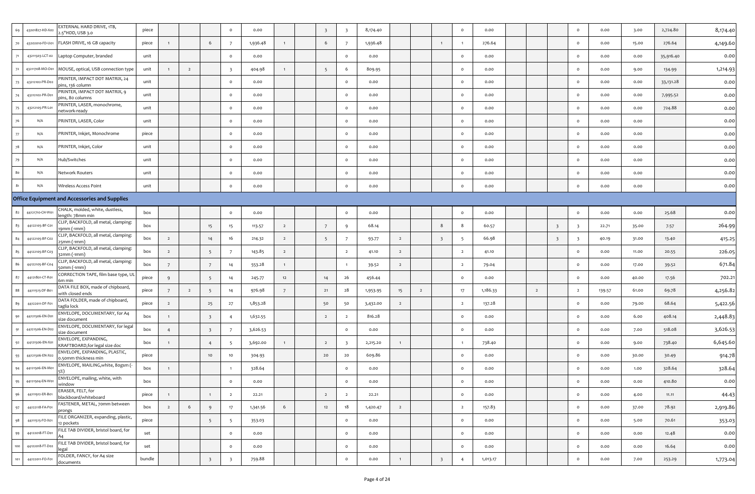| 69  | 43201827-HD-X02 | EXTERNAL HARD DRIVE, 1TB,<br>.5"HDD, USB 3.0           | piece  |                |                |                         | $\circ$                 | 0.00     |                | $\overline{\mathbf{3}}$ | $\overline{\mathbf{3}}$ | 8,174.40 |                |                |                         | $\mathbf{o}$   | 0.00     |                |                         | $\circ$                  | 0.00   | 3.00  | 2,724.80  | 8,174.40 |
|-----|-----------------|--------------------------------------------------------|--------|----------------|----------------|-------------------------|-------------------------|----------|----------------|-------------------------|-------------------------|----------|----------------|----------------|-------------------------|----------------|----------|----------------|-------------------------|--------------------------|--------|-------|-----------|----------|
| 70  | 43202010-FD-U01 | FLASH DRIVE, 16 GB capacity                            | piece  | 1              |                | 6                       |                         | 1,936.48 | $\mathbf{1}$   | 6                       |                         | 1,936.48 |                |                | $\mathbf{1}$            |                | 276.64   |                |                         | $\circ$                  | 0.00   | 15.00 | 276.64    | 4,149.60 |
| 71  | 43211503-LCT-02 | Laptop Computer, branded                               | unit   |                |                |                         | $\circ$                 | 0.00     |                |                         | $\circ$                 | 0.00     |                |                |                         | $\circ$        | 0.00     |                |                         | $\circ$                  | 0.00   | 0.00  | 35,916.40 | 0.00     |
| 72  | 43211708-MO-O01 | MOUSE, optical, USB connection type                    | unit   | $\mathbf{1}$   | $\overline{2}$ |                         | $\overline{\mathbf{3}}$ | 404.98   | $\mathbf{1}$   | 5                       |                         | 809.95   |                |                |                         | $\circ$        | 0.00     |                |                         | $\circ$                  | 0.00   | 9.00  | 134.99    | 1,214.93 |
| 73  | 43212102-PR-D02 | PRINTER, IMPACT DOT MATRIX, 24<br>pins, 136 column     | unit   |                |                |                         | $\circ$                 | 0.00     |                |                         | $\circ$                 | 0.00     |                |                |                         | $\circ$        | 0.00     |                |                         | $\circ$                  | 0.00   | 0.00  | 33,131.28 | 0.00     |
| 74  | 43212102-PR-D01 | PRINTER, IMPACT DOT MATRIX, 9<br>oins, 80 columns      | unit   |                |                |                         | $\circ$                 | 0.00     |                |                         | $\Omega$                | 0.00     |                |                |                         | $\circ$        | 0.00     |                |                         | $\circ$                  | 0.00   | 0.00  | 7,995.52  | 0.00     |
| 75  | 43212105-PR-L01 | PRINTER, LASER, monochrome,<br>etwork-ready            | unit   |                |                |                         | $\circ$                 | 0.00     |                |                         | $\circ$                 | 0.00     |                |                |                         | $\circ$        | 0.00     |                |                         | $\overline{\mathbf{0}}$  | 0.00   | 0.00  | 724.88    | 0.00     |
| 76  | N/A             | PRINTER, LASER, Color                                  | unit   |                |                |                         | $\circ$                 | 0.00     |                |                         | $\Omega$                | 0.00     |                |                |                         | $\circ$        | 0.00     |                |                         | $\circ$                  | 0.00   | 0.00  |           | 0.00     |
| 77  | N/A             | PRINTER, Inkjet, Monochrome                            | piece  |                |                |                         | $\circ$                 | 0.00     |                |                         | $\circ$                 | 0.00     |                |                |                         | $\circ$        | 0.00     |                |                         | $\circ$                  | 0.00   | 0.00  |           | 0.00     |
| 78  | N/A             | PRINTER, Inkjet, Color                                 | unit   |                |                |                         | $\circ$                 | 0.00     |                |                         | $\circ$                 | 0.00     |                |                |                         | $\circ$        | 0.00     |                |                         | $\overline{\mathbf{0}}$  | 0.00   | 0.00  |           | 0.00     |
| 79  | N/A             | Hub/Switches                                           | unit   |                |                |                         | $\circ$                 | 0.00     |                |                         | $\Omega$                | 0.00     |                |                |                         | $\circ$        | 0.00     |                |                         | $\circ$                  | 0.00   | 0.00  |           | 0.00     |
| 80  | N/A             | <b>Network Routers</b>                                 | unit   |                |                |                         | $\circ$                 | 0.00     |                |                         | $\circ$                 | 0.00     |                |                |                         | $\circ$        | 0.00     |                |                         | $\circ$                  | 0.00   | 0.00  |           | 0.00     |
| 81  | N/A             | Wireless Access Point                                  | unit   |                |                |                         | $\circ$                 | 0.00     |                |                         | $\circ$                 | 0.00     |                |                |                         | $\circ$        | 0.00     |                |                         | $\circ$                  | 0.00   | 0.00  |           | 0.00     |
|     |                 | Office Equipment and Accessories and Supplies          |        |                |                |                         |                         |          |                |                         |                         |          |                |                |                         |                |          |                |                         |                          |        |       |           |          |
| 82  | 44121710-CH-W01 | CHALK, molded, white, dustless,<br>length: 78mm min    | box    |                |                |                         | $\circ$                 | 0.00     |                |                         | $\circ$                 | 0.00     |                |                |                         | $\circ$        | 0.00     |                |                         | $\circ$                  | 0.00   | 0.00  | 25.68     | 0.00     |
| 83  | 44122105-BF-C01 | CLIP, BACKFOLD, all metal, clamping:<br>19mm (-1mm)    | box    |                |                | 15                      | 15                      | 113.57   | $\overline{2}$ | $7\overline{ }$         | 9                       | 68.14    |                |                | 8                       | 8              | 60.57    |                | $\overline{\mathbf{3}}$ | $\overline{\mathbf{3}}$  | 22.71  | 35.00 | 7.57      | 264.99   |
| 84  | 44122105-BF-C02 | CLIP, BACKFOLD, all metal, clamping:<br>25mm (-1mm)    | box    | $\overline{2}$ |                | 14                      | 16                      | 214.32   | $\overline{2}$ | 5                       | $\overline{7}$          | 93.77    | $\overline{2}$ |                | $\overline{\mathbf{3}}$ | -5             | 66.98    |                | $\overline{\mathbf{3}}$ | $\overline{\phantom{a}}$ | 40.19  | 31.00 | 13.40     | 415.25   |
| 85  | 44122105-BF-C03 | CLIP, BACKFOLD, all metal, clamping:<br>32mm (-1mm)    | box    | $\overline{2}$ |                | 5                       |                         | 143.85   | $\overline{2}$ |                         | $\overline{2}$          | 41.10    | $\overline{2}$ |                |                         | $\overline{2}$ | 41.10    |                |                         | $\circ$                  | 0.00   | 11.00 | 20.55     | 226.05   |
| 86  | 44122105-BF-C04 | CLIP, BACKFOLD, all metal, clamping:<br>50mm (-1mm)    | box    | $\overline{7}$ |                | $\overline{7}$          | 14                      | 553.28   | $\mathbf{1}$   |                         |                         | 39.52    | $\overline{2}$ |                |                         | $\overline{2}$ | 79.04    |                |                         | $\circ$                  | 0.00   | 17.00 | 39.52     | 671.84   |
| 87  | 44121801-CT-R01 | CORRECTION TAPE, film base type, UL<br>6m min          | piece  | 9              |                | 5                       | 14                      | 245.77   | 12             | 14                      | 26                      | 456.44   |                |                |                         | $\circ$        | 0.00     |                |                         | $\circ$                  | 0.00   | 40.00 | 17.56     | 702.21   |
| 88  | 44111515-DF-B01 | DATA FILE BOX, made of chipboard,<br>with closed ends  | piece  | $\overline{7}$ | $\overline{2}$ | 5                       | 14                      | 976.98   | 7              | 21                      | 28                      | 1,953.95 | 15             | $\overline{2}$ |                         | 17             | 1,186.33 | $\overline{2}$ |                         | $\overline{2}$           | 139.57 | 61.00 | 69.78     | 4,256.82 |
| 89  | 44122011-DF-F01 | DATA FOLDER, made of chipboard,<br>taglia lock         | piece  | $\overline{2}$ |                | 25                      | 27                      | 1,853.28 |                | 50                      | 50                      | 3,432.00 | $\overline{2}$ |                |                         | $\overline{2}$ | 137.28   |                |                         | $\circ$                  | 0.00   | 79.00 | 68.64     | 5,422.56 |
| 90  | 44121506-EN-D01 | ENVELOPE, DOCUMENTARY, for A4<br>size document         | box    | 1              |                | $\overline{\mathbf{3}}$ | $\overline{4}$          | 1,632.55 |                | $\overline{2}$          | $\overline{2}$          | 816.28   |                |                |                         | $\circ$        | 0.00     |                |                         | $\circ$                  | 0.00   | 6.00  | 408.14    | 2,448.83 |
| 91  | 44121506-EN-Do2 | ENVELOPE, DOCUMENTARY, for legal<br>size document      | box    | $\overline{4}$ |                | $\overline{\mathbf{3}}$ | $\overline{7}$          | 3,626.53 |                |                         | $\circ$                 | 0.00     |                |                |                         | $\circ$        | 0.00     |                |                         | $\circ$                  | 0.00   | 7.00  | 518.08    | 3,626.53 |
| 92  | 44121506-EN-X01 | ENVELOPE, EXPANDING,<br>KRAFTBOARD, for legal size doc | box    | $\mathbf{1}$   |                | $\overline{4}$          | 5                       | 3,692.00 | $\mathbf{1}$   | $\overline{2}$          | $\overline{\mathbf{3}}$ | 2,215.20 | $\overline{1}$ |                |                         |                | 738.40   |                |                         | $\circ$                  | 0.00   | 9.00  | 738.40    | 6,645.60 |
| 93  | 44121506-EN-X02 | ENVELOPE, EXPANDING, PLASTIC,<br>0.50mm thickness min  | piece  |                |                | 10                      | 10                      | 304.93   |                | 20                      | 20                      | 609.86   |                |                |                         | $\circ$        | 0.00     |                |                         | $\circ$                  | 0.00   | 30.00 | 30.49     | 914.78   |
| 94  | 44121506-EN-M01 | ENVELOPE, MAILING, white, 80gsm (-                     | box    | $\mathbf{1}$   |                |                         |                         | 328.64   |                |                         | $\circ$                 | 0.00     |                |                |                         | $\circ$        | 0.00     |                |                         | $\circ$                  | 0.00   | 1.00  | 328.64    | 328.64   |
| 95  | 44121504-EN-W01 | ENVELOPE, mailing, white, with<br>าdow                 | box    |                |                |                         | $\circ$                 | 0.00     |                |                         | $\Omega$                | 0.00     |                |                |                         | $\circ$        | 0.00     |                |                         | $\circ$                  | 0.00   | 0.00  | 410.80    | 0.00     |
| 96  | 44111912-ER-B01 | ERASER, FELT, for<br>blackboard/whiteboard             | piece  | $\mathbf{1}$   |                | $\mathbf{1}$            | $\overline{2}$          | 22.21    |                | $\overline{2}$          | $\overline{2}$          | 22.21    |                |                |                         | $\circ$        | 0.00     |                |                         | $\circ$                  | 0.00   | 4.00  | 11.11     | 44.43    |
| 97  | 44122118-FA-P01 | ASTENER, METAL, 70mm between<br>prongs                 | box    | $\overline{2}$ | 6              | 9                       | 17                      | 1,341.56 | 6              | 12                      | $18\,$                  | 1,420.47 | $\overline{2}$ |                |                         | $\overline{2}$ | 157.83   |                |                         | $\circ$                  | 0.00   | 37.00 | 78.92     | 2,919.86 |
| 98  | 44111515-FO-X01 | FILE ORGANIZER, expanding, plastic,<br>12 pockets      | piece  |                |                | 5 <sup>5</sup>          | 5                       | 353.03   |                |                         | $\circ$                 | 0.00     |                |                |                         | $\circ$        | 0.00     |                |                         | $\circ$                  | 0.00   | 5.00  | 70.61     | 353.03   |
| 99  | 44122018-FT-D01 | FILE TAB DIVIDER, bristol board, for                   | set    |                |                |                         | $\circ$                 | 0.00     |                |                         | $\circ$                 | 0.00     |                |                |                         | $\circ$        | 0.00     |                |                         | $\circ$                  | 0.00   | 0.00  | 12.48     | 0.00     |
| 100 | 44122018-FT-D02 | FILE TAB DIVIDER, bristol board, for<br>legal          | set    |                |                |                         | $\circ$                 | 0.00     |                |                         | $\circ$                 | 0.00     |                |                |                         | $\circ$        | 0.00     |                |                         | $\circ$                  | 0.00   | 0.00  | 16.64     | 0.00     |
| 101 | 44122011-FO-F01 | FOLDER, FANCY, for A4 size<br>documents                | bundle |                |                | $\overline{\mathbf{3}}$ | $\overline{\mathbf{3}}$ | 759.88   |                |                         | $\circ$                 | 0.00     | $\mathbf{1}$   |                | $\overline{\mathbf{3}}$ | $\overline{4}$ | 1,013.17 |                |                         | $\circ$                  | 0.00   | 7.00  | 253.29    | 1,773.04 |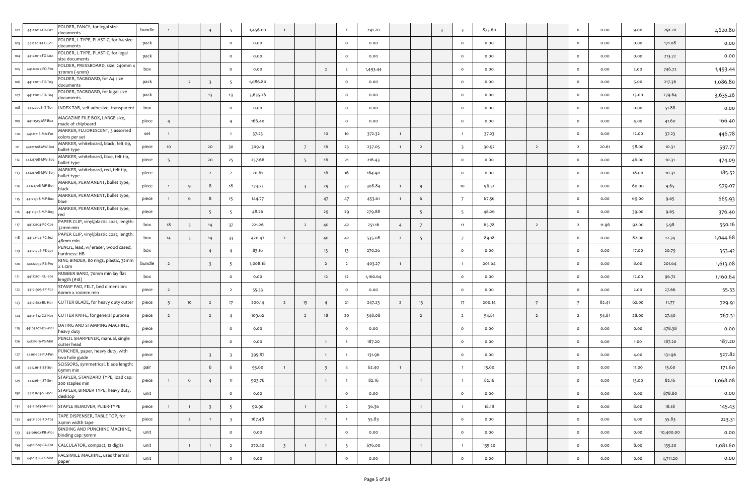|     | 44122011-FO-F02 | FOLDER, FANCY, for legal size<br>documents           | bundle |                |                |                          | - 5                     | 1,456.00 |                         |                         |                         |                | 291.20   |                |                | $\overline{\mathbf{3}}$ | - 3                      | 873.60 |                | $\circ$        | 0.00  | 9.00  | 291.20    | 2,620.80 |
|-----|-----------------|------------------------------------------------------|--------|----------------|----------------|--------------------------|-------------------------|----------|-------------------------|-------------------------|-------------------------|----------------|----------|----------------|----------------|-------------------------|--------------------------|--------|----------------|----------------|-------|-------|-----------|----------|
|     | 44122011-FO-L01 | FOLDER, L-TYPE, PLASTIC, for A4 size<br>documents    | pack   |                |                |                          | $\circ$                 | 0.00     |                         |                         |                         | $\circ$        | 0.00     |                |                |                         | $\circ$                  | 0.00   |                | $\circ$        | 0.00  | 0.00  | 171.08    | 0.00     |
|     | 44122011-FO-L02 | FOLDER, L-TYPE, PLASTIC, for legal<br>size documents | pack   |                |                |                          | $\circ$                 | 0.00     |                         |                         |                         | $\circ$        | 0.00     |                |                |                         | $\circ$                  | 0.00   |                | $\circ$        | 0.00  | 0.00  | 213.72    | 0.00     |
|     | 44122027-FO-P01 | FOLDER, PRESSBOARD, size: 240mm x<br>370mm (-5mm)    | box    |                |                |                          | $\circ$                 | 0.00     |                         |                         | $\overline{2}$          | $\overline{2}$ | 1,493.44 |                |                |                         | $\circ$                  | 0.00   |                | $\circ$        | 0.00  | 2.00  | 746.72    | 1,493.44 |
|     | 44122011-FO-T03 | FOLDER, TAGBOARD, for A4 size<br>documents           | pack   |                | $\overline{2}$ | $\overline{\mathbf{3}}$  | - 5                     | 1,086.80 |                         |                         |                         | $\circ$        | 0.00     |                |                |                         | $\circ$                  | 0.00   |                | $\circ$        | 0.00  | 5.00  | 217.36    | 1,086.80 |
|     | 44122011-FO-T04 | FOLDER, TAGBOARD, for legal size<br>documents        | pack   |                |                | 13                       | 13                      | 3,635.26 |                         |                         |                         | $\circ$        | 0.00     |                |                |                         | $\circ$                  | 0.00   |                | $\circ$        | 0.00  | 13.00 | 279.64    | 3,635.26 |
| 108 | 44122008-IT-T01 | INDEX TAB, self-adhesive, transparent                | box    |                |                |                          | $\circ$                 | 0.00     |                         |                         |                         | $\circ$        | 0.00     |                |                |                         | $\circ$                  | 0.00   |                | $\circ$        | 0.00  | 0.00  | 51.88     | 0.00     |
|     | 44111515-MF-B02 | MAGAZINE FILE BOX, LARGE size,<br>nade of chipboard  | piece  | $\overline{4}$ |                |                          | $\overline{4}$          | 166.40   |                         |                         |                         | $\circ$        | 0.00     |                |                |                         | $\circ$                  | 0.00   |                | $\circ$        | 0.00  | 4.00  | 41.60     | 166.40   |
|     | 44121716-MA-F01 | MARKER, FLUORESCENT, 3 assorted<br>colors per set    | set    |                |                |                          |                         | 37.23    |                         |                         | 10                      | 10             | 372.32   | $\mathbf{1}$   |                |                         | $\overline{1}$           | 37.23  |                | $\circ$        | 0.00  | 12.00 | 37.23     | 446.78   |
|     | 44121708-MW-Bo  | MARKER, whiteboard, black, felt tip,<br>pullet type  | piece  | 10             |                | 20                       | 30                      | 309.19   |                         | 7                       | 16                      | -23            | 237.05   | $\mathbf{1}$   | $\overline{2}$ |                         | $\overline{\phantom{a}}$ | 30.92  | $\overline{2}$ | $\overline{2}$ | 20.61 | 58.00 | 10.31     | 597-77   |
|     | 44121708-MW-B02 | MARKER, whiteboard, blue, felt tip,<br>bullet type   | piece  | - 5            |                | 20                       | 25                      | 257.66   |                         | - 5                     | 16                      | 21             | 216.43   |                |                |                         | $\circ$                  | 0.00   |                | $\circ$        | 0.00  | 46.00 | 10.31     | 474.09   |
|     | 44121708-MW-B03 | MARKER, whiteboard, red, felt tip,<br>bullet type    | piece  |                |                | $\overline{2}$           | $\overline{2}$          | 20.61    |                         |                         | 16                      | 16             | 164.90   |                |                |                         | $\circ$                  | 0.00   |                | $\circ$        | 0.00  | 18.00 | 10.31     | 185.52   |
|     | 44121708-MP-B01 | MARKER, PERMANENT, bullet type,<br>olack             | piece  |                | -9             | 8                        | 18                      | 173.72   |                         | $\overline{\mathbf{3}}$ | 29                      | 32             | 308.84   | $\mathbf{1}$   | 9              |                         | 10                       | 96.51  |                | $\circ$        | 0.00  | 60.00 | 9.65      | 579.07   |
|     | 44121708-MP-B02 | MARKER, PERMANENT, bullet type,<br>blue              | piece  | $\mathbf{1}$   | 6              | 8                        | 15                      | 144.77   |                         |                         | 47                      | 47             | 453.61   | $\overline{1}$ | 6              |                         | $\overline{7}$           | 67.56  |                | $\circ$        | 0.00  | 69.00 | 9.65      | 665.93   |
|     | 44121708-MP-B03 | MARKER, PERMANENT, bullet type,                      | piece  |                |                | - 5                      | -5                      | 48.26    |                         |                         | 29                      | -29            | 279.88   |                | 5              |                         | $\overline{\phantom{0}}$ | 48.26  |                | $\circ$        | 0.00  | 39.00 | 9.65      | 376.40   |
|     | 44122104-PC-G01 | PAPER CLIP, vinyl/plastic coat, length:<br>32mm min  | box    | 18             | - 5            | 14                       | 37                      | 221.26   |                         | $\overline{2}$          | 40                      | 42             | 251.16   | $\overline{4}$ | 7              |                         | 11                       | 65.78  | $\overline{2}$ | $\overline{2}$ | 11.96 | 92.00 | 5.98      | 550.16   |
|     | 44122104-PC-J02 | PAPER CLIP, vinyl/plastic coat, length:<br>48mm min  | box    | 14             | - 5            | 14                       | 33                      | 420.42   | $\overline{2}$          |                         | 40                      | 42             | 535.08   | $\overline{2}$ | 5              |                         | $\overline{7}$           | 89.18  |                | $\circ$        | 0.00  | 82.00 | 12.74     | 1,044.68 |
|     | 44121706-PE-L01 | PENCIL, lead, w/ eraser, wood cased,<br>nardness: HB | box    |                |                | $\overline{4}$           |                         | 83.16    |                         |                         | 13                      | 13             | 270.26   |                |                |                         | $\circ$                  | 0.00   |                | $\circ$        | 0.00  | 17.00 | 20.79     | 353.42   |
|     | 44122037-RB-P10 | RING BINDER, 80 rings, plastic, 32mm<br>x 1.12m      | bundle | $\overline{2}$ |                | $\overline{\mathbf{3}}$  | -5                      | 1,008.18 |                         |                         | $\overline{2}$          | $\overline{2}$ | 403.27   | $\overline{1}$ |                |                         | $\overline{1}$           | 201.64 |                | $\circ$        | 0.00  | 8.00  | 201.64    | 1,613.08 |
|     | 44122101-RU-B01 | RUBBER BAND, 70mm min lay flat<br>length (#18)       | box    |                |                |                          | $\circ$                 | 0.00     |                         |                         | 12                      | 12             | 1,160.64 |                |                |                         | $\circ$                  | 0.00   |                | $\circ$        | 0.00  | 12.00 | 96.72     | 1,160.64 |
|     | 44121905-SP-F01 | STAMP PAD, FELT, bed dimension:<br>Somm x 100mm min  | piece  | $\overline{2}$ |                |                          | $\overline{2}$          | 55-33    |                         |                         |                         | $\circ$        | 0.00     |                |                |                         | $\circ$                  | 0.00   |                | $\circ$        | 0.00  | 2.00  | 27.66     | 55.33    |
|     | 44121612-BL-H01 | CUTTER BLADE, for heavy duty cutter                  | piece  | 5              | 10             | $\overline{2}$           | 17                      | 200.14   | $\overline{2}$          | 15                      | $\overline{4}$          | 21             | 247.23   | $\overline{2}$ | 15             |                         | 17                       | 200.14 | 7              | 7              | 82.41 | 62.00 | 11.77     | 729.9    |
|     | 44121612-CU-H01 | CUTTER KNIFE, for general purpose                    | piece  | $\overline{2}$ |                | $\overline{2}$           | $\overline{4}$          | 109.62   |                         | $\overline{2}$          | 18                      | 20             | 548.08   |                | $\overline{2}$ |                         | $\overline{2}$           | 54.81  | $\overline{2}$ | $\overline{2}$ | 54.81 | 28.00 | 27.40     | 767.31   |
|     | 44103202-DS-M01 | DATING AND STAMPING MACHINE,<br>heavy duty           | piece  |                |                |                          |                         | 0.00     |                         |                         |                         | $\circ$        | 0.00     |                |                |                         | $\circ$                  | 0.00   |                | $\circ$        | 0.00  | 0.00  | 478.38    | 0.00     |
|     | 44121619-PS-Mot | PENCIL SHARPENER, manual, single<br>cutter head      | piece  |                |                |                          | $\circ$                 | 0.00     |                         |                         | $\overline{1}$          |                | 187.20   |                |                |                         | $\circ$                  | 0.00   |                | $\circ$        | 0.00  | 1.00  | 187.20    | 187.20   |
| 127 | 44101602-PU-P01 | PUNCHER, paper, heavy duty, with<br>two hole guide   | piece  |                |                | $\overline{\mathbf{3}}$  | - 3                     | 395.87   |                         |                         | $\overline{1}$          |                | 131.96   |                |                |                         | $\circ$                  | 0.00   |                | $\circ$        | 0.00  | 4.00  | 131.96    | 527.82   |
| 128 | 44121618-SS-S01 | SCISSORS, symmetrical, blade length:<br>65mm min     | pair   |                |                | 6                        |                         | 93.60    |                         |                         | $\overline{\mathbf{3}}$ |                | 62.40    |                |                |                         | $\overline{1}$           | 15.60  |                | $\circ$        | 0.00  | 11.00 | 15.60     | 171.60   |
| 129 | 44121615-ST-S01 | STAPLER, STANDARD TYPE, load cap:<br>00 staples min  | piece  |                | 6              | $\overline{4}$           | 11                      | 903.76   |                         |                         | $\overline{1}$          |                | 82.16    |                | $\mathbf{1}$   |                         |                          | 82.16  |                | $\circ$        | 0.00  | 13.00 | 82.16     | 1,068.08 |
| 130 | 44121615-ST-B01 | STAPLER, BINDER TYPE, heavy duty,<br>desktop         | unit   |                |                |                          | $\circ$                 | 0.00     |                         |                         |                         | $\circ$        | 0.00     |                |                |                         | $\circ$                  | 0.00   |                | $\circ$        | 0.00  | 0.00  | 878.80    | 0.00     |
| 131 | 44121613-SR-P01 | STAPLE REMOVER, PLIER-TYPE                           | piece  | $\overline{1}$ | $\overline{1}$ | $\overline{\phantom{a}}$ | $5\overline{5}$         | 90.90    |                         | $\mathbf{1}$            | $\overline{1}$          | $\overline{2}$ | 36.36    |                | $\mathbf{1}$   |                         | $\overline{1}$           | 18.18  |                | $\circ$        | 0.00  | 8.00  | 18.18     | 145.43   |
| 132 | 44121605-TD-T01 | TAPE DISPENSER, TABLE TOP, for<br>24mm width tape    | piece  |                | $\overline{2}$ | $\mathbf{1}$             | $\overline{\mathbf{3}}$ | 167.48   |                         |                         | $\overline{1}$          |                | 55.83    |                |                |                         | $\circ$                  | 0.00   |                | $\circ$        | 0.00  | 4.00  | 55.83     | 223.31   |
| 133 | 44101602-PB-M01 | BINDING AND PUNCHING MACHINE,<br>binding cap: 50mm   | unit   |                |                |                          | $\circ$                 | 0.00     |                         |                         |                         | $\circ$        | 0.00     |                |                |                         | $\circ$                  | 0.00   |                | $\circ$        | 0.00  | 0.00  | 10,400.00 | 0.00     |
| 134 | 44101807-CA-C01 | CALCULATOR, compact, 12 digits                       | unit   |                | $\overline{1}$ | $\overline{1}$           | $\overline{2}$          | 270.40   | $\overline{\mathbf{3}}$ | $\mathbf{1}$            | $\overline{1}$          | 5              | 676.00   |                | $\overline{1}$ |                         | $\overline{1}$           | 135.20 |                | $\circ$        | 0.00  | 8.00  | 135.20    | 1,081.60 |
| 135 | 44101714-FX-M01 | FACSIMILE MACHINE, uses thermal<br>paper             | unit   |                |                |                          | $\mathsf{o}$            | 0.00     |                         |                         |                         | $\circ$        | 0.00     |                |                |                         | $\mathsf{o}$             | 0.00   |                | $\circ$        | 0.00  | 0.00  | 4,711.20  | 0.00     |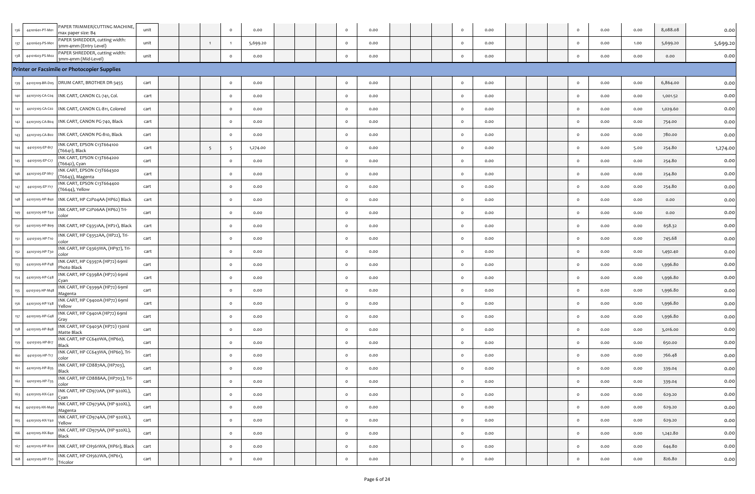|     | 44101601-PT-Mo  | PAPER TRIMMER/CUTTING MACHINE,<br>nax paper size: B4   | unit |  |    | $\circ$      | 0.00     |  | $\circ$  | 0.00 |  | $\circ$      | 0.00 |  | $\circ$ | 0.00 | 0.00 | 8,088.08 | 0.00     |
|-----|-----------------|--------------------------------------------------------|------|--|----|--------------|----------|--|----------|------|--|--------------|------|--|---------|------|------|----------|----------|
|     | 44101603-PS-Mo  | PAPER SHREDDER, cutting width:<br>mm-4mm (Entry Level) | unit |  |    |              | 5,699.20 |  | $\circ$  | 0.00 |  | $\circ$      | 0.00 |  | $\circ$ | 0.00 | 1.00 | 5,699.20 | 5,699.20 |
|     | 44101603-PS-Mo: | PAPER SHREDDER, cutting width:<br>3mm-4mm (Mid-Level)  | unit |  |    | $\circ$      | 0.00     |  | $\circ$  | 0.00 |  | $\circ$      | 0.00 |  | $\circ$ | 0.00 | 0.00 | 0.00     | 0.00     |
|     |                 | Printer or Facsimile or Photocopier Supplies           |      |  |    |              |          |  |          |      |  |              |      |  |         |      |      |          |          |
| 139 |                 | 44103109-BR-D05 DRUM CART, BROTHER DR-3455             | cart |  |    | $\circ$      | 0.00     |  | $\circ$  | 0.00 |  | $\circ$      | 0.00 |  | $\circ$ | 0.00 | 0.00 | 6,864.00 | 0.00     |
|     | 44103105-CA-C04 | INK CART, CANON CL-741, Col.                           | cart |  |    | $\circ$      | 0.00     |  | $\circ$  | 0.00 |  | $\mathbf{o}$ | 0.00 |  | $\circ$ | 0.00 | 0.00 | 1,001.52 | 0.00     |
|     | 44103105-CA-C02 | INK CART, CANON CL-811, Colored                        | cart |  |    | $\circ$      | 0.00     |  | $\circ$  | 0.00 |  | $\circ$      | 0.00 |  | $\circ$ | 0.00 | 0.00 | 1,029.60 | 0.00     |
|     | 44103105-CA-B04 | INK CART, CANON PG-740, Black                          | cart |  |    | $\circ$      | 0.00     |  | $\Omega$ | 0.00 |  | $\circ$      | 0.00 |  | $\circ$ | 0.00 | 0.00 | 754.00   | 0.00     |
|     | 44103105-CA-B02 | INK CART, CANON PG-810, Black                          | cart |  |    | $\circ$      | 0.00     |  | $\circ$  | 0.00 |  | $\circ$      | 0.00 |  | $\circ$ | 0.00 | 0.00 | 780.00   | 0.00     |
|     | 44103105-EP-B1  | INK CART, EPSON C13T664100<br>T6641), Black            | cart |  | -5 | -5           | 1,274.00 |  | $\circ$  | 0.00 |  | $\circ$      | 0.00 |  | $\circ$ | 0.00 | 5.00 | 254.80   | 1,274.00 |
|     | 44103105-EP-C17 | NK CART, EPSON C13T664200<br>T6642), Cyan              | cart |  |    | $\circ$      | 0.00     |  | $\circ$  | 0.00 |  | $\circ$      | 0.00 |  | $\circ$ | 0.00 | 0.00 | 254.80   | 0.00     |
|     | 44103105-EP-M1  | INK CART, EPSON C13T664300<br>T6643), Magenta          | cart |  |    | $\circ$      | 0.00     |  | $\circ$  | 0.00 |  | $\circ$      | 0.00 |  | $\circ$ | 0.00 | 0.00 | 254.80   | 0.00     |
|     | 44103105-EP-Y1  | NK CART, EPSON C13T664400<br>T6644), Yellow            | cart |  |    | $\circ$      | 0.00     |  | $\circ$  | 0.00 |  | $\circ$      | 0.00 |  | $\circ$ | 0.00 | 0.00 | 254.80   | 0.00     |
|     | 44103105-HP-B40 | INK CART, HP C2P04AA (HP62) Black                      | cart |  |    | $\circ$      | 0.00     |  | $\circ$  | 0.00 |  | $\circ$      | 0.00 |  | $\circ$ | 0.00 | 0.00 | 0.00     | 0.00     |
|     | 44103105-HP-T4c | INK CART, HP C2P06AA (HP62) Tri-<br>:olor              | cart |  |    | $\circ$      | 0.00     |  | $\Omega$ | 0.00 |  | $\mathbf{o}$ | 0.00 |  | $\circ$ | 0.00 | 0.00 | 0.00     | 0.00     |
|     | 44103105-HP-B09 | INK CART, HP C9351AA, (HP21), Black                    | cart |  |    | $\circ$      | 0.00     |  | $\circ$  | 0.00 |  | $\circ$      | 0.00 |  | $\circ$ | 0.00 | 0.00 | 658.32   | 0.00     |
|     | 44103105-HP-T10 | INK CART, HP C9352AA, (HP22), Tri-<br>:olor            | cart |  |    | $\mathsf{o}$ | 0.00     |  | $\circ$  | 0.00 |  | $\circ$      | 0.00 |  | $\circ$ | 0.00 | 0.00 | 745.68   | 0.00     |
|     | 44103105-HP-T30 | INK CART, HP C9363WA, (HP97), Tri-<br>olor             | cart |  |    | $\circ$      | 0.00     |  | $\circ$  | 0.00 |  | $\mathbf{o}$ | 0.00 |  | $\circ$ | 0.00 | 0.00 | 1,492.40 | 0.00     |
|     | 44103105-HP-P4  | INK CART, HP C9397A (HP72) 69ml<br>Photo Black         | cart |  |    | $\circ$      | 0.00     |  | $\circ$  | 0.00 |  | $\circ$      | 0.00 |  | $\circ$ | 0.00 | 0.00 | 1,996.80 | 0.00     |
|     | 44103105-HP-C48 | INK CART, HP C9398A (HP72) 69ml<br>.yan                | cart |  |    | $\circ$      | 0.00     |  | $\circ$  | 0.00 |  | $\circ$      | 0.00 |  | $\circ$ | 0.00 | 0.00 | 1,996.80 | 0.00     |
|     | 44103105-HP-M4  | INK CART, HP C9399A (HP72) 69ml<br>Magenta             | cart |  |    | $\circ$      | 0.00     |  | $\circ$  | 0.00 |  | $\circ$      | 0.00 |  | $\circ$ | 0.00 | 0.00 | 1,996.80 | 0.00     |
|     | 44103105-HP-Y48 | INK CART, HP C9400A (HP72) 69ml<br>⁄ellow              | cart |  |    | $\circ$      | 0.00     |  |          | 0.00 |  | $\circ$      | 0.00 |  | $\circ$ | 0.00 | 0.00 | 1,996.80 | 0.00     |
|     | 44103105-HP-G4  | INK CART, HP C9401A (HP72) 69ml<br>Gray                | cart |  |    | $\circ$      | 0.00     |  | $\circ$  | 0.00 |  | $\circ$      | 0.00 |  | $\circ$ | 0.00 | 0.00 | 1,996.80 | 0.00     |
|     | 44103105-HP-B4  | INK CART, HP C9403A (HP72) 130ml<br>Matte Black        | cart |  |    | $\circ$      | 0.00     |  | $\circ$  | 0.00 |  | $\circ$      | 0.00 |  | $\circ$ | 0.00 | 0.00 | 3,016.00 | 0.00     |
|     | 44103105-HP-B17 | INK CART, HP CC640WA, (HP60),<br>3lack                 | cart |  |    | $\circ$      | 0.00     |  | $\circ$  | 0.00 |  | $\circ$      | 0.00 |  | $\circ$ | 0.00 | 0.00 | 650.00   | 0.00     |
|     | 44103105-HP-T1  | INK CART, HP CC643WA, (HP60), Tri-<br>olor             | cart |  |    | $\circ$      | 0.00     |  | $\circ$  | 0.00 |  | $\circ$      | 0.00 |  | $\circ$ | 0.00 | 0.00 | 766.48   | 0.00     |
|     | 44103105-HP-B3  | NK CART, HP CD887AA, (HP703),<br>3lack                 | cart |  |    | $\circ$      | 0.00     |  | $\circ$  | 0.00 |  | $\circ$      | 0.00 |  | $\circ$ | 0.00 | 0.00 | 339.04   | 0.00     |
| 162 | 44103105-HP-T35 | INK CART, HP CD888AA, (HP703), Tri-<br>olor            | cart |  |    | $\Omega$     | 0.00     |  | $\Omega$ | 0.00 |  | $\circ$      | 0.00 |  | $\circ$ | 0.00 | 0.00 | 339.04   | 0.00     |
| 163 | 44103105-HX-C40 | INK CART, HP CD972AA, (HP 920XL),<br>Iyan              | cart |  |    | $\circ$      | 0.00     |  | $\circ$  | 0.00 |  | $\circ$      | 0.00 |  | $\circ$ | 0.00 | 0.00 | 629.20   | 0.00     |
| 164 | 44103105-HX-M4  | INK CART, HP CD973AA, (HP 920XL),<br>Magenta           | cart |  |    | $\circ$      | 0.00     |  | $\circ$  | 0.00 |  | $\circ$      | 0.00 |  | $\circ$ | 0.00 | 0.00 | 629.20   | 0.00     |
| 165 | 44103105-HX-Y40 | INK CART, HP CD974AA, (HP 920XL),<br>rellow            | cart |  |    | $\mathsf{o}$ | 0.00     |  | $\circ$  | 0.00 |  | $\circ$      | 0.00 |  | $\circ$ | 0.00 | 0.00 | 629.20   | 0.00     |
| 166 | 44103105-HX-B40 | INK CART, HP CD975AA, (HP 920XL),<br>Black             | cart |  |    | $\mathsf{o}$ | 0.00     |  | $\circ$  | 0.00 |  | $\circ$      | 0.00 |  | $\circ$ | 0.00 | 0.00 | 1,242.80 | 0.00     |
| 167 | 44103105-HP-B20 | INK CART, HP CH561WA, (HP61), Black                    | cart |  |    | $\mathsf{o}$ | 0.00     |  | $\circ$  | 0.00 |  | $\circ$      | 0.00 |  | $\circ$ | 0.00 | 0.00 | 644.80   | 0.00     |
| 168 | 44103105-HP-T20 | INK CART, HP CH562WA, (HP61),<br>Fricolor              | cart |  |    | $\mathsf{o}$ | 0.00     |  | $\circ$  | 0.00 |  | $\circ$      | 0.00 |  | $\circ$ | 0.00 | 0.00 | 826.80   | 0.00     |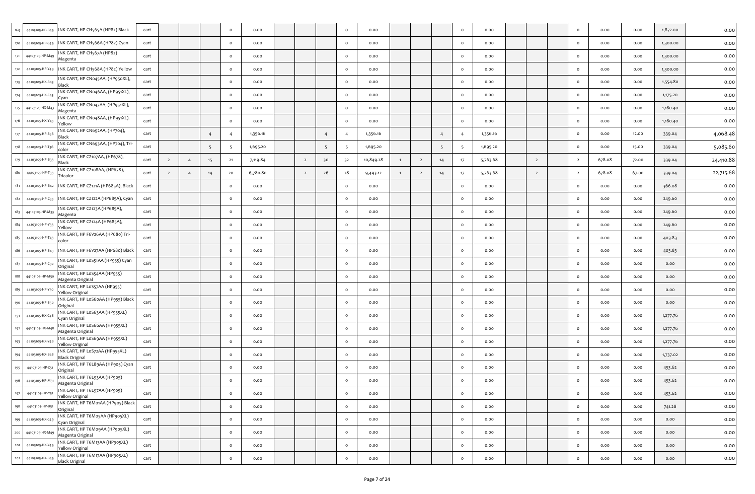| 169             | 44103105-HP-B49 | INK CART, HP CH565A (HP82) Black                        | cart |                |                |    | $\circ$  | 0.00     |                |                | $\circ$        | 0.00      |                |                |    | $\circ$        | 0.00     |                | $\circ$        | 0.00   | 0.00  | 1,872.00 | 0.00      |
|-----------------|-----------------|---------------------------------------------------------|------|----------------|----------------|----|----------|----------|----------------|----------------|----------------|-----------|----------------|----------------|----|----------------|----------|----------------|----------------|--------|-------|----------|-----------|
| 170             | 44103105-HP-C49 | INK CART, HP CH566A (HP82) Cyan                         | cart |                |                |    | $\circ$  | 0.00     |                |                | $\circ$        | 0.00      |                |                |    | $\circ$        | 0.00     |                | $\circ$        | 0.00   | 0.00  | 1,300.00 | 0.00      |
| 171             | 44103105-HP-M4  | INK CART, HP CH567A (HP82)<br>Magenta                   | cart |                |                |    | $\circ$  | 0.00     |                |                | $\circ$        | 0.00      |                |                |    | $\circ$        | 0.00     |                | $\circ$        | 0.00   | 0.00  | 1,300.00 | 0.00      |
| 172             | 44103105-HP-Y49 | INK CART, HP CH568A (HP82) Yellow                       | cart |                |                |    | $\circ$  | 0.00     |                |                | $\circ$        | 0.00      |                |                |    | $\circ$        | 0.00     |                | $\circ$        | 0.00   | 0.00  | 1,300.00 | 0.00      |
|                 | 44103105-HX-B43 | INK CART, HP CN045AA, (HP950XL),<br>Black               | cart |                |                |    | $\circ$  | 0.00     |                |                | $\circ$        | 0.00      |                |                |    | $\circ$        | 0.00     |                | $\circ$        | 0.00   | 0.00  | 1,554.80 | 0.00      |
|                 | 44103105-HX-C43 | INK CART, HP CN046AA, (HP951XL),<br>Cvan                | cart |                |                |    | $\circ$  | 0.00     |                |                | $\circ$        | 0.00      |                |                |    | $\circ$        | 0.00     |                | $\circ$        | 0.00   | 0.00  | 1,175.20 | 0.00      |
|                 | 44103105-HX-M4  | INK CART, HP CN047AA, (HP951XL),<br>Magenta             | cart |                |                |    | $\circ$  | 0.00     |                |                | $\circ$        | 0.00      |                |                |    | $\circ$        | 0.00     |                | $\circ$        | 0.00   | 0.00  | 1,180.40 | 0.00      |
|                 | 44103105-HX-Y43 | INK CART, HP CN048AA, (HP951XL).<br>Yellow              | cart |                |                |    | $\circ$  | 0.00     |                |                | $\circ$        | 0.00      |                |                |    | $\circ$        | 0.00     |                | $\circ$        | 0.00   | 0.00  | 1,180.40 | 0.00      |
|                 | 44103105-HP-B36 | INK CART, HP CN692AA, (HP704),<br>Black                 | cart |                |                |    |          | 1,356.16 |                | $\overline{4}$ | $\overline{4}$ | 1,356.16  |                |                |    | $\overline{4}$ | 1,356.16 |                | $\circ$        | 0.00   | 12.00 | 339.04   | 4,068.48  |
|                 | 44103105-HP-T36 | INK CART, HP CN693AA, (HP704), Tri-<br>color            | cart |                |                |    |          | 1,695.20 |                | - 5            | -5             | 1,695.20  |                |                | -5 | - 5            | 1,695.20 |                | $\circ$        | 0.00   | 15.00 | 339.04   | 5,085.60  |
|                 | 44103105-HP-B33 | INK CART, HP CZ107AA, (HP678),<br>Black                 | cart | $\overline{2}$ | $\overline{4}$ | 15 | 21       | 7,119.84 | $\overline{2}$ | 30             | 32             | 10,849.28 | $\overline{1}$ | $\overline{2}$ | 14 | 17             | 5,763.68 | $\overline{2}$ | $\overline{2}$ | 678.08 | 72.00 | 339.04   | 24,410.88 |
|                 | 44103105-HP-T33 | INK CART, HP CZ108AA, (HP678),<br>Tricolor              | cart | $\overline{2}$ |                |    | 20       | 6,780.80 | $\overline{2}$ | 26             | 28             | 9,493.12  |                | $\overline{2}$ | 14 | 17             | 5,763.68 | $\overline{2}$ | $\overline{2}$ | 678.08 | 67.00 | 339.04   | 22,715.68 |
|                 | 44103105-HP-B42 | INK CART, HP CZ121A (HP685A), Black                     | cart |                |                |    | $\circ$  | 0.00     |                |                | $\circ$        | 0.00      |                |                |    | $\circ$        | 0.00     |                | $\circ$        | 0.00   | 0.00  | 366.08   | 0.00      |
| 182             | 44103105-HP-C33 | INK CART, HP CZ122A (HP685A), Cyan                      | cart |                |                |    | $\circ$  | 0.00     |                |                | $\circ$        | 0.00      |                |                |    | $\circ$        | 0.00     |                | $\circ$        | 0.00   | 0.00  | 249.60   | 0.00      |
|                 | 44103105-HP-M33 | INK CART, HP CZ123A (HP685A),<br>Magenta                | cart |                |                |    | $\circ$  | 0.00     |                |                | $\circ$        | 0.00      |                |                |    | $\circ$        | 0.00     |                | $\circ$        | 0.00   | 0.00  | 249.60   | 0.00      |
|                 | 44103105-HP-Y33 | INK CART, HP CZ124A (HP685A),<br>Yellow                 | cart |                |                |    | $\circ$  | 0.00     |                |                | $\circ$        | 0.00      |                |                |    | $\circ$        | 0.00     |                | $\circ$        | 0.00   | 0.00  | 249.60   | 0.00      |
|                 | 44103105-HP-T43 | INK CART, HP F6V26AA (HP680) Tri-<br>color              | cart |                |                |    | $\circ$  | 0.00     |                |                | $\circ$        | 0.00      |                |                |    | $\circ$        | 0.00     |                | $\circ$        | 0.00   | 0.00  | 403.83   | 0.00      |
| 186             | 44103105-HP-B43 | INK CART, HP F6V27AA (HP680) Black                      | cart |                |                |    | $\circ$  | 0.00     |                |                | $\circ$        | 0.00      |                |                |    | $\circ$        | 0.00     |                | $\circ$        | 0.00   | 0.00  | 403.83   | 0.00      |
|                 | 44103105-HP-C50 | INK CART, HP LoS51AA (HP955) Cyan<br>Original           | cart |                |                |    | $\circ$  | 0.00     |                |                | $\circ$        | 0.00      |                |                |    | $\circ$        | 0.00     |                | $\circ$        | 0.00   | 0.00  | 0.00     | 0.00      |
| 188             | 44103105-HP-M5  | INK CART, HP LoS54AA (HP955)<br>Magenta Original        | cart |                |                |    | $\circ$  | 0.00     |                |                | $\circ$        | 0.00      |                |                |    | $\circ$        | 0.00     |                | $\circ$        | 0.00   | 0.00  | 0.00     | 0.00      |
|                 | 44103105-HP-Y50 | INK CART, HP LoS57AA (HP955)<br>Yellow Original         | cart |                |                |    | $\circ$  | 0.00     |                |                | $\circ$        | 0.00      |                |                |    | $\circ$        | 0.00     |                | $\circ$        | 0.00   | 0.00  | 0.00     | 0.00      |
|                 | 44103105-HP-B5  | INK CART, HP LoS6oAA (HP955) Black<br>Original          | cart |                |                |    | $\Omega$ | 0.00     |                |                | $\circ$        | 0.00      |                |                |    | $\circ$        | 0.00     |                | $\circ$        | 0.00   | 0.00  | 0.00     | 0.00      |
|                 | 44103105-HX-C48 | INK CART, HP LoS63AA (HP955XL)<br>Cyan Original         | cart |                |                |    | $\circ$  | 0.00     |                |                | $\circ$        | 0.00      |                |                |    | $\circ$        | 0.00     |                | $\circ$        | 0.00   | 0.00  | 1,277.76 | 0.00      |
| 192             | 44103105-HX-M48 | INK CART, HP LoS66AA (HP955XL)<br>Magenta Original      | cart |                |                |    | $\Omega$ | 0.00     |                |                | $\circ$        | 0.00      |                |                |    | $\circ$        | 0.00     |                | $\circ$        | 0.00   | 0.00  | 1,277.76 | 0.00      |
| 19 <sup>2</sup> | 44103105-HX-Y48 | INK CART, HP LoS69AA (HP955XL)<br>Yellow Original       | cart |                |                |    | $\circ$  | 0.00     |                |                | $\circ$        | 0.00      |                |                |    | $\circ$        | 0.00     |                | $\circ$        | 0.00   | 0.00  | 1,277.76 | 0.00      |
| 194             | 44103105-HX-B48 | INK CART, HP LoS72AA (HP955XL)<br>Black Original        | cart |                |                |    | $\circ$  | 0.00     |                |                | $\circ$        | 0.00      |                |                |    | $\circ$        | 0.00     |                | $\circ$        | 0.00   | 0.00  | 1,737.02 | 0.00      |
| 195             | 44103105-HP-C51 | INK CART, HP T6L89AA (HP905) Cyan<br>Original           | cart |                |                |    | $\Omega$ | 0.00     |                |                | $\circ$        | 0.00      |                |                |    | $\circ$        | 0.00     |                | $\circ$        | 0.00   | 0.00  | 453.62   | 0.00      |
| 196             | 44103105-HP-M51 | INK CART, HP T6L93AA (HP905)<br>lagenta Original        | cart |                |                |    | $\circ$  | 0.00     |                |                | $\circ$        | 0.00      |                |                |    | $\mathsf{o}\,$ | 0.00     |                | $\circ$        | 0.00   | 0.00  | 453.62   | 0.00      |
| 197             | 44103105-HP-Y51 | INK CART, HP T6L97AA (HP905)<br>Yellow Original         | cart |                |                |    | $\circ$  | 0.00     |                |                | $\circ$        | 0.00      |                |                |    | $\circ$        | 0.00     |                | $\circ$        | 0.00   | 0.00  | 453.62   | 0.00      |
| 198             | 44103105-HP-B51 | INK CART, HP T6M01AA (HP905) Black<br>Original          | cart |                |                |    | $\circ$  | 0.00     |                |                | $\circ$        | 0.00      |                |                |    | $\mathbf{o}$   | 0.00     |                | $\circ$        | 0.00   | 0.00  | 741.28   | 0.00      |
| 199             | 44103105-HX-C49 | INK CART, HP T6Mo5AA (HP905XL)<br>Cyan Original         | cart |                |                |    | $\circ$  | 0.00     |                |                | $\circ$        | 0.00      |                |                |    | $\mathbf{o}$   | 0.00     |                | $\circ$        | 0.00   | 0.00  | 0.00     | 0.00      |
| 200             | 44103105-HX-M49 | INK CART, HP T6Mo9AA (HP905XL)<br>Magenta Original      | cart |                |                |    | $\circ$  | 0.00     |                |                | $\circ$        | 0.00      |                |                |    | $\circ$        | 0.00     |                | $\circ$        | 0.00   | 0.00  | 0.00     | 0.00      |
| 201             | 44103105-HX-Y49 | INK CART, HP T6M13AA (HP905XL)<br>Yellow Original       | cart |                |                |    | $\circ$  | 0.00     |                |                | $\circ$        | 0.00      |                |                |    | $\circ$        | 0.00     |                | $\circ$        | 0.00   | 0.00  | 0.00     | 0.00      |
| 202             | 44103105-HX-B49 | INK CART, HP T6M17AA (HP905XL)<br><b>Black Original</b> | cart |                |                |    | $\circ$  | 0.00     |                |                | $\circ$        | 0.00      |                |                |    | $\circ$        | 0.00     |                | $\circ$        | 0.00   | 0.00  | 0.00     | 0.00      |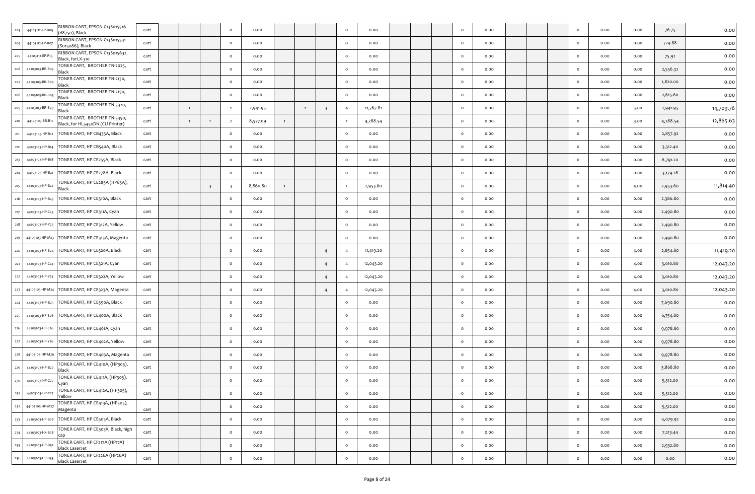| RIBBON CART, EPSON C13S015516                                                      |      |                |                         |                |          |              |                |                |          |           |  |              |      |  |         |      |      |          |           |
|------------------------------------------------------------------------------------|------|----------------|-------------------------|----------------|----------|--------------|----------------|----------------|----------|-----------|--|--------------|------|--|---------|------|------|----------|-----------|
| 44103112-EP-R05<br>#8750), Black                                                   | cart |                |                         | $\circ$        | 0.00     |              |                |                | $\circ$  | 0.00      |  | $\mathsf{o}$ | 0.00 |  | $\circ$ | 0.00 | 0.00 | 76.75    | 0.00      |
| RIBBON CART, EPSON C13S015531<br>44103112-EP-R07<br>(S015086), Black               | cart |                |                         | $\circ$        | 0.00     |              |                |                | $\circ$  | 0.00      |  | $\circ$      | 0.00 |  | $\circ$ | 0.00 | 0.00 | 724.88   | 0.00      |
| RIBBON CART, EPSON C13S015632,<br>44103112-EP-R13<br>Black, forLX-310              | cart |                |                         | $\circ$        | 0.00     |              |                |                |          | 0.00      |  | $\circ$      | 0.00 |  | $\circ$ | 0.00 | 0.00 | 75.92    | 0.00      |
| TONER CART, BROTHER TN-2025,<br>44103103-BR-B03<br>Black                           | cart |                |                         | $\circ$        | 0.00     |              |                |                | $\circ$  | 0.00      |  | $\circ$      | 0.00 |  | $\circ$ | 0.00 | 0.00 | 2,556.32 | 0.00      |
| TONER CART, BROTHER TN-2130,<br>44103103-BR-Bo<br>Black                            | cart |                |                         | $\circ$        | 0.00     |              |                |                | $\circ$  | 0.00      |  | $\circ$      | 0.00 |  | $\circ$ | 0.00 | 0.00 | 1,820.00 | 0.00      |
| TONER CART, BROTHER TN-2150,<br>44103103-BR-Bos<br>Black                           | cart |                |                         | $\circ$        | 0.00     |              |                |                | $\Omega$ | 0.00      |  | $\circ$      | 0.00 |  | $\circ$ | 0.00 | 0.00 | 2,615.60 | 0.00      |
| TONER CART, BROTHER TN-3320,<br>44103103-BR-Bog<br>Black                           | cart | $\overline{1}$ |                         | $\overline{1}$ | 2,941.95 |              | $\overline{1}$ | - 3            |          | 11,767.81 |  | $\circ$      | 0.00 |  | $\circ$ | 0.00 | 5.00 | 2,941.95 | 14,709.76 |
| TONER CART, BROTHER TN-3350,<br>44103103-BR-B1<br>Black, for HL5450DN (CU Printer) | cart | $\overline{1}$ |                         | $\overline{2}$ | 8,577.09 | $\mathbf{1}$ |                |                |          | 4,288.54  |  | $\circ$      | 0.00 |  | $\circ$ | 0.00 | 3.00 | 4,288.54 | 12,865.63 |
| TONER CART, HP CB435A, Black<br>44103103-HP-B12                                    | cart |                |                         | $\circ$        | 0.00     |              |                |                | $\Omega$ | 0.00      |  | $\circ$      | 0.00 |  | $\circ$ | 0.00 | 0.00 | 2,857.92 | 0.00      |
| TONER CART, HP CB540A, Black<br>44103103-HP-B14                                    | cart |                |                         | $\circ$        | 0.00     |              |                |                |          | 0.00      |  | $\circ$      | 0.00 |  | $\circ$ | 0.00 | 0.00 | 3,312.40 | 0.00      |
| TONER CART, HP CE255A, Black<br>44103103-HP-B18                                    | cart |                |                         | $\circ$        | 0.00     |              |                |                | $\circ$  | 0.00      |  | $\circ$      | 0.00 |  | $\circ$ | 0.00 | 0.00 | 6,791.20 | 0.00      |
| TONER CART, HP CE278A, Black<br>44103103-HP-B21                                    | cart |                |                         | $\circ$        | 0.00     |              |                |                | $\circ$  | 0.00      |  | $\circ$      | 0.00 |  | $\circ$ | 0.00 | 0.00 | 3,179.28 | 0.00      |
| TONER CART, HP CE285A (HP85A),<br>44103103-HP-B22<br>Black                         | cart |                | $\overline{\mathbf{3}}$ | -3             | 8,860.80 | $\mathbf{1}$ |                |                |          | 2,953.60  |  | $\circ$      | 0.00 |  | $\circ$ | 0.00 | 4.00 | 2,953.60 | 11,814.40 |
| TONER CART, HP CE310A, Black<br>44103103-HP-B23                                    | cart |                |                         | $\circ$        | 0.00     |              |                |                | $\circ$  | 0.00      |  | $\circ$      | 0.00 |  | $\circ$ | 0.00 | 0.00 | 2,386.80 | 0.00      |
| TONER CART, HP CE311A, Cyan<br>44103103-HP-C23                                     | cart |                |                         | $\circ$        | 0.00     |              |                |                | $\Omega$ | 0.00      |  | $\mathsf{o}$ | 0.00 |  | $\circ$ | 0.00 | 0.00 | 2,490.80 | 0.00      |
| TONER CART, HP CE312A, Yellow<br>44103103-HP-Y23                                   | cart |                |                         | $\circ$        | 0.00     |              |                |                | $\circ$  | 0.00      |  | $\circ$      | 0.00 |  | $\circ$ | 0.00 | 0.00 | 2,490.80 | 0.00      |
| TONER CART, HP CE313A, Magenta<br>44103103-HP-M23                                  | cart |                |                         | $\circ$        | 0.00     |              |                |                | $\circ$  | 0.00      |  | $\circ$      | 0.00 |  | $\circ$ | 0.00 | 0.00 | 2,490.80 | 0.00      |
| TONER CART, HP CE320A, Black<br>44103103-HP-B24                                    | cart |                |                         | $\circ$        | 0.00     |              |                |                |          | 11,419.20 |  | $\mathsf{o}$ | 0.00 |  | $\circ$ | 0.00 | 4.00 | 2,854.80 | 11,419.20 |
| TONER CART, HP CE321A, Cyan<br>44103103-HP-C24                                     | cart |                |                         | $\circ$        | 0.00     |              |                | $\overline{4}$ |          | 12,043.20 |  | $\circ$      | 0.00 |  | $\circ$ | 0.00 | 4.00 | 3,010.80 | 12,043.20 |
| TONER CART, HP CE322A, Yellow<br>44103103-HP-Y24<br>222                            | cart |                |                         | $\circ$        | 0.00     |              |                | $\overline{4}$ |          | 12,043.20 |  | $\circ$      | 0.00 |  | $\circ$ | 0.00 | 4.00 | 3,010.80 | 12,043.20 |
| TONER CART, HP CE323A, Magenta<br>44103103-HP-M24                                  | cart |                |                         | $\circ$        | 0.00     |              |                | $\overline{a}$ |          | 12,043.20 |  | $\circ$      | 0.00 |  | $\circ$ | 0.00 | 4.00 | 3,010.80 | 12,043.20 |
| TONER CART, HP CE390A, Black<br>44103103-HP-B25                                    | cart |                |                         | $\circ$        | 0.00     |              |                |                | $\Omega$ | 0.00      |  | $\mathsf{o}$ | 0.00 |  | $\circ$ | 0.00 | 0.00 | 7,690.80 | 0.00      |
| TONER CART, HP CE400A, Black<br>44103103-HP-B26                                    | cart |                |                         | $\circ$        | 0.00     |              |                |                | $\circ$  | 0.00      |  | $\circ$      | 0.00 |  | $\circ$ | 0.00 | 0.00 | 6,754.80 | 0.00      |
| 44103103-HP-C26<br>TONER CART, HP CE401A, Cyan                                     | cart |                |                         | $\circ$        | 0.00     |              |                |                | $\Omega$ | 0.00      |  | $\circ$      | 0.00 |  | $\circ$ | 0.00 | 0.00 | 9,978.80 | 0.00      |
| 44103103-HP-Y26<br>TONER CART, HP CE402A, Yellow<br>227                            | cart |                |                         | $\circ$        | 0.00     |              |                |                | $\circ$  | 0.00      |  | $\mathsf{o}$ | 0.00 |  | $\circ$ | 0.00 | 0.00 | 9,978.80 | 0.00      |
| TONER CART, HP CE403A, Magenta<br>44103103-HP-M26                                  | cart |                |                         | $\circ$        | 0.00     |              |                |                | $\circ$  | 0.00      |  | $\mathsf{o}$ | 0.00 |  | $\circ$ | 0.00 | 0.00 | 9,978.80 | 0.00      |
| TONER CART, HP CE410A, (HP305),<br>44103103-HP-B27<br>229<br>Black                 | cart |                |                         | $\circ$        | 0.00     |              |                |                | $\circ$  | 0.00      |  | $\circ$      | 0.00 |  | $\circ$ | 0.00 | 0.00 | 3,868.80 | 0.00      |
| TONER CART, HP CE411A, (HP305),<br>44103103-HP-C27<br>230<br>Cydli                 | cart |                |                         | $\circ$        | 0.00     |              |                |                | $\Omega$ | 0.00      |  | $\circ$      | 0.00 |  | $\circ$ | 0.00 | 0.00 | 5,512.00 | 0.00      |
| TONER CART, HP CE412A, (HP305),<br>231<br>44103103-HP-Y27<br>Yellow                | cart |                |                         | $\circ$        | 0.00     |              |                |                | $\circ$  | 0.00      |  | $\circ$      | 0.00 |  | $\circ$ | 0.00 | 0.00 | 5,512.00 | 0.00      |
| TONER CART, HP CE413A, (HP305),<br>232<br>44103103-HP-M2;<br>Magenta               | cart |                |                         | $\circ$        | 0.00     |              |                |                | $\circ$  | 0.00      |  | $\circ$      | 0.00 |  | $\circ$ | 0.00 | 0.00 | 5,512.00 | 0.00      |
| 44103103-HP-B28 TONER CART, HP CE505A, Black<br>233                                | cart |                |                         | $\circ$        | 0.00     |              |                |                | $\circ$  | 0.00      |  | $\circ$      | 0.00 |  | $\circ$ | 0.00 | 0.00 | 4,079.92 | 0.00      |
| TONER CART, HP CE505X, Black, high<br>234<br>44103103-HX-B28<br>cap                | cart |                |                         | $\circ$        | 0.00     |              |                |                | $\circ$  | 0.00      |  | $\circ$      | 0.00 |  | $\circ$ | 0.00 | 0.00 | 7,213.44 | 0.00      |
| TONER CART, HP CF217A (HP17A)<br>44103103-HP-B52<br>235<br><b>Black LaserJet</b>   | cart |                |                         | $\circ$        | 0.00     |              |                |                | $\circ$  | 0.00      |  | $\circ$      | 0.00 |  | $\circ$ | 0.00 | 0.00 | 2,932.80 | 0.00      |
| TONER CART, HP CF226A (HP26A)<br>236<br>44103103-HP-B53<br><b>Black LaserJet</b>   | cart |                |                         | $\circ$        | 0.00     |              |                |                | $\circ$  | 0.00      |  | $\circ$      | 0.00 |  | $\circ$ | 0.00 | 0.00 | 0.00     | 0.00      |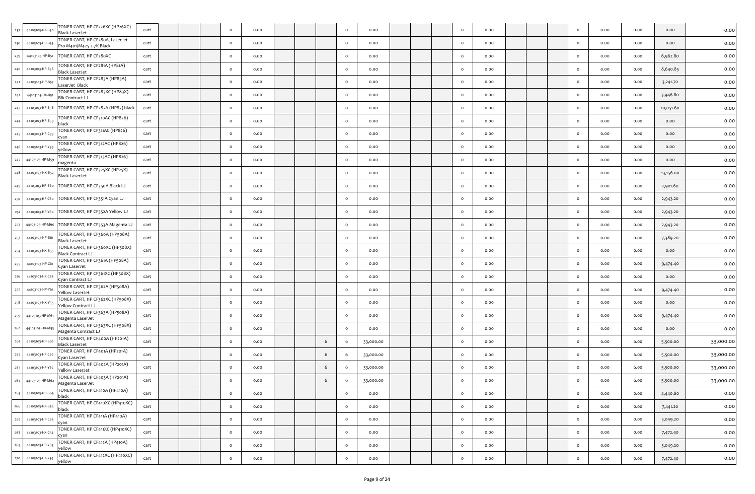| 237 | 44103103-HX-B50 | TONER CART, HP CF226XC (HP26XC)<br><b>Black LaserJet</b>    | cart |  | $\circ$  | 0.00 |  |    | $\circ$ | 0.00      |  | $\circ$      | 0.00 |  | $\Omega$ | 0.00 | 0.00 | 0.00      | 0.00      |
|-----|-----------------|-------------------------------------------------------------|------|--|----------|------|--|----|---------|-----------|--|--------------|------|--|----------|------|------|-----------|-----------|
| 238 | 44103103-HP-B55 | TONER CART, HP CF28oA, LaserJet<br>Pro M401/M425 2.7K Black | cart |  | $\circ$  | 0.00 |  |    | $\circ$ | 0.00      |  | $\mathsf{o}$ | 0.00 |  | $\circ$  | 0.00 | 0.00 | 0.00      | 0.00      |
| 239 | 44103103-HP-B51 | TONER CART, HP CF280XC                                      | cart |  | $\circ$  | 0.00 |  |    | $\circ$ | 0.00      |  | $\circ$      | 0.00 |  | $\Omega$ | 0.00 | 0.00 | 6,962.80  | 0.00      |
| 240 | 44103103-HP-B56 | TONER CART, HP CF281A (HP81A)<br>Black LaserJet             | cart |  | $\circ$  | 0.00 |  |    | $\circ$ | 0.00      |  | $\circ$      | 0.00 |  | $\Omega$ | 0.00 | 0.00 | 8,640.85  | 0.00      |
| 241 | 44103103-HP-B5  | TONER CART, HP CF283A (HP83A)<br>LaserJet Black             | cart |  | $\circ$  | 0.00 |  |    | $\circ$ | 0.00      |  | $\circ$      | 0.00 |  | $\Omega$ | 0.00 | 0.00 | 3,241.70  | 0.00      |
| 242 | 44103103-HX-B51 | TONER CART, HP CF283XC (HP83X)<br>Blk Contract LJ           | cart |  | $\circ$  | 0.00 |  |    | $\circ$ | 0.00      |  | $\circ$      | 0.00 |  | $\Omega$ | 0.00 | 0.00 | 3,946.80  | 0.00      |
| 243 | 44103103-HP-B58 | TONER CART, HP CF287A (HP87) black                          | cart |  | $\circ$  | 0.00 |  |    | $\circ$ | 0.00      |  | $\circ$      | 0.00 |  | $\Omega$ | 0.00 | 0.00 | 10,051.60 | 0.00      |
| 244 | 44103103-HP-B59 | TONER CART, HP CF310AC (HP826)<br>black                     | cart |  | $\circ$  | 0.00 |  |    | $\circ$ | 0.00      |  | $\circ$      | 0.00 |  | $\Omega$ | 0.00 | 0.00 | 0.00      | 0.00      |
| 245 | 44103103-HP-C59 | TONER CART, HP CF311AC (HP826)<br>ːvan                      | cart |  | $\circ$  | 0.00 |  |    | $\circ$ | 0.00      |  | $\circ$      | 0.00 |  | $\Omega$ | 0.00 | 0.00 | 0.00      | 0.00      |
| 246 | 44103103-HP-Y59 | TONER CART, HP CF312AC (HP826)<br>yellow                    | cart |  | $\circ$  | 0.00 |  |    | $\circ$ | 0.00      |  | $\circ$      | 0.00 |  | $\Omega$ | 0.00 | 0.00 | 0.00      | 0.00      |
| 247 | 44103103-HP-M59 | TONER CART, HP CF313AC (HP826)<br>magenta                   | cart |  | $\circ$  | 0.00 |  |    | $\circ$ | 0.00      |  | $\circ$      | 0.00 |  | $\Omega$ | 0.00 | 0.00 | 0.00      | 0.00      |
| 248 | 44103103-HX-B52 | TONER CART, HP CF325XC (HP25X)<br>Black LaserJet            | cart |  | $\circ$  | 0.00 |  |    | $\circ$ | 0.00      |  | $\circ$      | 0.00 |  | $\Omega$ | 0.00 | 0.00 | 13,156.00 | 0.00      |
| 249 | 44103103-HP-B60 | TONER CART, HP CF350A Black LJ                              | cart |  | $\circ$  | 0.00 |  |    | $\circ$ | 0.00      |  | $\circ$      | 0.00 |  | $\Omega$ | 0.00 | 0.00 | 2,901.60  | 0.00      |
| 250 |                 | 44103103-HP-C60 TONER CART, HP CF351A Cyan LJ               | cart |  | $\circ$  | 0.00 |  |    | $\circ$ | 0.00      |  | $\circ$      | 0.00 |  | $\Omega$ | 0.00 | 0.00 | 2,943.20  | 0.00      |
| 251 |                 | 44103103-HP-Y60 TONER CART, HP CF352A Yellow LJ             | cart |  | $\circ$  | 0.00 |  |    | $\circ$ | 0.00      |  | $\circ$      | 0.00 |  | $\Omega$ | 0.00 | 0.00 | 2,943.20  | 0.00      |
| 252 |                 | 44103103-HP-M60 TONER CART, HP CF353A Magenta LJ            | cart |  | $\circ$  | 0.00 |  |    | $\circ$ | 0.00      |  | $\circ$      | 0.00 |  | $\circ$  | 0.00 | 0.00 | 2,943.20  | 0.00      |
| 253 | 44103103-HP-B61 | TONER CART, HP CF360A (HP508A)<br><b>Black LaserJet</b>     | cart |  | $\circ$  | 0.00 |  |    | $\circ$ | 0.00      |  | $\circ$      | 0.00 |  | $\circ$  | 0.00 | 0.00 | 7,389.20  | 0.00      |
| 254 | 44103103-HX-B53 | TONER CART, HP CF360XC (HP508X)<br>Black Contract LJ        | cart |  | $\circ$  | 0.00 |  |    | $\circ$ | 0.00      |  | $\circ$      | 0.00 |  | $\Omega$ | 0.00 | 0.00 | 0.00      | 0.00      |
| 255 | 44103103-HP-C61 | TONER CART, HP CF361A (HP508A)<br>Iyan LaserJet             | cart |  | $\circ$  | 0.00 |  |    | $\circ$ | 0.00      |  | $\circ$      | 0.00 |  |          | 0.00 | 0.00 | 9,474.40  | 0.00      |
| 256 | 44103103-HX-C53 | TONER CART, HP CF361XC (HP508X)<br>Cyan Contract LJ         | cart |  | $\circ$  | 0.00 |  |    | $\circ$ | 0.00      |  | $\circ$      | 0.00 |  | $\circ$  | 0.00 | 0.00 | 0.00      | 0.00      |
| 257 | 44103103-HP-Y61 | TONER CART, HP CF362A (HP508A)<br>Yellow LaserJet           | cart |  | $\circ$  | 0.00 |  |    | $\circ$ | 0.00      |  | $\circ$      | 0.00 |  | $\Omega$ | 0.00 | 0.00 | 9,474.40  | 0.00      |
| 258 | 44103103-HX-Y53 | TONER CART, HP CF362XC (HP508X)<br>Yellow Contract LJ       | cart |  | $\circ$  | 0.00 |  |    | $\circ$ | 0.00      |  | $\circ$      | 0.00 |  | $\circ$  | 0.00 | 0.00 | 0.00      | 0.00      |
| 259 | 44103103-HP-M61 | TONER CART, HP CF363A (HP508A)<br>Magenta LaserJet          | cart |  | $\circ$  | 0.00 |  |    | $\circ$ | 0.00      |  | $\circ$      | 0.00 |  | $\Omega$ | 0.00 | 0.00 | 9,474.40  | 0.00      |
| 260 | 44103103-HX-M5  | TONER CART, HP CF363XC (HP508X)<br>Magenta Contract LJ      | cart |  | $\circ$  | 0.00 |  |    | $\circ$ | 0.00      |  | $\circ$      | 0.00 |  | $\circ$  | 0.00 | 0.00 | 0.00      | 0.00      |
| 261 | 44103103-HP-B62 | TONER CART, HP CF400A (HP201A)<br>Black LaserJet            | cart |  | $\circ$  | 0.00 |  | 6  | 6       | 33,000.00 |  | $\circ$      | 0.00 |  | $\circ$  | 0.00 | 6.00 | 5,500.00  | 33,000.00 |
| 262 | 44103103-HP-C62 | TONER CART, HP CF401A (HP201A)<br>Cyan LaserJet             | cart |  | $\circ$  | 0.00 |  | -6 | 6       | 33,000.00 |  | $\circ$      | 0.00 |  | $\Omega$ | 0.00 | 6.00 | 5,500.00  | 33,000.00 |
| 263 | 44103103-HP-Y62 | TONER CART, HP CF402A (HP201A)<br>Yellow LaserJet           | cart |  | $\circ$  | 0.00 |  | 6  | 6       | 33,000.00 |  | $\circ$      | 0.00 |  | $\Omega$ | 0.00 | 6.00 | 5,500.00  | 33,000.00 |
| 264 | 44103103-HP-M62 | TONER CART, HP CF403A (HP201A)<br>Magenta LaserJet          | cart |  | $\Omega$ | 0.00 |  | -6 | -6      | 33,000.00 |  | $\Omega$     | 0.00 |  | $\Omega$ | 0.00 | 6.00 | 5,500.00  | 33,000.00 |
| 265 | 44103103-HP-B63 | TONER CART, HP CF410A (HP410A)<br>black                     | cart |  | $\circ$  | 0.00 |  |    | $\circ$ | 0.00      |  | $\circ$      | 0.00 |  | $\circ$  | 0.00 | 0.00 | 4,440.80  | 0.00      |
| 266 | 44103103-HX-B54 | TONER CART, HP CF410XC (HP410XC)<br>black                   | cart |  | $\circ$  | 0.00 |  |    | $\circ$ | 0.00      |  | $\circ$      | 0.00 |  | $\circ$  | 0.00 | 0.00 | 7,441.20  | 0.00      |
| 267 | 44103103-HP-C63 | TONER CART, HP CF411A (HP410A)<br>cyan                      | cart |  | $\circ$  | 0.00 |  |    | $\circ$ | 0.00      |  | $\circ$      | 0.00 |  | $\circ$  | 0.00 | 0.00 | 5,049.20  | 0.00      |
| 268 | 44103103-HX-C54 | TONER CART, HP CF411XC (HP410XC)<br>cyan                    | cart |  | $\circ$  | 0.00 |  |    | $\circ$ | 0.00      |  | $\circ$      | 0.00 |  | $\circ$  | 0.00 | 0.00 | 7,472.40  | 0.00      |
| 269 | 44103103-HP-Y63 | TONER CART, HP CF412A (HP410A)<br>yellow                    | cart |  | $\circ$  | 0.00 |  |    | $\circ$ | 0.00      |  | $\circ$      | 0.00 |  | $\circ$  | 0.00 | 0.00 | 5,049.20  | 0.00      |
| 270 | 44103103-HX-Y54 | TONER CART, HP CF412XC (HP410XC)<br>yellow                  | cart |  | $\circ$  | 0.00 |  |    | $\circ$ | 0.00      |  | $\mathsf{o}$ | 0.00 |  | $\circ$  | 0.00 | 0.00 | 7,472.40  | 0.00      |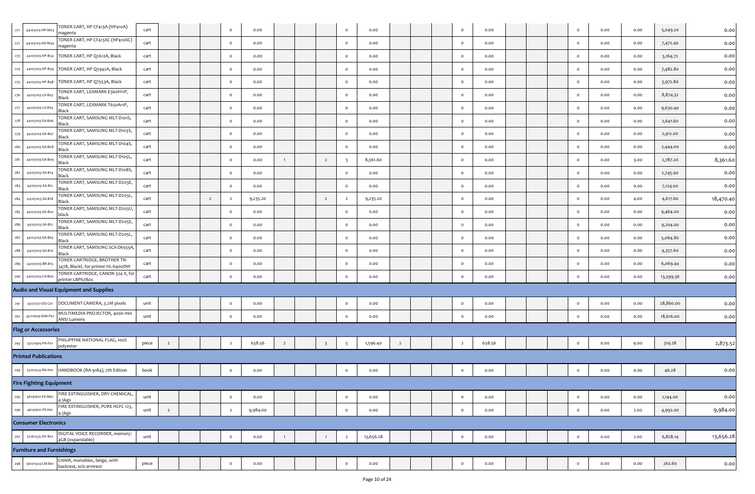| 271 | 44103103-HP-M63                  | TONER CART, HP CF413A (HP410A)<br>magenta                           | cart  |                |                | $\circ$        | 0.00     |                |                         | $\circ$                 | 0.00      |                |  | $\circ$        | 0.00   |  | $\circ$ | 0.00 | 0.00 | 5,049.20  | 0.00      |
|-----|----------------------------------|---------------------------------------------------------------------|-------|----------------|----------------|----------------|----------|----------------|-------------------------|-------------------------|-----------|----------------|--|----------------|--------|--|---------|------|------|-----------|-----------|
| 272 | 44103103-HX-M54                  | TONER CART, HP CF413XC (HP410XC)<br>magenta                         | cart  |                |                | $\circ$        | 0.00     |                |                         | $\circ$                 | 0.00      |                |  | $\circ$        | 0.00   |  | $\circ$ | 0.00 | 0.00 | 7,472.40  | 0.00      |
| 273 | 44103103-HP-B34                  | TONER CART, HP Q2612A, Black                                        | cart  |                |                | $\circ$        | 0.00     |                |                         | $\circ$                 | 0.00      |                |  | $\circ$        | 0.00   |  | $\circ$ | 0.00 | 0.00 | 3,164.72  | 0.00      |
| 274 | 44103103-HP-B39                  | TONER CART, HP Q5942A, Black                                        | cart  |                |                | $\circ$        | 0.00     |                |                         | $\circ$                 | 0.00      |                |  | $\circ$        | 0.00   |  | $\circ$ | 0.00 | 0.00 | 7,482.80  | 0.00      |
| 275 | 44103103-HP-B48                  | TONER CART, HP Q7553A, Black                                        | cart  |                |                | $\circ$        | 0.00     |                |                         | $\circ$                 | 0.00      |                |  | $\circ$        | 0.00   |  | $\circ$ | 0.00 | 0.00 | 3,972.80  | 0.00      |
| 276 | 44103103-LX-B03                  | TONER CART, LEXMARK E360H11P,<br>Black                              | cart  |                |                | $\circ$        | 0.00     |                |                         | $\circ$                 | 0.00      |                |  | $\circ$        | 0.00   |  | $\circ$ | 0.00 | 0.00 | 8,874.32  | 0.00      |
| 277 | 44103103-LX-B05                  | TONER CART, LEXMARK T650A11P,<br>Black                              | cart  |                |                | $\circ$        | 0.00     |                |                         | $\circ$                 | 0.00      |                |  | $\circ$        | 0.00   |  | $\circ$ | 0.00 | 0.00 | 9,630.40  | 0.00      |
| 278 | 44103103-SA-B06                  | TONER CART, SAMSUNG MLT-D101S,<br>Black                             | cart  |                |                | $\mathbf{o}$   | 0.00     |                |                         | $\circ$                 | 0.00      |                |  | $\circ$        | 0.00   |  | $\circ$ | 0.00 | 0.00 | 2,641.60  | 0.00      |
| 279 | 44103103-SA-B07                  | TONER CART, SAMSUNG MLT-D103S,<br>Black                             | cart  |                |                | $\circ$        | 0.00     |                |                         | $\circ$                 | 0.00      |                |  | $\circ$        | 0.00   |  | $\circ$ | 0.00 | 0.00 | 2,912.00  | 0.00      |
| 280 | 44103103-SA-B08                  | TONER CART, SAMSUNG MLT-D104S,<br>Black                             | cart  |                |                | $\circ$        | 0.00     |                |                         | $\circ$                 | 0.00      |                |  | $\circ$        | 0.00   |  | $\circ$ | 0.00 | 0.00 | 2,444.00  | 0.00      |
| 281 | 44103103-SA-Bo9                  | TONER CART, SAMSUNG MLT-D105L,<br>Black                             | cart  |                |                | $\mathbf{o}$   | 0.00     | 1              | $\overline{2}$          | $\overline{\mathbf{3}}$ | 8,361.60  |                |  | $\circ$        | 0.00   |  | $\circ$ | 0.00 | 3.00 | 2,787.20  | 8,361.60  |
| 282 | 44103103-SA-B14                  | TONER CART, SAMSUNG MLT-D108S,<br>Black                             | cart  |                |                | $\circ$        | 0.00     |                |                         | $\circ$                 | 0.00      |                |  | $\circ$        | 0.00   |  | $\circ$ | 0.00 | 0.00 | 2,745.60  | 0.00      |
| 283 | 44103103-SA-B21                  | TONER CART, SAMSUNG MLT-D203E,<br>Black                             | cart  |                |                | $\circ$        | 0.00     |                |                         | $\circ$                 | 0.00      |                |  | $\circ$        | 0.00   |  | $\circ$ | 0.00 | 0.00 | 7,124.00  | 0.00      |
| 284 | 44103103-SA-B18                  | TONER CART, SAMSUNG MLT-D203L,<br>Black                             | cart  |                | $\overline{2}$ | $\overline{2}$ | 9,235.20 |                | $\overline{2}$          | $\overline{2}$          | 9,235.20  |                |  | $\circ$        | 0.00   |  | $\circ$ | 0.00 | 4.00 | 4,617.60  | 18,470.40 |
| 285 | 44103103-SA-B20                  | TONER CART, SAMSUNG MLT-D203U,<br>olack                             | cart  |                |                | $\circ$        | 0.00     |                |                         | $\circ$                 | 0.00      |                |  | $\circ$        | 0.00   |  | $\circ$ | 0.00 | 0.00 | 9,464.00  | 0.00      |
| 286 | 44103103-SA-B12                  | TONER CART, SAMSUNG MLT-D205E,<br>Black                             | cart  |                |                | $\circ$        | 0.00     |                |                         | $\circ$                 | 0.00      |                |  | $\circ$        | 0.00   |  | $\circ$ | 0.00 | 0.00 | 9,204.00  | 0.00      |
| 287 | 44103103-SA-B05                  | TONER CART, SAMSUNG MLT-D205L,<br>Black                             | cart  |                |                | $\mathbf{o}$   | 0.00     |                |                         | $\circ$                 | 0.00      |                |  | $\circ$        | 0.00   |  | $\circ$ | 0.00 | 0.00 | 5,064.80  | 0.00      |
| 288 | 44103103-SA-B10                  | TONER CART, SAMSUNG SCX-D6555A,<br>Black                            | cart  |                |                | $\circ$        | 0.00     |                |                         | $\circ$                 | 0.00      |                |  | $\circ$        | 0.00   |  | $\circ$ | 0.00 | 0.00 | 4,357.60  | 0.00      |
| 289 | 44103103-BR-B15                  | TONER CARTRIDGE, BROTHER TN-<br>3478, Blackf, for printer HL-6400DW | cart  |                |                | $\circ$        | 0.00     |                |                         | $\circ$                 | 0.00      |                |  | $\circ$        | 0.00   |  | $\circ$ | 0.00 | 0.00 | 6,069.44  | 0.00      |
| 290 | 44103103-CA-Boo                  | TONER CARTRIDGE, CANON 324 II, for<br>printer LBP678ox              | cart  |                |                | $\mathbf{o}$   | 0.00     |                |                         | $\mathsf{o}$            | 0.00      |                |  | $\circ$        | 0.00   |  | $\circ$ | 0.00 | 0.00 | 13,399.36 | 0.00      |
|     |                                  | Audio and Visual Equipment and Supplies                             |       |                |                |                |          |                |                         |                         |           |                |  |                |        |  |         |      |      |           |           |
| 291 | 45121517-DO-C01                  | DOCUMENT CAMERA, 3.2M pixels                                        | unit  |                |                | $\circ$        | 0.00     |                |                         | $\circ$                 | 0.00      |                |  | $\circ$        | 0.00   |  | $\circ$ | 0.00 | 0.00 | 28,860.00 | 0.00      |
| 292 | 45111609-MM-P01                  | MULTIMEDIA PROJECTOR, 4000 min<br><b>ANSI Lumens</b>                | unit  |                |                | $\circ$        | 0.00     |                |                         | $\circ$                 | 0.00      |                |  | $\circ$        | 0.00   |  | $\circ$ | 0.00 | 0.00 | 18,616.00 | 0.00      |
|     | <b>Flag or Accessories</b>       |                                                                     |       |                |                |                |          |                |                         |                         |           |                |  |                |        |  |         |      |      |           |           |
| 293 | 55121905-PH-F01                  | PHILIPPINE NATIONAL FLAG, 100%<br>polyester                         | piece | $\overline{2}$ |                | $\overline{2}$ | 638.56   | $\overline{2}$ | $\overline{\mathbf{3}}$ | $\overline{5}$          | 1,596.40  | $\overline{2}$ |  | $\overline{2}$ | 638.56 |  | $\circ$ | 0.00 | 9.00 | 319.28    | 2,873.52  |
|     | <b>Printed Publications</b>      |                                                                     |       |                |                |                |          |                |                         |                         |           |                |  |                |        |  |         |      |      |           |           |
| 294 | 55101524-RA-H01                  | HANDBOOK (RA 9184), 7th Edition                                     | book  |                |                | $\circ$        | 0.00     |                |                         | $\circ$                 | 0.00      |                |  | $\circ$        | 0.00   |  | $\circ$ | 0.00 | 0.00 | 46.28     | 0.00      |
|     | <b>Fire Fighting Equipment</b>   |                                                                     |       |                |                |                |          |                |                         |                         |           |                |  |                |        |  |         |      |      |           |           |
| 295 | 46191601-FE-M01                  | FIRE EXTINGUISHER, DRY CHEMICAL,<br>4.5kgs                          | unit  |                |                | $\mathbf 0$    | 0.00     |                |                         | $\circ$                 | 0.00      |                |  | $\circ$        | 0.00   |  | $\circ$ | 0.00 | 0.00 | 1,144.00  | 0.00      |
| 296 | 46191601-FE-H01                  | FIRE EXTINGUISHER, PURE HCFC 123,<br>4.5kgs                         | unit  | $\overline{2}$ |                | $\overline{2}$ | 9,984.00 |                |                         | $\circ$                 | 0.00      |                |  | $\circ$        | 0.00   |  | $\circ$ | 0.00 | 2.00 | 4,992.00  | 9,984.00  |
|     | <b>Consumer Electronics</b>      |                                                                     |       |                |                |                |          |                |                         |                         |           |                |  |                |        |  |         |      |      |           |           |
| 297 | 52161535-DV-R01                  | DIGITAL VOICE RECORDER, memory:<br>4GB (expandable)                 | unit  |                |                | $\circ$        | 0.00     | 1              | $\overline{1}$          | $\overline{2}$          | 13,656.28 |                |  | $\circ$        | 0.00   |  | $\circ$ | 0.00 | 2.00 | 6,828.14  | 13,656.28 |
|     | <b>Furniture and Furnishings</b> |                                                                     |       |                |                |                |          |                |                         |                         |           |                |  |                |        |  |         |      |      |           |           |
| 298 | 56101504-CM-B01                  | CHAIR, monobloc, beige, with<br>backrest, w/o armrest               | piece |                |                | $\circ$        | 0.00     |                |                         | $\circ$                 | 0.00      |                |  | $\circ$        | 0.00   |  | $\circ$ | 0.00 | 0.00 | 262.60    | 0.00      |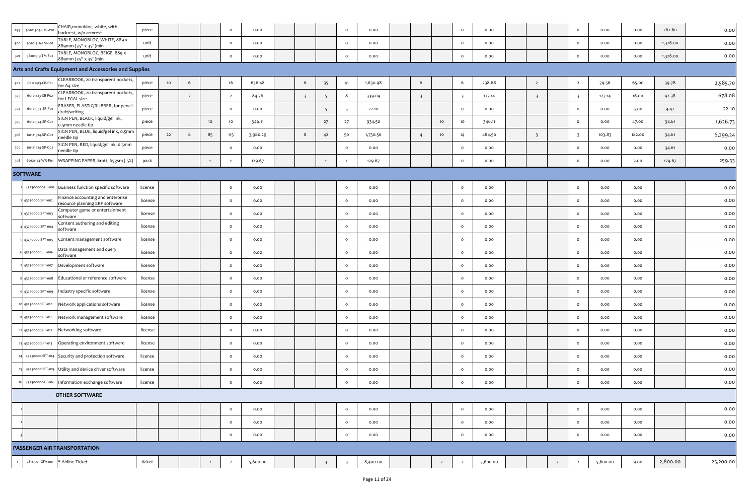| 299 | 56101504-CM-W01     | CHAIR,monobloc, white, with<br>backrest, w/o armrest                | piece   |    |                |                | $\circ$        | 0.00     |                         |                         | $\circ$ | 0.00     |                         |                | $\circ$                 | 0.00     |                         |                | $\circ$                 | 0.00     | 0.00   | 262.60   | 0.00      |
|-----|---------------------|---------------------------------------------------------------------|---------|----|----------------|----------------|----------------|----------|-------------------------|-------------------------|---------|----------|-------------------------|----------------|-------------------------|----------|-------------------------|----------------|-------------------------|----------|--------|----------|-----------|
| 300 | 56101519-TM-S01     | TABLE, MONOBLOC, WHITE, 889 x<br>889mm (35" x 35")min               | unit    |    |                |                | $\circ$        | 0.00     |                         |                         | $\circ$ | 0.00     |                         |                | $\circ$                 | 0.00     |                         |                | $\circ$                 | 0.00     | 0.00   | 1,326.00 | 0.00      |
| 301 | 56101519-TM-S02     | TABLE, MONOBLOC, BEIGE, 889 x<br>889mm (35" x 35")min               | unit    |    |                |                | $\circ$        | 0.00     |                         |                         | $\circ$ | 0.00     |                         |                | $\circ$                 | 0.00     |                         |                | $\circ$                 | 0.00     | 0.00   | 1,326.00 | 0.00      |
|     |                     | Arts and Crafts Equipment and Accessories and Supplies              |         |    |                |                |                |          |                         |                         |         |          |                         |                |                         |          |                         |                |                         |          |        |          |           |
| 302 | 60121413-CB-P01     | CLEARBOOK, 20 transparent pockets,<br>for A4 size                   | piece   | 10 | 6              |                | 16             | 636.48   | 6                       | 35                      | 41      | 1,630.98 | 6                       |                | 6                       | 238.68   | $\overline{2}$          |                | $\overline{2}$          | 79.56    | 65.00  | 39.78    | 2,585.70  |
| 303 | 60121413-CB-P02     | CLEARBOOK, 20 transparent pockets,<br>or LEGAL size                 | piece   |    | $\overline{2}$ |                | $\overline{2}$ | 84.76    | $\overline{\mathbf{3}}$ | 5                       | 8       | 339.04   | $\overline{\mathbf{3}}$ |                | $\overline{\mathbf{3}}$ | 127.14   | $\overline{\mathbf{3}}$ |                | $\overline{\mathbf{3}}$ | 127.14   | 16.00  | 42.38    | 678.08    |
| 304 | 60121534-ER-P01     | ERASER, PLASTIC/RUBBER, for pencil<br>draft/writing                 | piece   |    |                |                | $\circ$        | 0.00     |                         | $5\overline{5}$         | -5      | 22.10    |                         |                | $\circ$                 | 0.00     |                         |                | $\circ$                 | 0.00     | 5.00   | 4.42     | 22.10     |
| 305 | 60121524-SP-G01     | SIGN PEN, BLACK, liquid/gel ink,<br>0.5mm needle tip                | piece   |    |                | 10             | $10$           | 346.11   |                         | 27                      | 27      | 934.50   |                         | 10             | 10                      | 346.11   |                         |                | $\circ$                 | 0.00     | 47.00  | 34.61    | 1,626.73  |
| 306 | 60121524-SP-G02     | SIGN PEN, BLUE, liquid/gel ink, o.5mm<br>eedle tip                  | piece   | 22 | 8              | 85             | 115            | 3,980.29 | $8\phantom{1}$          | 42                      | 50      | 1,730.56 | $\overline{4}$          | 10             | 14                      | 484.56   | $\overline{\mathbf{3}}$ |                | $\overline{\mathbf{3}}$ | 103.83   | 182.00 | 34.61    | 6,299.24  |
| 307 | 60121524-SP-G03     | SIGN PEN, RED, liquid/gel ink, 0.5mm<br>eedle tip                   | piece   |    |                |                | $\circ$        | 0.00     |                         |                         | $\circ$ | 0.00     |                         |                | $\circ$                 | 0.00     |                         |                | $\circ$                 | 0.00     | 0.00   | 34.61    | 0.00      |
| 308 | 60121124-WR-P01     | WRAPPING PAPER, kraft, 65gsm (-5%)                                  | pack    |    |                |                |                | 129.67   |                         | $\overline{1}$          |         | 129.67   |                         |                | $\mathbf{o}$            | 0.00     |                         |                | $\circ$                 | 0.00     | 2.00   | 129.67   | 259.33    |
|     | <b>SOFTWARE</b>     |                                                                     |         |    |                |                |                |          |                         |                         |         |          |                         |                |                         |          |                         |                |                         |          |        |          |           |
|     | 43230000-SFT-001    | Business function specific software                                 | license |    |                |                | $\circ$        | 0.00     |                         |                         | $\circ$ | 0.00     |                         |                | $\circ$                 | 0.00     |                         |                | $\circ$                 | 0.00     | 0.00   |          | 0.00      |
|     | 2 43230000-SFT-002  | Finance accounting and enterprise<br>resource planning ERP software | license |    |                |                | $\circ$        | 0.00     |                         |                         | $\circ$ | 0.00     |                         |                | $\circ$                 | 0.00     |                         |                | $\circ$                 | 0.00     | 0.00   |          | 0.00      |
|     | 3 43230000-SFT-003  | Computer game or entertainment<br>software                          | license |    |                |                | $\circ$        | 0.00     |                         |                         | $\circ$ | 0.00     |                         |                | $\circ$                 | 0.00     |                         |                | $\circ$                 | 0.00     | 0.00   |          | 0.00      |
|     | 43230000-SFT-004    | Content authoring and editing<br>software                           | license |    |                |                | $\circ$        | 0.00     |                         |                         | $\circ$ | 0.00     |                         |                | $\circ$                 | 0.00     |                         |                | $\circ$                 | 0.00     | 0.00   |          | 0.00      |
|     | 5 43230000-SFT-005  | Content management software                                         | license |    |                |                | $\circ$        | 0.00     |                         |                         | $\circ$ | 0.00     |                         |                | $\circ$                 | 0.00     |                         |                | $\circ$                 | 0.00     | 0.00   |          | 0.00      |
|     | 6 43230000-SFT-006  | Data management and query<br>software                               | license |    |                |                | $\circ$        | 0.00     |                         |                         | $\circ$ | 0.00     |                         |                | $\circ$                 | 0.00     |                         |                | $\circ$                 | 0.00     | 0.00   |          | 0.00      |
|     | 43230000-SFT-007    | Development software                                                | license |    |                |                | $\circ$        | 0.00     |                         |                         | $\circ$ | 0.00     |                         |                | $\circ$                 | 0.00     |                         |                | $\circ$                 | 0.00     | 0.00   |          | 0.00      |
|     | 8 43230000-SFT-008  | Educational or reference software                                   | license |    |                |                | $\circ$        | 0.00     |                         |                         | $\circ$ | 0.00     |                         |                | $\circ$                 | 0.00     |                         |                | $\circ$                 | 0.00     | 0.00   |          | 0.00      |
|     | 9 43230000-SFT-009  | Industry specific software                                          | license |    |                |                | $\circ$        | 0.00     |                         |                         | $\circ$ | 0.00     |                         |                | $\circ$                 | 0.00     |                         |                | $\circ$                 | 0.00     | 0.00   |          | 0.00      |
|     | 10 43230000-SFT-010 | Network applications software                                       | license |    |                |                | $\circ$        | 0.00     |                         |                         | $\circ$ | 0.00     |                         |                | $\circ$                 | 0.00     |                         |                | $\circ$                 | 0.00     | 0.00   |          | 0.00      |
|     | 11 43230000-SFT-011 | Network management software                                         | license |    |                |                | $\circ$        | 0.00     |                         |                         | $\circ$ | 0.00     |                         |                | $\circ$                 | 0.00     |                         |                | $\circ$                 | 0.00     | 0.00   |          | 0.00      |
|     | 12 43230000-SFT-012 | Networking software                                                 | license |    |                |                | $\circ$        | 0.00     |                         |                         | $\circ$ | 0.00     |                         |                | $\circ$                 | 0.00     |                         |                | $\circ$                 | 0.00     | 0.00   |          | 0.00      |
|     | 13 43230000-SFT-013 | Operating environment software                                      | license |    |                |                | $\circ$        | 0.00     |                         |                         | $\circ$ | 0.00     |                         |                | $\circ$                 | 0.00     |                         |                | $\circ$                 | 0.00     | 0.00   |          | 0.00      |
|     | 14 43230000-SFT-014 | Security and protection software                                    | license |    |                |                | $\circ$        | 0.00     |                         |                         | $\circ$ | 0.00     |                         |                | $\circ$                 | 0.00     |                         |                | $\circ$                 | 0.00     | 0.00   |          | 0.00      |
|     | 15 43230000-SFT-015 | Utility and device driver software                                  | license |    |                |                | $\circ$        | 0.00     |                         |                         | $\circ$ | 0.00     |                         |                | $\circ$                 | 0.00     |                         |                | $\circ$                 | 0.00     | 0.00   |          | 0.00      |
|     |                     | 16 43230000-SFT-016 Information exchange software                   | license |    |                |                | $\circ$        | 0.00     |                         |                         | $\circ$ | 0.00     |                         |                | $\circ$                 | 0.00     |                         |                | $\circ$                 | 0.00     | 0.00   |          | 0.00      |
|     |                     | <b>OTHER SOFTWARE</b>                                               |         |    |                |                |                |          |                         |                         |         |          |                         |                |                         |          |                         |                |                         |          |        |          |           |
|     |                     |                                                                     |         |    |                |                | $\circ$        | 0.00     |                         |                         | $\circ$ | 0.00     |                         |                | $\circ$                 | 0.00     |                         |                | $\circ$                 | 0.00     | 0.00   |          | 0.00      |
|     |                     |                                                                     |         |    |                |                | $\circ$        | 0.00     |                         |                         | $\circ$ | 0.00     |                         |                | $\circ$                 | 0.00     |                         |                | $\circ$                 | 0.00     | 0.00   |          | 0.00      |
|     |                     |                                                                     |         |    |                |                | $\Omega$       | 0.00     |                         |                         | $\circ$ | 0.00     |                         |                | $\mathbf{o}$            | 0.00     |                         |                | $\circ$                 | 0.00     | 0.00   |          | 0.00      |
|     |                     | PASSENGER AIR TRANSPORTATION                                        |         |    |                |                |                |          |                         |                         |         |          |                         |                |                         |          |                         |                |                         |          |        |          |           |
|     | 78111501-GFA-001    | * Airline Ticket                                                    | ticket  |    |                | $\overline{2}$ | $\overline{2}$ | 5,600.00 |                         | $\overline{\mathbf{3}}$ | -3      | 8,400.00 |                         | $\overline{2}$ | $\overline{2}$          | 5,600.00 |                         | $\overline{2}$ | $\overline{2}$          | 5,600.00 | 9.00   | 2,800.00 | 25,200.00 |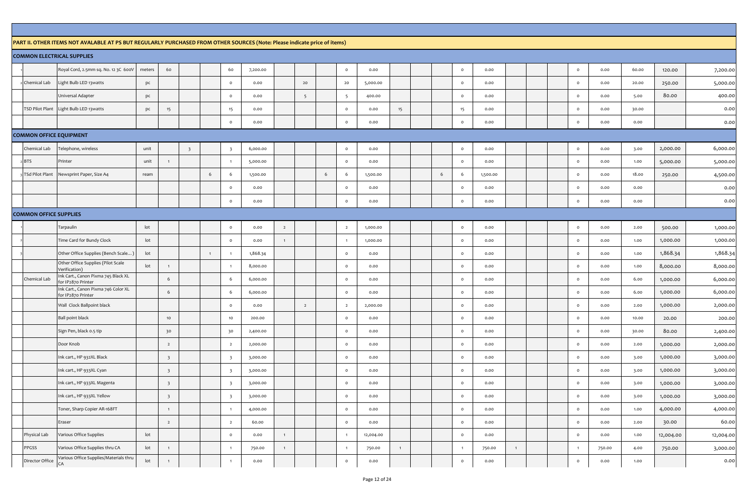## **PART II. OTHER ITEMS NOT AVALABLE AT PS BUT REGULARLY PURCHASED FROM OTHER SOURCES (Note: Please indicate price of items)**

|                                | <b>COMMON ELECTRICAL SUPPLIES</b>                         |                 |                         |                         |                |                         |          |                |                 |   |                 |           |              |       |                |          |              |  |                |        |       |           |           |
|--------------------------------|-----------------------------------------------------------|-----------------|-------------------------|-------------------------|----------------|-------------------------|----------|----------------|-----------------|---|-----------------|-----------|--------------|-------|----------------|----------|--------------|--|----------------|--------|-------|-----------|-----------|
|                                | Royal Cord, 2.5mm sq. No. 12 3C 600V                      | meters          | 60                      |                         |                | 60                      | 7,200.00 |                |                 |   | $\circ$         | 0.00      |              |       | $\circ$        | 0.00     |              |  | $\circ$        | 0.00   | 60.00 | 120.00    | 7,200.00  |
| Chemical Lab                   | Light Bulb LED 13watts                                    | pc              |                         |                         |                | $\circ$                 | 0.00     |                | 20              |   | $20\,$          | 5,000.00  |              |       | $\circ$        | 0.00     |              |  | $\circ$        | 0.00   | 20.00 | 250.00    | 5,000.00  |
|                                | Universal Adapter                                         | pc              |                         |                         |                | $\circ$                 | 0.00     |                | $5\overline{5}$ |   | $5\overline{)}$ | 400.00    |              |       | $\circ$        | 0.00     |              |  | $\circ$        | 0.00   | 5.00  | 80.00     | 400.00    |
| TSD Pilot Plant                | Light Bulb LED 13 watts                                   | pc              | 15                      |                         |                | 15                      | 0.00     |                |                 |   | $\circ$         | 0.00      | 15           |       | 15             | 0.00     |              |  | $\mathsf{o}$   | 0.00   | 30.00 |           | 0.00      |
|                                |                                                           |                 |                         |                         |                | $\circ$                 | 0.00     |                |                 |   | $\circ$         | 0.00      |              |       | $\circ$        | 0.00     |              |  | $\circ$        | 0.00   | 0.00  |           | 0.00      |
| <b>COMMON OFFICE EQUIPMENT</b> |                                                           |                 |                         |                         |                |                         |          |                |                 |   |                 |           |              |       |                |          |              |  |                |        |       |           |           |
| Chemical Lab                   | elephone, wireless                                        | unit            |                         | $\overline{\mathbf{3}}$ |                | $\overline{\mathbf{3}}$ | 6,000.00 |                |                 |   | $\circ$         | 0.00      |              |       | $\circ$        | 0.00     |              |  | $\circ$        | 0.00   | 3.00  | 2,000.00  | 6,000.00  |
| <b>BTS</b>                     | Printer                                                   | unit            | $\overline{1}$          |                         |                | $\overline{1}$          | 5,000.00 |                |                 |   | $\circ$         | 0.00      |              |       | $\circ$        | 0.00     |              |  | $\circ$        | 0.00   | 1.00  | 5,000.00  | 5,000.00  |
| 3 TSd Pilot Plant              | Newsprint Paper, Size A4                                  | ream            |                         |                         | 6              | 6                       | 1,500.00 |                |                 | 6 | 6               | 1,500.00  |              | $6\,$ | 6              | 1,500.00 |              |  | $\circ$        | 0.00   | 18.00 | 250.00    | 4,500.00  |
|                                |                                                           |                 |                         |                         |                | $\circ$                 | 0.00     |                |                 |   | $\circ$         | 0.00      |              |       | $\circ$        | 0.00     |              |  | $\circ$        | 0.00   | 0.00  |           | 0.00      |
|                                |                                                           |                 |                         |                         |                | $\circ$                 | 0.00     |                |                 |   | $\circ$         | 0.00      |              |       | $\circ$        | 0.00     |              |  | $\circ$        | 0.00   | 0.00  |           | 0.00      |
| <b>COMMON OFFICE SUPPLIES</b>  |                                                           |                 |                         |                         |                |                         |          |                |                 |   |                 |           |              |       |                |          |              |  |                |        |       |           |           |
|                                | Tarpaulin                                                 | lot             |                         |                         |                | $\circ$                 | 0.00     | $\overline{2}$ |                 |   | $\overline{2}$  | 1,000.00  |              |       | $\circ$        | 0.00     |              |  | $\circ$        | 0.00   | 2.00  | 500.00    | 1,000.00  |
|                                | Time Card for Bundy Clock                                 | lot             |                         |                         |                | $\circ$                 | 0.00     | $\overline{1}$ |                 |   | $\mathbf{1}$    | 1,000.00  |              |       | $\circ$        | 0.00     |              |  | $\circ$        | 0.00   | 1.00  | 1,000.00  | 1,000.00  |
|                                | Other Office Supplies (Bench Scale)                       | lot             |                         |                         | $\overline{1}$ | $\blacksquare$          | 1,868.34 |                |                 |   | $\circ$         | 0.00      |              |       | $\circ$        | 0.00     |              |  | $\circ$        | 0.00   | 1.00  | 1,868.34  | 1,868.34  |
|                                | Other Office Supplies (Pilot Scale<br>Verification)       | lot             | $\overline{1}$          |                         |                | $\overline{1}$          | 8,000.00 |                |                 |   | $\circ$         | 0.00      |              |       | $\circ$        | 0.00     |              |  | $\Omega$       | 0.00   | 1.00  | 8,000.00  | 8,000.00  |
| Chemical Lab                   | Ink Cart., Canon Pixma 745 Black XL<br>or IP2870 Printer  |                 | 6                       |                         |                | 6                       | 6,000.00 |                |                 |   | $\circ$         | 0.00      |              |       | $\circ$        | 0.00     |              |  | $\circ$        | 0.00   | 6.00  | 1,000.00  | 6,000.00  |
|                                | Ink Cart., Canon Pixma 746 Color XL<br>for IP2870 Printer |                 | 6                       |                         |                | 6                       | 6,000.00 |                |                 |   | $\circ$         | 0.00      |              |       | $\circ$        | 0.00     |              |  | $\Omega$       | 0.00   | 6.00  | 1,000.00  | 6,000.00  |
|                                | Wall Clock Ballpoint black                                |                 |                         |                         |                | $\circ$                 | 0.00     |                | $\overline{2}$  |   | $\overline{2}$  | 2,000.00  |              |       | $\circ$        | 0.00     |              |  | $\circ$        | 0.00   | 2.00  | 1,000.00  | 2,000.00  |
|                                | <b>Ball point black</b>                                   |                 | 10                      |                         |                | $10$                    | 200.00   |                |                 |   | $\circ$         | 0.00      |              |       | $\circ$        | 0.00     |              |  | $\circ$        | 0.00   | 10.00 | 20.00     | 200.00    |
|                                | Sign Pen, black 0.5 tip                                   |                 | 30                      |                         |                | 30                      | 2,400.00 |                |                 |   | $\circ$         | 0.00      |              |       | $\circ$        | 0.00     |              |  | $\Omega$       | 0.00   | 30.00 | 80.00     | 2,400.00  |
|                                | Door Knob                                                 |                 | $\overline{2}$          |                         |                | $\overline{2}$          | 2,000.00 |                |                 |   | $\circ$         | 0.00      |              |       | $\circ$        | 0.00     |              |  | $\circ$        | 0.00   | 2.00  | 1,000.00  | 2,000.00  |
|                                | Ink cart., HP 932XL Black                                 |                 | $\overline{\mathbf{3}}$ |                         |                | $\overline{\mathbf{3}}$ | 3,000.00 |                |                 |   | $\circ$         | 0.00      |              |       | $\circ$        | 0.00     |              |  | $\circ$        | 0.00   | 3.00  | 1,000.00  | 3,000.00  |
|                                | Ink cart., HP 933XL Cyan                                  |                 | $\overline{\mathbf{3}}$ |                         |                | $\overline{\mathbf{3}}$ | 3,000.00 |                |                 |   | $\circ$         | 0.00      |              |       | $\circ$        | 0.00     |              |  | $\circ$        | 0.00   | 3.00  | 1,000.00  | 3,000.00  |
|                                | Ink cart., HP 933XL Magenta                               |                 | $\overline{\mathbf{3}}$ |                         |                | $\overline{\mathbf{3}}$ | 3,000.00 |                |                 |   | $\circ$         | 0.00      |              |       | $\circ$        | 0.00     |              |  | $\circ$        | 0.00   | 3.00  | 1,000.00  | 3,000.00  |
|                                | Ink cart., HP 933XL Yellow                                |                 | $\overline{\mathbf{3}}$ |                         |                | $\overline{\mathbf{3}}$ | 3,000.00 |                |                 |   | $\circ$         | 0.00      |              |       | $\circ$        | 0.00     |              |  | $\circ$        | 0.00   | 3.00  | 1,000.00  | 3,000.00  |
|                                | Toner, Sharp Copier AR-168FT                              |                 | $\overline{1}$          |                         |                | $\blacksquare$          | 4,000.00 |                |                 |   | $\circ$         | 0.00      |              |       | $\circ$        | 0.00     |              |  | $\circ$        | 0.00   | 1.00  | 4,000.00  | 4,000.00  |
|                                | Eraser                                                    |                 | $\overline{2}$          |                         |                | $\overline{2}$          | 60.00    |                |                 |   | $\circ$         | 0.00      |              |       | $\circ$        | 0.00     |              |  | $\circ$        | 0.00   | 2.00  | 30.00     | 60.00     |
| Physical Lab                   | Various Office Supplies                                   | lot             |                         |                         |                | $\circ$                 | 0.00     | $\overline{1}$ |                 |   | $\overline{1}$  | 12,004.00 |              |       | $\circ$        | 0.00     |              |  | $\circ$        | 0.00   | 1.00  | 12,004.00 | 12,004.00 |
| PPGSS                          | Various Office Supplies thru CA                           | lot             | $\overline{1}$          |                         |                | $\overline{1}$          | 750.00   | $\overline{1}$ |                 |   | $\mathbf{1}$    | 750.00    | $\mathbf{1}$ |       | $\overline{1}$ | 750.00   | $\mathbf{1}$ |  | $\overline{1}$ | 750.00 | 4.00  | 750.00    | 3,000.00  |
| Director Office                | Various Office Supplies/Materials thru<br>CA              | $_{\text{lot}}$ | $\overline{1}$          |                         |                | $\overline{1}$          | 0.00     |                |                 |   | $\circ$         | 0.00      |              |       | $\circ$        | 0.00     |              |  | $\mathsf{o}$   | 0.00   | 1.00  |           | 0.00      |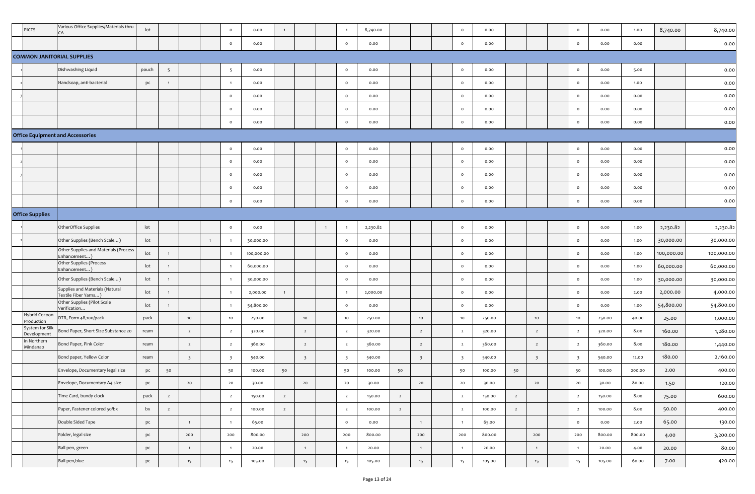| PICTS                          | Various Office Supplies/Materials thru<br>CA           | lot   |                 |                         | $\circ$        | 0.00       |                |                         |                |                         | 8,740.00 |                |                         | $\circ$                 | 0.00   |                |                         | $\circ$                 | 0.00   | 1.00   | 8,740.00   | 8,740.00   |
|--------------------------------|--------------------------------------------------------|-------|-----------------|-------------------------|----------------|------------|----------------|-------------------------|----------------|-------------------------|----------|----------------|-------------------------|-------------------------|--------|----------------|-------------------------|-------------------------|--------|--------|------------|------------|
|                                |                                                        |       |                 |                         | $\circ$        | 0.00       |                |                         |                | $\circ$                 | 0.00     |                |                         | $\mathsf{o}$            | 0.00   |                |                         | $\circ$                 | 0.00   | 0.00   |            | 0.00       |
|                                | <b>COMMON JANITORIAL SUPPLIES</b>                      |       |                 |                         |                |            |                |                         |                |                         |          |                |                         |                         |        |                |                         |                         |        |        |            |            |
|                                | Dishwashing Liquid                                     | pouch | $5\overline{)}$ |                         | -5             | 0.00       |                |                         |                | $\circ$                 | 0.00     |                |                         | $\mathsf{o}$            | 0.00   |                |                         | $\circ$                 | 0.00   | 5.00   |            | 0.00       |
|                                | Handsoap, anti-bacterial                               | pc    | $\mathbf{1}$    |                         |                | 0.00       |                |                         |                | $\circ$                 | 0.00     |                |                         | $\circ$                 | 0.00   |                |                         | $\circ$                 | 0.00   | 1.00   |            | 0.00       |
|                                |                                                        |       |                 |                         | $\Omega$       | 0.00       |                |                         |                | $\circ$                 | 0.00     |                |                         | $\circ$                 | 0.00   |                |                         | $\circ$                 | 0.00   | 0.00   |            | 0.00       |
|                                |                                                        |       |                 |                         | $\circ$        | 0.00       |                |                         |                | $\circ$                 | 0.00     |                |                         | $\circ$                 | 0.00   |                |                         | $\circ$                 | 0.00   | 0.00   |            | 0.00       |
|                                |                                                        |       |                 |                         | $\circ$        | 0.00       |                |                         |                | $\circ$                 | 0.00     |                |                         | $\mathsf{o}$            | 0.00   |                |                         | $\mathsf{o}$            | 0.00   | 0.00   |            | 0.00       |
|                                | <b>Office Equipment and Accessories</b>                |       |                 |                         |                |            |                |                         |                |                         |          |                |                         |                         |        |                |                         |                         |        |        |            |            |
|                                |                                                        |       |                 |                         | $\circ$        | 0.00       |                |                         |                | $\circ$                 | 0.00     |                |                         | $\circ$                 | 0.00   |                |                         | $\circ$                 | 0.00   | 0.00   |            | 0.00       |
|                                |                                                        |       |                 |                         | $\circ$        | 0.00       |                |                         |                | $\circ$                 | 0.00     |                |                         | $\circ$                 | 0.00   |                |                         | $\circ$                 | 0.00   | 0.00   |            | 0.00       |
|                                |                                                        |       |                 |                         | $\circ$        | 0.00       |                |                         |                | $\circ$                 | 0.00     |                |                         | $\circ$                 | 0.00   |                |                         | $\circ$                 | 0.00   | 0.00   |            | 0.00       |
|                                |                                                        |       |                 |                         | $\circ$        | 0.00       |                |                         |                | $\circ$                 | 0.00     |                |                         | $\circ$                 | 0.00   |                |                         | $\circ$                 | 0.00   | 0.00   |            | 0.00       |
|                                |                                                        |       |                 |                         | $\circ$        | 0.00       |                |                         |                | $\circ$                 | 0.00     |                |                         | $\circ$                 | 0.00   |                |                         | $\mathsf{o}$            | 0.00   | 0.00   |            | 0.00       |
| <b>Office Supplies</b>         |                                                        |       |                 |                         |                |            |                |                         |                |                         |          |                |                         |                         |        |                |                         |                         |        |        |            |            |
|                                | OtherOffice Supplies                                   | lot   |                 |                         | $\circ$        | 0.00       |                |                         | $\overline{1}$ |                         | 2,230.82 |                |                         | $\circ$                 | 0.00   |                |                         | $\circ$                 | 0.00   | 1.00   | 2,230.82   | 2,230.82   |
|                                | Other Supplies (Bench Scale)                           | lot   |                 |                         |                | 30,000.00  |                |                         |                | $\circ$                 | 0.00     |                |                         | $\circ$                 | 0.00   |                |                         | $\circ$                 | 0.00   | 1.00   | 30,000.00  | 30,000.00  |
|                                | Other Supplies and Materials (Process<br>Enhancement)  | lot   | $\mathbf{1}$    |                         |                | 100,000.00 |                |                         |                | $\circ$                 | 0.00     |                |                         | $\circ$                 | 0.00   |                |                         | $\circ$                 | 0.00   | 1.00   | 100,000.00 | 100,000.00 |
|                                | Other Supplies (Process<br>Enhancement                 | lot   | $\overline{1}$  |                         |                | 60,000.00  |                |                         |                | $\circ$                 | 0.00     |                |                         | $\circ$                 | 0.00   |                |                         | $\circ$                 | 0.00   | 1.00   | 60,000.00  | 60,000.00  |
|                                | Other Supplies (Bench Scale)                           | lot   | $\mathbf{1}$    |                         |                | 30,000.00  |                |                         |                | $\circ$                 | 0.00     |                |                         | $\mathsf{o}$            | 0.00   |                |                         | $\circ$                 | 0.00   | 1.00   | 30,000.00  | 30,000.00  |
|                                | Supplies and Materials (Natural<br>Textile Fiber Yarns | lot   | $\mathbf{1}$    |                         |                | 2,000.00   | 1              |                         |                |                         | 2,000.00 |                |                         | $\circ$                 | 0.00   |                |                         | $\circ$                 | 0.00   | 2.00   | 2,000.00   | 4,000.00   |
|                                | Other Supplies (Pilot Scale<br>Verification.           | lot   | $\overline{1}$  |                         |                | 54,800.00  |                |                         |                | $\circ$                 | 0.00     |                |                         | $\circ$                 | 0.00   |                |                         | $\circ$                 | 0.00   | 1.00   | 54,800.00  | 54,800.00  |
| Hybrid Cocoon<br>Production    | DTR, Form 48,100/pack                                  | pack  |                 | $10$                    | $10$           | 250.00     |                | 10                      |                | 10                      | 250.00   |                | 10                      | 10                      | 250.00 |                | $10$                    | 10                      | 250.00 | 40.00  | 25.00      | 1,000.00   |
| System for Silk<br>Development | Bond Paper, Short Size Substance 20                    | ream  |                 | $\overline{2}$          | $\overline{2}$ | 320.00     |                | $\overline{2}$          |                | $\overline{2}$          | 320.00   |                | $\overline{2}$          | $\overline{2}$          | 320.00 |                | $\overline{2}$          | $\overline{2}$          | 320.00 | 8.00   | 160.00     | 1,280.00   |
| in Northern<br>Mindanao        | Bond Paper, Pink Color                                 | ream  |                 | $\overline{2}$          | $\overline{2}$ | 360.00     |                | $\overline{2}$          |                | $\overline{2}$          | 360.00   |                | $\overline{2}$          | $\overline{2}$          | 360.00 |                | $\overline{2}$          | $\overline{\mathbf{2}}$ | 360.00 | 8.00   | 180.00     | 1,440.00   |
|                                | Bond paper, Yellow Color                               | ream  |                 | $\overline{\mathbf{3}}$ |                | 540.00     |                | $\overline{\mathbf{3}}$ |                | $\overline{\mathbf{3}}$ | 540.00   |                | $\overline{\mathbf{3}}$ | $\overline{\mathbf{3}}$ | 540.00 |                | $\overline{\mathbf{3}}$ | $\overline{\mathbf{3}}$ | 540.00 | 12.00  | 180.00     | 2,160.00   |
|                                | Envelope, Documentary legal size                       | pc    | 50              |                         | 50             | 100.00     | 50             |                         |                | 50                      | 100.00   | 50             |                         | 50                      | 100.00 | 50             |                         | 50                      | 100.00 | 200.00 | 2.00       | 400.00     |
|                                | Envelope, Documentary A4 size                          | pc    |                 | 20                      | 20             | 30.00      |                | 20                      |                | 20                      | 30.00    |                | 20                      | 20                      | 30.00  |                | 20                      | 20                      | 30.00  | 80.00  | 1.50       | 120.00     |
|                                | Time Card, bundy clock                                 | pack  | $\overline{2}$  |                         | $\overline{2}$ | 150.00     | $\overline{2}$ |                         |                | $\overline{2}$          | 150.00   | $\overline{2}$ |                         | $\overline{2}$          | 150.00 | $\overline{2}$ |                         | $\overline{2}$          | 150.00 | 8.00   | 75.00      | 600.00     |
|                                | Paper, Fastener colored 50/bx                          | bx    | $\overline{2}$  |                         | $\overline{2}$ | 100.00     | $\overline{2}$ |                         |                | $\overline{2}$          | 100.00   | $\overline{2}$ |                         | $\overline{2}$          | 100.00 | $\overline{2}$ |                         | $\overline{2}$          | 100.00 | 8.00   | 50.00      | 400.00     |
|                                | Double Sided Tape                                      | pc    |                 | 1                       | $\overline{1}$ | 65.00      |                |                         |                | $\circ$                 | 0.00     |                | 1                       | $\mathbf{1}$            | 65.00  |                |                         | $\circ$                 | 0.00   | 2.00   | 65.00      | 130.00     |
|                                | Folder, legal size                                     | pc    |                 | 200                     | 200            | 800.00     |                | 200                     |                | 200                     | 800.00   |                | 200                     | 200                     | 800.00 |                | 200                     | 200                     | 800.00 | 800.00 | 4.00       | 3,200.00   |
|                                | Ball pen, green                                        | pc    |                 | $\mathbf{1}$            | $\overline{1}$ | 20.00      |                | 1                       |                | $\overline{1}$          | 20.00    |                | 1                       | $\mathbf{1}$            | 20.00  |                | 1                       | $\blacksquare$          | 20.00  | 4.00   | 20.00      | 80.00      |
|                                | Ball pen, blue                                         | pc    |                 | $15\phantom{.0}$        | $15\,$         | 105.00     |                | 15                      |                | 15                      | 105.00   |                | 15                      | 15                      | 105.00 |                | 15                      | 15                      | 105.00 | 60.00  | 7.00       | 420.00     |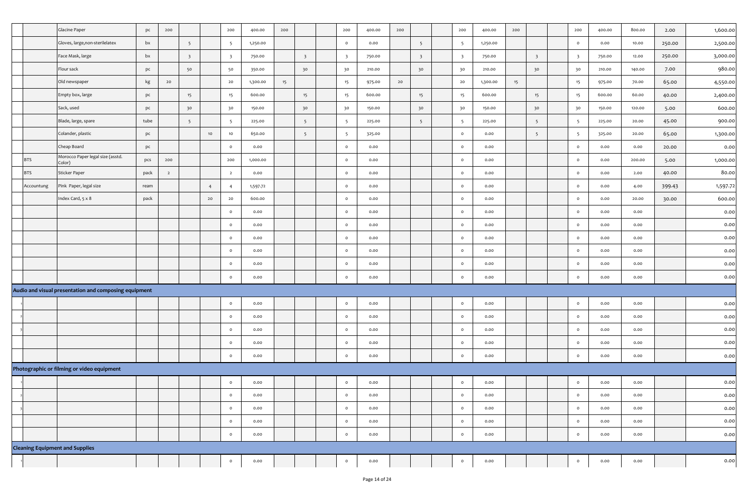|                                        | Glacine Paper                                         | pc   | 200            |                         |                | 200                     | 400.00   | 200 |                         | 200                     | 400.00 | 200 |                         | 200                     | 400.00   | 200 |                         | 200                     | 400.00 | 800.00 | 2.00   | 1,600.00 |
|----------------------------------------|-------------------------------------------------------|------|----------------|-------------------------|----------------|-------------------------|----------|-----|-------------------------|-------------------------|--------|-----|-------------------------|-------------------------|----------|-----|-------------------------|-------------------------|--------|--------|--------|----------|
|                                        | Gloves, large, non-sterilelatex                       | bx   |                | 5                       |                | 5                       | 1,250.00 |     |                         | $\circ$                 | 0.00   |     | 5 <sup>5</sup>          | $5\overline{5}$         | 1,250.00 |     |                         | $\circ$                 | 0.00   | 10.00  | 250.00 | 2,500.00 |
|                                        | Face Mask, large                                      | bx   |                | $\overline{\mathbf{3}}$ |                | $\overline{\mathbf{3}}$ | 750.00   |     | $\overline{\mathbf{3}}$ | $\overline{\mathbf{3}}$ | 750.00 |     | $\overline{\mathbf{3}}$ | $\overline{\mathbf{3}}$ | 750.00   |     | $\overline{\mathbf{3}}$ | $\overline{\mathbf{3}}$ | 750.00 | 12.00  | 250.00 | 3,000.00 |
|                                        | Flour sack                                            | pc   |                | 50                      |                | 50                      | 350.00   |     | 30                      | 30                      | 210.00 |     | 30                      | 30                      | 210.00   |     | 30                      | 30                      | 210.00 | 140.00 | 7.00   | 980.00   |
|                                        | Old newspaper                                         | kg   | 20             |                         |                | 20                      | 1,300.00 | 15  |                         | 15                      | 975.00 | 20  |                         | 20                      | 1,300.00 | 15  |                         | 15                      | 975.00 | 70.00  | 65.00  | 4,550.00 |
|                                        | Empty box, large                                      | pc   |                | 15                      |                | 15                      | 600.00   |     | 15                      | 15                      | 600.00 |     | 15                      | 15                      | 600.00   |     | 15                      | 15                      | 600.00 | 60.00  | 40.00  | 2,400.00 |
|                                        | Sack, used                                            | pc   |                | 30                      |                | 30                      | 150.00   |     | 30                      | 30                      | 150.00 |     | 30                      | 30                      | 150.00   |     | 30                      | 30                      | 150.00 | 120.00 | 5.00   | 600.00   |
|                                        | Blade, large, spare                                   | tube |                | $5\overline{)}$         |                | 5                       | 225.00   |     | $5\overline{5}$         | $5\overline{5}$         | 225.00 |     | $5\overline{)}$         | 5                       | 225.00   |     | $5\overline{)}$         | $5\overline{5}$         | 225.00 | 20.00  | 45.00  | 900.00   |
|                                        | Colander, plastic                                     | pc   |                |                         | 10             | 10                      | 650.00   |     | $5\overline{5}$         | $\overline{5}$          | 325.00 |     |                         | $\circ$                 | 0.00     |     | 5 <sup>5</sup>          | $5\overline{5}$         | 325.00 | 20.00  | 65.00  | 1,300.00 |
|                                        | Cheap Board                                           | pc   |                |                         |                | $\circ$                 | 0.00     |     |                         | $\circ$                 | 0.00   |     |                         | $\circ$                 | 0.00     |     |                         | $\circ$                 | 0.00   | 0.00   | 20.00  | 0.00     |
| <b>BTS</b>                             | Morocco Paper legal size (asstd.<br>Color)            | pcs  | 200            |                         |                | 200                     | 1,000.00 |     |                         | $\circ$                 | 0.00   |     |                         | $\circ$                 | 0.00     |     |                         | $\circ$                 | 0.00   | 200.00 | 5.00   | 1,000.00 |
| <b>BTS</b>                             | Sticker Paper                                         | pack | $\overline{2}$ |                         |                | $\overline{2}$          | 0.00     |     |                         | $\circ$                 | 0.00   |     |                         | $\circ$                 | 0.00     |     |                         | $\circ$                 | 0.00   | 2.00   | 40.00  | 80.00    |
| Accountung                             | Pink Paper, legal size                                | ream |                |                         | $\overline{4}$ | $\overline{4}$          | 1,597.72 |     |                         | $\circ$                 | 0.00   |     |                         | $\circ$                 | 0.00     |     |                         | $\circ$                 | 0.00   | 4.00   | 399.43 | 1,597.72 |
|                                        | Index Card, 5 x 8                                     | pack |                |                         | 20             | 20                      | 600.00   |     |                         | $\circ$                 | 0.00   |     |                         | $\circ$                 | 0.00     |     |                         | $\circ$                 | 0.00   | 20.00  | 30.00  | 600.00   |
|                                        |                                                       |      |                |                         |                | $\circ$                 | 0.00     |     |                         | $\circ$                 | 0.00   |     |                         | $\circ$                 | 0.00     |     |                         | $\mathsf{o}$            | 0.00   | 0.00   |        | 0.00     |
|                                        |                                                       |      |                |                         |                | $\circ$                 | 0.00     |     |                         | $\circ$                 | 0.00   |     |                         | $\circ$                 | 0.00     |     |                         | $\circ$                 | 0.00   | 0.00   |        | 0.00     |
|                                        |                                                       |      |                |                         |                | $\circ$                 | 0.00     |     |                         | $\circ$                 | 0.00   |     |                         | $\circ$                 | 0.00     |     |                         | $\circ$                 | 0.00   | 0.00   |        | 0.00     |
|                                        |                                                       |      |                |                         |                | $\circ$                 | 0.00     |     |                         | $\circ$                 | 0.00   |     |                         | $\circ$                 | 0.00     |     |                         | $\mathsf{o}$            | 0.00   | 0.00   |        | 0.00     |
|                                        |                                                       |      |                |                         |                | $\mathsf{o}$            | 0.00     |     |                         | $\circ$                 | 0.00   |     |                         | $\circ$                 | 0.00     |     |                         | $\circ$                 | 0.00   | 0.00   |        | 0.00     |
|                                        |                                                       |      |                |                         |                | $\circ$                 | 0.00     |     |                         | $\circ$                 | 0.00   |     |                         | $\circ$                 | 0.00     |     |                         | $\circ$                 | 0.00   | 0.00   |        | 0.00     |
|                                        | Audio and visual presentation and composing equipment |      |                |                         |                |                         |          |     |                         |                         |        |     |                         |                         |          |     |                         |                         |        |        |        |          |
|                                        |                                                       |      |                |                         |                | $\circ$                 | 0.00     |     |                         | $\circ$                 | 0.00   |     |                         | $\circ$                 | 0.00     |     |                         | $\mathsf{o}$            | 0.00   | 0.00   |        | 0.00     |
|                                        |                                                       |      |                |                         |                | $\circ$                 | 0.00     |     |                         | $\circ$                 | 0.00   |     |                         | $\circ$                 | 0.00     |     |                         | $\circ$                 | 0.00   | 0.00   |        | 0.00     |
|                                        |                                                       |      |                |                         |                | $\circ$                 | 0.00     |     |                         | $\circ$                 | 0.00   |     |                         | $\circ$                 | 0.00     |     |                         | $\circ$                 | 0.00   | 0.00   |        | 0.00     |
|                                        |                                                       |      |                |                         |                | $\circ$                 | 0.00     |     |                         | $\circ$                 | 0.00   |     |                         | $\circ$                 | 0.00     |     |                         | $\circ$                 | 0.00   | 0.00   |        | 0.00     |
|                                        |                                                       |      |                |                         |                | $\circ$                 | 0.00     |     |                         | $\circ$                 | 0.00   |     |                         | $\circ$                 | 0.00     |     |                         | $\circ$                 | 0.00   | 0.00   |        | 0.00     |
|                                        | Photographic or filming or video equipment            |      |                |                         |                |                         |          |     |                         |                         |        |     |                         |                         |          |     |                         |                         |        |        |        |          |
|                                        |                                                       |      |                |                         |                | $\circ$                 | 0.00     |     |                         | $\circ$                 | 0.00   |     |                         | $\circ$                 | 0.00     |     |                         | $\circ$                 | 0.00   | 0.00   |        | 0.00     |
|                                        |                                                       |      |                |                         |                | $\circ$                 | 0.00     |     |                         | $\circ$                 | 0.00   |     |                         | $\circ$                 | 0.00     |     |                         | $\circ$                 | 0.00   | 0.00   |        | 0.00     |
|                                        |                                                       |      |                |                         |                | $\circ$                 | 0.00     |     |                         | $\circ$                 | 0.00   |     |                         | $\circ$                 | 0.00     |     |                         | $\circ$                 | 0.00   | 0.00   |        | 0.00     |
|                                        |                                                       |      |                |                         |                | $\circ$                 | 0.00     |     |                         | $\circ$                 | 0.00   |     |                         | $\circ$                 | 0.00     |     |                         | $\circ$                 | 0.00   | 0.00   |        | 0.00     |
|                                        |                                                       |      |                |                         |                | $\circ$                 | 0.00     |     |                         | $\circ$                 | 0.00   |     |                         | $\circ$                 | 0.00     |     |                         | $\circ$                 | 0.00   | 0.00   |        | 0.00     |
| <b>Cleaning Equipment and Supplies</b> |                                                       |      |                |                         |                |                         |          |     |                         |                         |        |     |                         |                         |          |     |                         |                         |        |        |        |          |
|                                        |                                                       |      |                |                         |                | $\circ$                 | 0.00     |     |                         | $\circ$                 | 0.00   |     |                         | $\circ$                 | 0.00     |     |                         | $\circ$                 | 0.00   | 0.00   |        | 0.00     |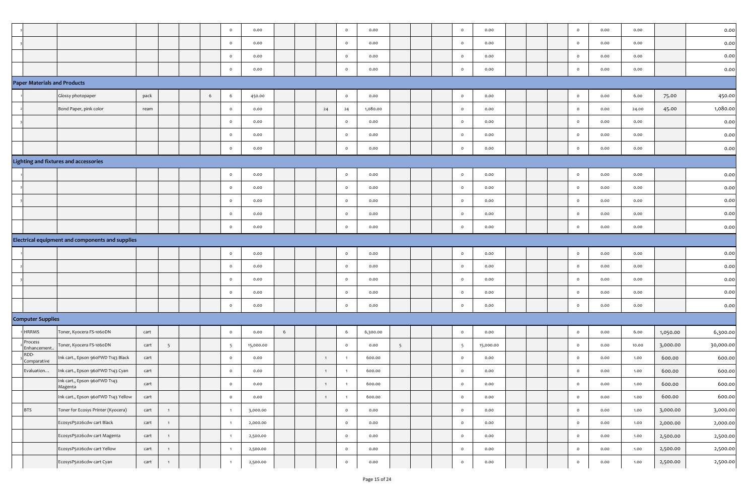|                                     |                                                  |      |                |   | $\circ$         | 0.00      |   |                | $\circ$        | 0.00     |                |  | $\circ$         | 0.00      | $\circ$      | 0.00 | 0.00  |          | 0.00      |
|-------------------------------------|--------------------------------------------------|------|----------------|---|-----------------|-----------|---|----------------|----------------|----------|----------------|--|-----------------|-----------|--------------|------|-------|----------|-----------|
|                                     |                                                  |      |                |   | $\circ$         | 0.00      |   |                | $\circ$        | 0.00     |                |  | $\circ$         | 0.00      | $\circ$      | 0.00 | 0.00  |          | 0.00      |
|                                     |                                                  |      |                |   | $\circ$         | 0.00      |   |                | $\circ$        | 0.00     |                |  | $\circ$         | 0.00      | $\circ$      | 0.00 | 0.00  |          | 0.00      |
|                                     |                                                  |      |                |   | $\circ$         | 0.00      |   |                | $\circ$        | 0.00     |                |  | $\circ$         | 0.00      | $\circ$      | 0.00 | 0.00  |          | 0.00      |
| <b>Paper Materials and Products</b> |                                                  |      |                |   |                 |           |   |                |                |          |                |  |                 |           |              |      |       |          |           |
|                                     | Glossy photopaper                                | pack |                | 6 | -6              | 450.00    |   |                | $\circ$        | 0.00     |                |  | $\circ$         | 0.00      | $\circ$      | 0.00 | 6.00  | 75.00    | 450.00    |
|                                     | Bond Paper, pink color                           | ream |                |   | $\circ$         | 0.00      |   | 24             | 24             | 1,080.00 |                |  | $\mathbf{o}$    | 0.00      | $\circ$      | 0.00 | 24.00 | 45.00    | 1,080.00  |
|                                     |                                                  |      |                |   | $\circ$         | 0.00      |   |                | $\circ$        | 0.00     |                |  | $\circ$         | 0.00      | $\circ$      | 0.00 | 0.00  |          | 0.00      |
|                                     |                                                  |      |                |   | $\circ$         | 0.00      |   |                | $\circ$        | 0.00     |                |  | $\circ$         | 0.00      | $\circ$      | 0.00 | 0.00  |          | 0.00      |
|                                     |                                                  |      |                |   | $\circ$         | 0.00      |   |                | $\circ$        | 0.00     |                |  | $\mathbf{o}$    | 0.00      | $\circ$      | 0.00 | 0.00  |          | 0.00      |
|                                     | Lighting and fixtures and accessories            |      |                |   |                 |           |   |                |                |          |                |  |                 |           |              |      |       |          |           |
|                                     |                                                  |      |                |   | $\circ$         | 0.00      |   |                | $\circ$        | 0.00     |                |  | $\circ$         | 0.00      | $\circ$      | 0.00 | 0.00  |          | 0.00      |
|                                     |                                                  |      |                |   | $\circ$         | 0.00      |   |                | $\circ$        | 0.00     |                |  | $\circ$         | 0.00      | $\circ$      | 0.00 | 0.00  |          | 0.00      |
|                                     |                                                  |      |                |   | $\circ$         | 0.00      |   |                | $\circ$        | 0.00     |                |  | $\circ$         | 0.00      | $\circ$      | 0.00 | 0.00  |          | 0.00      |
|                                     |                                                  |      |                |   | $\circ$         | 0.00      |   |                | $\circ$        | 0.00     |                |  | $\circ$         | 0.00      | $\circ$      | 0.00 | 0.00  |          | 0.00      |
|                                     |                                                  |      |                |   | $\circ$         | 0.00      |   |                | $\circ$        | 0.00     |                |  | $\circ$         | 0.00      | $\circ$      | 0.00 | 0.00  |          | 0.00      |
|                                     | Electrical equipment and components and supplies |      |                |   |                 |           |   |                |                |          |                |  |                 |           |              |      |       |          |           |
|                                     |                                                  |      |                |   | $\circ$         | 0.00      |   |                | $\circ$        | 0.00     |                |  | $\circ$         | 0.00      | $\circ$      | 0.00 | 0.00  |          | 0.00      |
|                                     |                                                  |      |                |   | $\circ$         | 0.00      |   |                | $\circ$        | 0.00     |                |  | $\circ$         | 0.00      | $\circ$      | 0.00 | 0.00  |          | 0.00      |
|                                     |                                                  |      |                |   | $\circ$         | 0.00      |   |                | $\circ$        | 0.00     |                |  | $\circ$         | 0.00      | $\circ$      | 0.00 | 0.00  |          | 0.00      |
|                                     |                                                  |      |                |   | $\circ$         | 0.00      |   |                | $\circ$        | 0.00     |                |  | $\circ$         | 0.00      | $\circ$      | 0.00 | 0.00  |          | 0.00      |
|                                     |                                                  |      |                |   | $\circ$         | 0.00      |   |                | $\circ$        | 0.00     |                |  | $\circ$         | 0.00      | $\circ$      | 0.00 | 0.00  |          | 0.00      |
| <b>Computer Supplies</b>            |                                                  |      |                |   |                 |           |   |                |                |          |                |  |                 |           |              |      |       |          |           |
| HRRMS                               | Toner, Kyocera FS-1060DN                         | cart |                |   | $\circ$         | 0.00      | 6 |                | 6              | 6,300.00 |                |  | $\circ$         | 0.00      | $\circ$      | 0.00 | 6.00  | 1,050.00 | 6,300.00  |
| Process<br>Enhancement.             | Toner, Kyocera FS-1060DN                         | cart | 5              |   | $5\overline{)}$ | 15,000.00 |   |                | $\circ$        | 0.00     | 5 <sup>5</sup> |  | $5\overline{5}$ | 15,000.00 | $\circ$      | 0.00 | 10.00 | 3,000.00 | 30,000.00 |
| RDD-<br>Comparative                 | Ink cart., Epson 960FWD T143 Black               | cart |                |   | $\circ$         | 0.00      |   | $\overline{1}$ |                | 600.00   |                |  | $\circ$         | 0.00      | $\circ$      | 0.00 | 1.00  | 600.00   | 600.00    |
| Evaluation                          | nk cart., Epson 960FWD T143 Cyan                 | cart |                |   | $\circ$         | 0.00      |   | $\overline{1}$ |                | 600.00   |                |  | $\circ$         | 0.00      | $\circ$      | 0.00 | 1.00  | 600.00   | 600.00    |
|                                     | Ink cart., Epson 960FWD T143<br>Magenta          | cart |                |   |                 | 0.00      |   |                |                | 600.00   |                |  | 0               | 0.00      | $\mathsf{o}$ | 0.00 | 1.00  | 600.00   | 600.00    |
|                                     | Ink cart., Epson 960FWD T143 Yellow              | cart |                |   | $\circ$         | 0.00      |   | 1              | $\overline{1}$ | 600.00   |                |  | $\circ$         | 0.00      | $\circ$      | 0.00 | 1.00  | 600.00   | 600.00    |
| <b>BTS</b>                          | Toner for Ecosys Printer (Kyocera)               | cart | $\overline{1}$ |   | $\overline{1}$  | 3,000.00  |   |                | $\circ$        | 0.00     |                |  | $\circ$         | 0.00      | $\circ$      | 0.00 | 1.00  | 3,000.00 | 3,000.00  |
|                                     | EcosysP5026cdw cart Black                        | cart | $\overline{1}$ |   | $\overline{1}$  | 2,000.00  |   |                | $\circ$        | 0.00     |                |  | $\circ$         | 0.00      | $\circ$      | 0.00 | 1.00  | 2,000.00 | 2,000.00  |
|                                     | EcosysP5026cdw cart Magenta                      | cart | $\overline{1}$ |   | $\overline{1}$  | 2,500.00  |   |                | $\circ$        | 0.00     |                |  | $\circ$         | 0.00      | $\circ$      | 0.00 | 1.00  | 2,500.00 | 2,500.00  |
|                                     | EcosysP5026cdw cart Yellow                       | cart | 1              |   | $\overline{1}$  | 2,500.00  |   |                | $\circ$        | 0.00     |                |  | $\circ$         | 0.00      | $\circ$      | 0.00 | 1.00  | 2,500.00 | 2,500.00  |
|                                     | EcosysP5026cdw cart Cyan                         | cart | $\mathbf{1}$   |   | $\overline{1}$  | 2,500.00  |   |                | $\circ$        | 0.00     |                |  | $\circ$         | 0.00      | $\circ$      | 0.00 | 1.00  | 2,500.00 | 2,500.00  |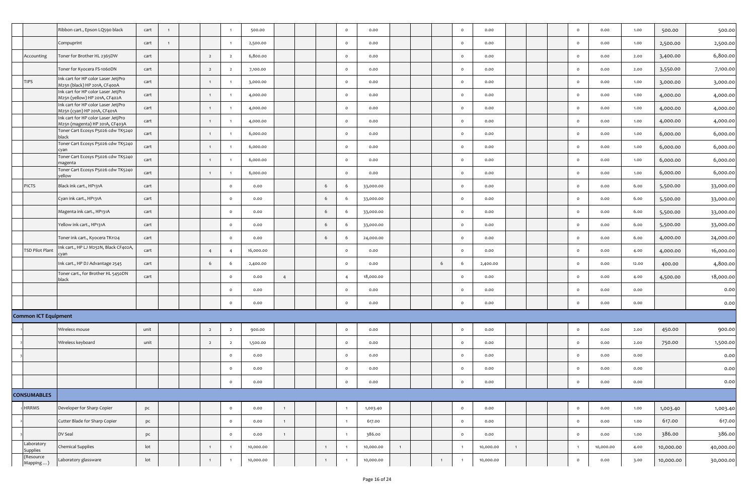|                                               | Ribbon cart., Epson LQ590 black                                       | cart            | $\mathbf{1}$   |                |                         | 500.00    |                |                | $\circ$        | 0.00      |   |              | $\circ$        | 0.00      |   |  | $\circ$        | 0.00      | 1.00  | 500.00    | 500.00    |
|-----------------------------------------------|-----------------------------------------------------------------------|-----------------|----------------|----------------|-------------------------|-----------|----------------|----------------|----------------|-----------|---|--------------|----------------|-----------|---|--|----------------|-----------|-------|-----------|-----------|
|                                               | Compuprint                                                            | cart            | $\overline{1}$ |                |                         | 2,500.00  |                |                | $\circ$        | 0.00      |   |              | $\circ$        | 0.00      |   |  | $\circ$        | 0.00      | 1.00  | 2,500.00  | 2,500.00  |
| Accounting                                    | Toner for Brother HL 2365DW                                           | cart            |                | $\overline{2}$ | $\overline{2}$          | 6,800.00  |                |                | $\circ$        | 0.00      |   |              | $\circ$        | 0.00      |   |  | $\circ$        | 0.00      | 2.00  | 3,400.00  | 6,800.00  |
|                                               | Toner for Kyocera FS-1060DN                                           | cart            |                | $\overline{2}$ | $\overline{\mathbf{2}}$ | 7,100.00  |                |                | $\circ$        | 0.00      |   |              | $\circ$        | 0.00      |   |  | $\circ$        | 0.00      | 2.00  | 3,550.00  | 7,100.00  |
| <b>TIPS</b>                                   | Ink cart for HP color Laser JetjPro<br>M25n (black) HP 201A, CF400A   | cart            |                | $\overline{1}$ |                         | 3,000.00  |                |                | $\circ$        | 0.00      |   |              | $\circ$        | 0.00      |   |  | $\circ$        | 0.00      | 1.00  | 3,000.00  | 3,000.00  |
|                                               | Ink cart for HP color Laser JetjPro<br>M25n (yellow) HP 201A, CF402A  | cart            |                |                |                         | 4,000.00  |                |                | $\circ$        | 0.00      |   |              | $\circ$        | 0.00      |   |  | $\circ$        | 0.00      | 1.00  | 4,000.00  | 4,000.00  |
|                                               | Ink cart for HP color Laser JetjPro<br>M25n (cyan) HP 201A, CF401A    | cart            |                |                |                         | 4,000.00  |                |                | $\circ$        | 0.00      |   |              | $\circ$        | 0.00      |   |  | $\circ$        | 0.00      | 1.00  | 4,000.00  | 4,000.00  |
|                                               | Ink cart for HP color Laser JetjPro<br>M25n (magenta) HP 201A, CF403A | cart            |                | $\overline{1}$ | $\mathbf{1}$            | 4,000.00  |                |                | $\circ$        | 0.00      |   |              | $\circ$        | 0.00      |   |  | $\circ$        | 0.00      | 1.00  | 4,000.00  | 4,000.00  |
|                                               | Toner Cart Ecosys P5026 cdw TK5240<br>black                           | cart            |                |                |                         | 6,000.00  |                |                | $\circ$        | 0.00      |   |              | $\circ$        | 0.00      |   |  | $\circ$        | 0.00      | 1.00  | 6,000.00  | 6,000.00  |
|                                               | Toner Cart Ecosys P5026 cdw TK5240<br>:yan                            | cart            |                |                |                         | 6,000.00  |                |                | $\circ$        | 0.00      |   |              | $\circ$        | 0.00      |   |  | $\circ$        | 0.00      | 1.00  | 6,000.00  | 6,000.00  |
|                                               | Toner Cart Ecosys P5026 cdw TK5240<br>magenta                         | cart            |                | $\overline{1}$ | $\mathbf{1}$            | 6,000.00  |                |                | $\circ$        | 0.00      |   |              | $\circ$        | 0.00      |   |  | $\circ$        | 0.00      | 1.00  | 6,000.00  | 6,000.00  |
|                                               | Toner Cart Ecosys P5026 cdw TK5240<br>yellow                          | cart            |                |                |                         | 6,000.00  |                |                | $\circ$        | 0.00      |   |              | $\circ$        | 0.00      |   |  | $\circ$        | 0.00      | 1.00  | 6,000.00  | 6,000.00  |
| <b>PICTS</b>                                  | Black ink cart., HP131A                                               | cart            |                |                | $\circ$                 | 0.00      |                | 6              | - 6            | 33,000.00 |   |              | $\circ$        | 0.00      |   |  | $\circ$        | 0.00      | 6.00  | 5,500.00  | 33,000.00 |
|                                               | Cyan ink cart., HP131A                                                | cart            |                |                | $\circ$                 | 0.00      |                | 6              | 6              | 33,000.00 |   |              | $\circ$        | 0.00      |   |  | $\circ$        | 0.00      | 6.00  | 5,500.00  | 33,000.00 |
|                                               | Magenta ink cart., HP131A                                             | cart            |                |                | $\circ$                 | 0.00      |                | 6              | -6             | 33,000.00 |   |              | $\circ$        | 0.00      |   |  | $\circ$        | 0.00      | 6.00  | 5,500.00  | 33,000.00 |
|                                               | Yellow ink cart., HP131A                                              | cart            |                |                | $\circ$                 | 0.00      |                | 6              | - 6            | 33,000.00 |   |              | $\circ$        | 0.00      |   |  | $\circ$        | 0.00      | 6.00  | 5,500.00  | 33,000.00 |
|                                               | Toner ink cart., Kyocera TK1124                                       | cart            |                |                | $\circ$                 | 0.00      |                | 6              | - 6            | 24,000.00 |   |              | $\circ$        | 0.00      |   |  | $\circ$        | 0.00      | 6.00  | 4,000.00  | 24,000.00 |
| <b>TSD Pilot Plant</b>                        | Ink cart., HP LJ M252N, Black CF402A,<br>cvan                         | cart            |                | $\overline{4}$ | $\overline{4}$          | 16,000.00 |                |                | $\circ$        | 0.00      |   |              | $\circ$        | 0.00      |   |  | $\circ$        | 0.00      | 4.00  | 4,000.00  | 16,000.00 |
|                                               | Ink cart., HP DJ Advantage 2545                                       | cart            |                | 6              | 6                       | 2,400.00  |                |                | $\circ$        | 0.00      |   | 6            | 6              | 2,400.00  |   |  | $\circ$        | 0.00      | 12.00 | 400.00    | 4,800.00  |
|                                               | Toner cart., for Brother HL 5450DN<br>black                           | cart            |                |                | $\circ$                 | 0.00      | $\overline{4}$ |                | $\overline{4}$ | 18,000.00 |   |              | $\circ$        | 0.00      |   |  | $\circ$        | 0.00      | 4.00  | 4,500.00  | 18,000.00 |
|                                               |                                                                       |                 |                |                | $\circ$                 | 0.00      |                |                | $\circ$        | 0.00      |   |              | $\circ$        | 0.00      |   |  | $\circ$        | 0.00      | 0.00  |           | 0.00      |
|                                               |                                                                       |                 |                |                | $\circ$                 | 0.00      |                |                | $\circ$        | 0.00      |   |              | $\circ$        | 0.00      |   |  | $\mathsf{o}$   | 0.00      | 0.00  |           | 0.00      |
| <b>Common ICT Equipment</b>                   |                                                                       |                 |                |                |                         |           |                |                |                |           |   |              |                |           |   |  |                |           |       |           |           |
|                                               | Wireless mouse                                                        | unit            |                | $\overline{2}$ | $\overline{2}$          | 900.00    |                |                | $\circ$        | 0.00      |   |              | $\circ$        | 0.00      |   |  | $\circ$        | 0.00      | 2.00  | 450.00    | 900.00    |
|                                               | Wireless keyboard                                                     | unit            |                | $\overline{2}$ | $\overline{2}$          | 1,500.00  |                |                | $\circ$        | 0.00      |   |              | $\circ$        | 0.00      |   |  | $\circ$        | 0.00      | 2.00  | 750.00    | 1,500.00  |
|                                               |                                                                       |                 |                |                | $\circ$                 | 0.00      |                |                | $\circ$        | 0.00      |   |              | $\circ$        | 0.00      |   |  | $\circ$        | 0.00      | 0.00  |           | 0.00      |
|                                               |                                                                       |                 |                |                | $\circ$                 | 0.00      |                |                | $\circ$        | 0.00      |   |              | $\circ$        | 0.00      |   |  | $\circ$        | 0.00      | 0.00  |           | 0.00      |
|                                               |                                                                       |                 |                |                | $\Omega$                | 0.00      |                |                | $\circ$        | 0.00      |   |              | $\circ$        | 0.00      |   |  | $\mathsf{o}$   | 0.00      | 0.00  |           | 0.00      |
| <b>CONSUMABLES</b>                            |                                                                       |                 |                |                |                         |           |                |                |                |           |   |              |                |           |   |  |                |           |       |           |           |
| <b>HRRMS</b>                                  | Developer for Sharp Copier                                            | pc              |                |                | $\circ$                 | 0.00      | $\mathbf{1}$   |                |                | 1,003.40  |   |              | $\circ$        | 0.00      |   |  | $\circ$        | 0.00      | 1.00  | 1,003.40  | 1,003.40  |
|                                               | Cutter Blade for Sharp Copier                                         | pc              |                |                | $\circ$                 | 0.00      | $\mathbf{1}$   |                | $\overline{1}$ | 617.00    |   |              | $\circ$        | 0.00      |   |  | $\circ$        | 0.00      | 1.00  | 617.00    | 617.00    |
|                                               | DV Seal                                                               | pc              |                |                | $\mathsf{o}$            | 0.00      | $\overline{1}$ |                |                | 386.00    |   |              | $\circ$        | 0.00      |   |  | $\circ$        | 0.00      | 1.00  | 386.00    | 386.00    |
| Laboratory<br>Supplies                        | <b>Chemical Supplies</b>                                              | $_{\text{lot}}$ |                | $\overline{1}$ | $\overline{1}$          | 10,000.00 |                | $\overline{1}$ |                | 10,000.00 | 1 |              | $\overline{1}$ | 10,000.00 | 1 |  | $\overline{1}$ | 10,000.00 | 4.00  | 10,000.00 | 40,000.00 |
| (Resource<br>$\mathsf{Mapping} \dots \rangle$ | Laboratory glassware                                                  | lot             |                |                | $\overline{1}$          | 10,000.00 |                | $\overline{1}$ |                | 10,000.00 |   | $\mathbf{1}$ | $\overline{1}$ | 10,000.00 |   |  | $\circ$        | 0.00      | 3.00  | 10,000.00 | 30,000.00 |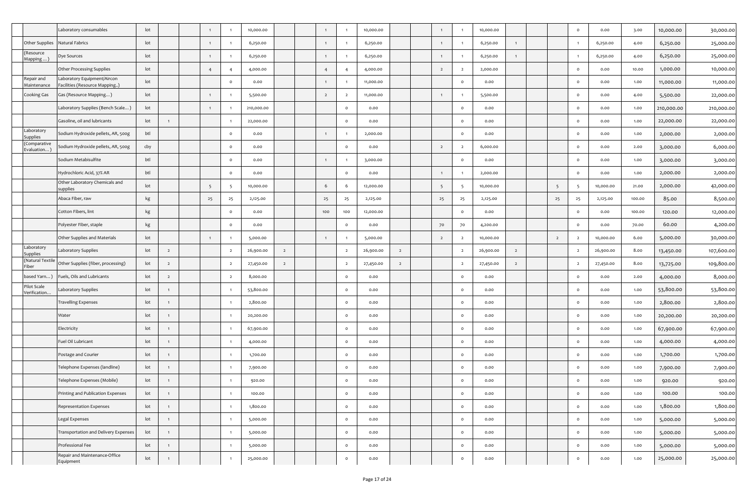|                                              | Laboratory consumables                                       | lot             |                |                |                | 10,000.00  |                |                |                | 10,000.00 |                | $\overline{1}$  |                | 10,000.00 |                |                | $\circ$        | 0.00      | 3.00   | 10,000.00  | 30,000.00  |
|----------------------------------------------|--------------------------------------------------------------|-----------------|----------------|----------------|----------------|------------|----------------|----------------|----------------|-----------|----------------|-----------------|----------------|-----------|----------------|----------------|----------------|-----------|--------|------------|------------|
| Other Supplies                               | Natural Fabrics                                              | lot             |                | $\mathbf{1}$   |                | 6,250.00   |                | $\mathbf{1}$   |                | 6,250.00  |                | $\mathbf{1}$    |                | 6,250.00  | $\overline{1}$ |                | $\overline{1}$ | 6,250.00  | 4.00   | 6,250.00   | 25,000.00  |
| Resource<br>(Mapping                         | Dye Sources                                                  | lot             |                |                |                | 6,250.00   |                |                |                | 6,250.00  |                | $\overline{1}$  |                | 6,250.00  | $\overline{1}$ |                | -1             | 6,250.00  | 4.00   | 6,250.00   | 25,000.00  |
|                                              | Other Processing Supplies                                    | lot             |                | $\overline{4}$ |                | 4,000.00   |                | $\overline{4}$ |                | 4,000.00  |                | $\overline{2}$  | $\overline{2}$ | 2,000.00  |                |                | $\circ$        | 0.00      | 10.00  | 1,000.00   | 10,000.00  |
| Repair and<br>Maintenance                    | Laboratory Equipment/Aircon<br>Facilities (Resource Mapping) | lot             |                |                | $\circ$        | 0.00       |                | $\overline{1}$ |                | 11,000.00 |                |                 | $\circ$        | 0.00      |                |                | $\circ$        | 0.00      | 1.00   | 11,000.00  | 11,000.00  |
| Cooking Gas                                  | Gas (Resource Mapping)                                       | lot             |                |                |                | 5,500.00   |                | $\overline{2}$ | $\overline{2}$ | 11,000.00 |                | $\overline{1}$  |                | 5,500.00  |                |                | $\circ$        | 0.00      | 4.00   | 5,500.00   | 22,000.00  |
|                                              | Laboratory Supplies (Bench Scale )                           | lot             |                |                |                | 210,000.00 |                |                | $\circ$        | 0.00      |                |                 | $\circ$        | 0.00      |                |                | $\circ$        | 0.00      | 1.00   | 210,000.00 | 210,000.00 |
|                                              | Gasoline, oil and lubricants                                 | lot             | $\overline{1}$ |                |                | 22,000.00  |                |                | $\circ$        | 0.00      |                |                 | $\circ$        | 0.00      |                |                | $\circ$        | 0.00      | 1.00   | 22,000.00  | 22,000.00  |
| aboratory<br>Supplies                        | Sodium Hydroxide pellets, AR, 500g                           | btl             |                |                | $\circ$        | 0.00       |                |                |                | 2,000.00  |                |                 | $\circ$        | 0.00      |                |                | $\circ$        | 0.00      | 1.00   | 2,000.00   | 2,000.00   |
| Comparative<br>$\textsf{Evaluation} \rangle$ | Sodium Hydroxide pellets, AR, 500g                           | cby             |                |                | $\circ$        | 0.00       |                |                | $\circ$        | 0.00      |                | $\overline{2}$  | $\overline{2}$ | 6,000.00  |                |                | $\circ$        | 0.00      | 2.00   | 3,000.00   | 6,000.00   |
|                                              | Sodium Metabisulfite                                         | btl             |                |                | $\circ$        | 0.00       |                | $\overline{1}$ |                | 3,000.00  |                |                 | $\circ$        | 0.00      |                |                | $\circ$        | 0.00      | 1.00   | 3,000.00   | 3,000.00   |
|                                              | Hydrochloric Acid, 37% AR                                    | btl             |                |                | $\circ$        | 0.00       |                |                | $\circ$        | 0.00      |                |                 |                | 2,000.00  |                |                | $\circ$        | 0.00      | 1.00   | 2,000.00   | 2,000.00   |
|                                              | Other Laboratory Chemicals and<br>supplies                   | lot             |                | -5             |                | 10,000.00  |                | 6              | - 6            | 12,000.00 |                | $5\overline{5}$ | -5             | 10,000.00 |                | 5              | -5             | 10,000.00 | 21.00  | 2,000.00   | 42,000.00  |
|                                              | Abaca Fiber, raw                                             | kg              |                | 25             | 25             | 2,125.00   |                | 25             | 25             | 2,125.00  |                | 25              | 25             | 2,125.00  |                | 25             | 25             | 2,125.00  | 100.00 | 85.00      | 8,500.00   |
|                                              | Cotton Fibers, lint                                          | kg              |                |                | $\circ$        | 0.00       |                | 100            | 100            | 12,000.00 |                |                 | $\circ$        | 0.00      |                |                | $\circ$        | 0.00      | 100.00 | 120.00     | 12,000.00  |
|                                              | Polyester Fiber, staple                                      | kg              |                |                | $\circ$        | 0.00       |                |                | $\circ$        | 0.00      |                | 70              | 70             | 4,200.00  |                |                | $\circ$        | 0.00      | 70.00  | 60.00      | 4,200.00   |
|                                              | Other Supplies and Materials                                 | lot             |                | $\overline{1}$ |                | 5,000.00   |                |                |                | 5,000.00  |                | $\overline{2}$  | $\overline{2}$ | 10,000.00 |                | $\overline{2}$ | $\overline{2}$ | 10,000.00 | 6.00   | 5,000.00   | 30,000.00  |
| aboratory                                    |                                                              |                 |                |                |                |            |                |                |                |           |                |                 |                |           |                |                |                |           |        |            |            |
| supplies                                     | Laboratory Supplies                                          | lot             | $\overline{2}$ |                | $\overline{2}$ | 26,900.00  | $\overline{2}$ |                | $\overline{2}$ | 26,900.00 | $\overline{2}$ |                 | $\overline{2}$ | 26,900.00 | $\overline{2}$ |                | $\overline{2}$ | 26,900.00 | 8.00   | 13,450.00  | 107,600.00 |
| Natural Textile)<br>-iber                    | Other Supplies (fiber, processing)                           | lot             | $\overline{2}$ |                |                | 27,450.00  | $\overline{2}$ |                | $\overline{2}$ | 27,450.00 | $\overline{2}$ |                 | $\overline{2}$ | 27,450.00 | $\overline{2}$ |                | $\overline{2}$ | 27,450.00 | 8.00   | 13,725.00  | 109,800.00 |
| based Yarn )                                 | Fuels, Oils and Lubricants                                   | lot             | $\overline{2}$ |                | $\overline{2}$ | 8,000.00   |                |                | $\circ$        | 0.00      |                |                 | $\circ$        | 0.00      |                |                | $\circ$        | 0.00      | 2.00   | 4,000.00   | 8,000.00   |
| Pilot Scale<br>/erification                  | Laboratory Supplies                                          | lot             |                |                |                | 53,800.00  |                |                | $\circ$        | 0.00      |                |                 | $\circ$        | 0.00      |                |                | $\circ$        | 0.00      | 1.00   | 53,800.00  | 53,800.00  |
|                                              | <b>Travelling Expenses</b>                                   | lot             | $\overline{1}$ |                |                | 2,800.00   |                |                | $\circ$        | 0.00      |                |                 | $\circ$        | 0.00      |                |                | $\circ$        | 0.00      | 1.00   | 2,800.00   | 2,800.00   |
|                                              | Water                                                        | lot             | $\mathbf{1}$   |                |                | 20,200.00  |                |                | $\circ$        | 0.00      |                |                 | $\circ$        | 0.00      |                |                | $\circ$        | 0.00      | 1.00   | 20,200.00  | 20,200.00  |
|                                              | Electricity                                                  | lot             | $\mathbf{1}$   |                |                | 67,900.00  |                |                | $\circ$        | 0.00      |                |                 | $\circ$        | 0.00      |                |                | $\circ$        | 0.00      | 1.00   | 67,900.00  | 67,900.00  |
|                                              | Fuel Oil Lubricant                                           | lot             | $\overline{1}$ |                |                | 4,000.00   |                |                | $\circ$        | 0.00      |                |                 | $\circ$        | 0.00      |                |                | $\circ$        | 0.00      | 1.00   | 4,000.00   | 4,000.00   |
|                                              | Postage and Courier                                          | lot             | $\mathbf{1}$   |                |                | 1,700.00   |                |                | $\circ$        | 0.00      |                |                 | $\circ$        | 0.00      |                |                | $\circ$        | 0.00      | 1.00   | 1,700.00   | 1,700.00   |
|                                              | Telephone Expenses (landline)                                | lot             | $\mathbf{1}$   |                |                | 7,900.00   |                |                | $\circ$        | 0.00      |                |                 | $\circ$        | 0.00      |                |                | $\circ$        | 0.00      | 1.00   | 7,900.00   | 7,900.00   |
|                                              | Telephone Expenses (Mobile)                                  | lot             | $\mathbf{1}$   |                |                | 920.00     |                |                | $\circ$        | 0.00      |                |                 | $\circ$        | 0.00      |                |                | $\circ$        | 0.00      | 1.00   | 920.00     | 920.00     |
|                                              | Printing and Publication Expenses                            | lot             | $\mathbf{1}$   |                |                | 100.00     |                |                | $\circ$        | 0.00      |                |                 | $\circ$        | 0.00      |                |                | $\circ$        | 0.00      | 1.00   | 100.00     | 100.00     |
|                                              | Representation Expenses                                      | lot             | $\mathbf{1}$   |                |                | 1,800.00   |                |                | $\circ$        | 0.00      |                |                 | $\circ$        | 0.00      |                |                | $\mathbf{o}$   | 0.00      | 1.00   | 1,800.00   | 1,800.00   |
|                                              | Legal Expenses                                               | $_{\text{lot}}$ | $\mathbf{1}$   |                |                | 5,000.00   |                |                | $\circ$        | 0.00      |                |                 | $\circ$        | 0.00      |                |                | $\circ$        | 0.00      | 1.00   | 5,000.00   | 5,000.00   |
|                                              | Transportation and Delivery Expenses                         | lot             | $\mathbf{1}$   |                |                | 5,000.00   |                |                | $\circ$        | 0.00      |                |                 | $\circ$        | 0.00      |                |                | $\circ$        | 0.00      | 1.00   | 5,000.00   | 5,000.00   |
|                                              | Professional Fee                                             | lot             | $\mathbf{1}$   |                |                | 5,000.00   |                |                | $\circ$        | 0.00      |                |                 | $\circ$        | 0.00      |                |                | $\circ$        | 0.00      | 1.00   | 5,000.00   | 5,000.00   |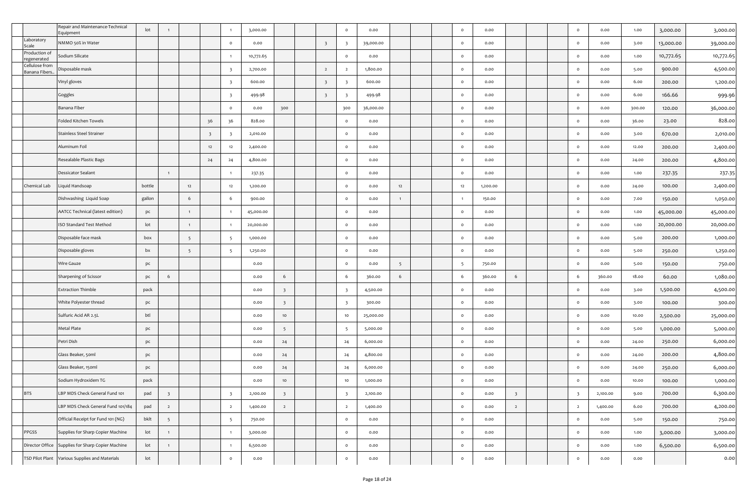|                                  | Repair and Maintenance-Technical<br>Equipment     | lot             | $\overline{1}$          |                 |                         |                         | 3,000.00  |                         |                         | $\circ$                 | 0.00      |                |  | $\circ$        | 0.00     |                         |  | $\circ$                 | 0.00     | 1.00   | 3,000.00  | 3,000.00  |
|----------------------------------|---------------------------------------------------|-----------------|-------------------------|-----------------|-------------------------|-------------------------|-----------|-------------------------|-------------------------|-------------------------|-----------|----------------|--|----------------|----------|-------------------------|--|-------------------------|----------|--------|-----------|-----------|
| Laboratory<br>scale              | NMMO 50% in Water                                 |                 |                         |                 |                         | $\circ$                 | 0.00      |                         | $\overline{\mathbf{3}}$ |                         | 39,000.00 |                |  | $\circ$        | 0.00     |                         |  | $\circ$                 | 0.00     | 3.00   | 13,000.00 | 39,000.00 |
| Production of<br>regenerated     | Sodium Silicate                                   |                 |                         |                 |                         |                         | 10,772.65 |                         |                         | $\circ$                 | 0.00      |                |  | $\circ$        | 0.00     |                         |  | $\circ$                 | 0.00     | 1.00   | 10,772.65 | 10,772.65 |
| Cellulose from<br>Banana Fibers. | Disposable mask                                   |                 |                         |                 |                         | $\overline{\mathbf{3}}$ | 2,700.00  |                         | $\overline{2}$          | $\overline{2}$          | 1,800.00  |                |  | $\circ$        | 0.00     |                         |  | $\circ$                 | 0.00     | 5.00   | 900.00    | 4,500.00  |
|                                  | Vinyl gloves                                      |                 |                         |                 |                         | $\overline{\mathbf{3}}$ | 600.00    |                         | $\overline{\mathbf{3}}$ | $\overline{\mathbf{3}}$ | 600.00    |                |  | $\circ$        | 0.00     |                         |  | $\circ$                 | 0.00     | 6.00   | 200.00    | 1,200.00  |
|                                  | Goggles                                           |                 |                         |                 |                         | $\overline{\mathbf{3}}$ | 499.98    |                         | $\overline{\mathbf{3}}$ |                         | 499.98    |                |  | $\circ$        | 0.00     |                         |  | $\circ$                 | 0.00     | 6.00   | 166.66    | 999.96    |
|                                  | Banana Fiber                                      |                 |                         |                 |                         | $\circ$                 | 0.00      | 300                     |                         | 300                     | 36,000.00 |                |  | $\circ$        | 0.00     |                         |  | $\circ$                 | 0.00     | 300.00 | 120.00    | 36,000.00 |
|                                  | Folded Kitchen Towels                             |                 |                         |                 | 36                      | 36                      | 828.00    |                         |                         | $\circ$                 | 0.00      |                |  | $\circ$        | 0.00     |                         |  | $\circ$                 | 0.00     | 36.00  | 23.00     | 828.00    |
|                                  | <b>Stainless Steel Strainer</b>                   |                 |                         |                 | $\overline{\mathbf{3}}$ | $\overline{\mathbf{3}}$ | 2,010.00  |                         |                         | $\circ$                 | 0.00      |                |  | $\circ$        | 0.00     |                         |  | $\circ$                 | 0.00     | 3.00   | 670.00    | 2,010.00  |
|                                  | Aluminum Foil                                     |                 |                         |                 | 12                      | 12                      | 2,400.00  |                         |                         | $\circ$                 | 0.00      |                |  | $\circ$        | 0.00     |                         |  | $\circ$                 | 0.00     | 12.00  | 200.00    | 2,400.00  |
|                                  | Resealable Plastic Bags                           |                 |                         |                 | 24                      | 24                      | 4,800.00  |                         |                         | $\circ$                 | 0.00      |                |  | $\circ$        | 0.00     |                         |  | $\circ$                 | 0.00     | 24.00  | 200.00    | 4,800.00  |
|                                  | <b>Dessicator Sealant</b>                         |                 | $\overline{1}$          |                 |                         | $\overline{1}$          | 237.35    |                         |                         | $\circ$                 | 0.00      |                |  | $\circ$        | 0.00     |                         |  | $\circ$                 | 0.00     | 1.00   | 237.35    | 237.35    |
| Chemical Lab                     | Liquid Handsoap                                   | bottle          |                         | 12              |                         | 12                      | 1,200.00  |                         |                         | $\circ$                 | 0.00      | 12             |  | 12             | 1,200.00 |                         |  | $\circ$                 | 0.00     | 24.00  | 100.00    | 2,400.00  |
|                                  | Dishwashing Liquid Soap                           | gallon          |                         | 6               |                         | 6                       | 900.00    |                         |                         | $\circ$                 | 0.00      | $\mathbf{1}$   |  | $\overline{1}$ | 150.00   |                         |  | $\circ$                 | 0.00     | 7.00   | 150.00    | 1,050.00  |
|                                  | AATCC Technical (latest edition)                  | pc              |                         |                 |                         |                         | 45,000.00 |                         |                         | $\circ$                 | 0.00      |                |  | $\circ$        | 0.00     |                         |  | $\circ$                 | 0.00     | 1.00   | 45,000.00 | 45,000.00 |
|                                  | ISO Standard Test Method                          | lot             |                         | $\overline{1}$  |                         | $\overline{1}$          | 20,000.00 |                         |                         | $\circ$                 | 0.00      |                |  | $\circ$        | 0.00     |                         |  | $\circ$                 | 0.00     | 1.00   | 20,000.00 | 20,000.00 |
|                                  | Disposable face mask                              | box             |                         | $5\overline{5}$ |                         | 5                       | 1,000.00  |                         |                         | $\circ$                 | 0.00      |                |  | $\circ$        | 0.00     |                         |  | $\circ$                 | 0.00     | 5.00   | 200.00    | 1,000.00  |
|                                  | Disposable gloves                                 | bx              |                         | 5               |                         | 5                       | 1,250.00  |                         |                         | $\circ$                 | 0.00      |                |  | $\circ$        | 0.00     |                         |  | $\circ$                 | 0.00     | 5.00   | 250.00    | 1,250.00  |
|                                  | Wire Gauze                                        | pc              |                         |                 |                         |                         | 0.00      |                         |                         | $\circ$                 | 0.00      | 5 <sup>5</sup> |  | - 5            | 750.00   |                         |  | $\circ$                 | 0.00     | 5.00   | 150.00    | 750.00    |
|                                  | Sharpening of Scissor                             | pc              | 6                       |                 |                         |                         | 0.00      | 6                       |                         | 6                       | 360.00    | 6              |  | 6              | 360.00   | 6                       |  | 6                       | 360.00   | 18.00  | 60.00     | 1,080.00  |
|                                  | <b>Extraction Thimble</b>                         | pack            |                         |                 |                         |                         | 0.00      | $\overline{\mathbf{3}}$ |                         |                         | 4,500.00  |                |  | $\circ$        | 0.00     |                         |  | $\circ$                 | 0.00     | 3.00   | 1,500.00  | 4,500.00  |
|                                  | White Polyester thread                            | pc              |                         |                 |                         |                         | 0.00      | $\overline{\mathbf{3}}$ |                         | $\overline{\mathbf{3}}$ | 300.00    |                |  | $\circ$        | 0.00     |                         |  | $\circ$                 | 0.00     | 3.00   | 100.00    | 300.00    |
|                                  | Sulfuric Acid AR 2.5L                             | btl             |                         |                 |                         |                         | 0.00      | 10                      |                         | 10                      | 25,000.00 |                |  | $\circ$        | 0.00     |                         |  | $\circ$                 | 0.00     | 10.00  | 2,500.00  | 25,000.00 |
|                                  | Metal Plate                                       | pc              |                         |                 |                         |                         | 0.00      | 5 <sup>5</sup>          |                         | -5                      | 5,000.00  |                |  | $\circ$        | 0.00     |                         |  | $\circ$                 | 0.00     | 5.00   | 1,000.00  | 5,000.00  |
|                                  | Petri Dish                                        | pc              |                         |                 |                         |                         | 0.00      | 24                      |                         | 24                      | 6,000.00  |                |  | $\circ$        | 0.00     |                         |  | $\circ$                 | 0.00     | 24.00  | 250.00    | 6,000.00  |
|                                  | Glass Beaker, 50ml                                | pc              |                         |                 |                         |                         | 0.00      | 24                      |                         | 24                      | 4,800.00  |                |  | $\circ$        | 0.00     |                         |  | $\circ$                 | 0.00     | 24.00  | 200.00    | 4,800.00  |
|                                  | Glass Beaker, 150ml                               | pc              |                         |                 |                         |                         | 0.00      | 24                      |                         | 24                      | 6,000.00  |                |  | $\circ$        | 0.00     |                         |  | $\circ$                 | 0.00     | 24.00  | 250.00    | 6,000.00  |
|                                  | Sodium Hydroxidem TG                              | pack            |                         |                 |                         |                         | 0.00      | 10 <sub>1</sub>         |                         | 10                      | 1,000.00  |                |  | $\circ$        | 0.00     |                         |  | $\circ$                 | 0.00     | 10.00  | 100.00    | 1,000.00  |
| <b>BTS</b>                       | LBP MDS Check General Fund 101                    | pad             | $\overline{\mathbf{3}}$ |                 |                         | $\overline{\mathbf{3}}$ | 2,100.00  | $\overline{\mathbf{3}}$ |                         | $\overline{\mathbf{3}}$ | 2,100.00  |                |  | $\circ$        | 0.00     | $\overline{\mathbf{3}}$ |  | $\overline{\mathbf{3}}$ | 2,100.00 | 9.00   | 700.00    | 6,300.00  |
|                                  | LBP MDS Check General Fund 101/184                | pad             | $\overline{2}$          |                 |                         | $\overline{2}$          | 1,400.00  | $\overline{2}$          |                         | $\overline{2}$          | 1,400.00  |                |  | $\circ$        | 0.00     | $\overline{2}$          |  | $\overline{2}$          | 1,400.00 | 6.00   | 700.00    | 4,200.00  |
|                                  | Official Receipt for Fund 101 (NG)                | bklt            | 5 <sup>5</sup>          |                 |                         | 5                       | 750.00    |                         |                         | $\circ$                 | 0.00      |                |  | $\circ$        | 0.00     |                         |  | $\circ$                 | 0.00     | 5.00   | 150.00    | 750.00    |
| PPGSS                            | Supplies for Sharp Copier Machine                 | lot             | $\mathbf{1}$            |                 |                         | $\overline{1}$          | 3,000.00  |                         |                         | $\circ$                 | 0.00      |                |  | $\mathbf{o}$   | 0.00     |                         |  | $\circ$                 | 0.00     | 1.00   | 3,000.00  | 3,000.00  |
|                                  | Director Office Supplies for Sharp Copier Machine | lot             | $\mathbf{1}$            |                 |                         | $\overline{1}$          | 6,500.00  |                         |                         | $\circ$                 | 0.00      |                |  | $\circ$        | 0.00     |                         |  | $\circ$                 | 0.00     | 1.00   | 6,500.00  | 6,500.00  |
|                                  | TSD Pilot Plant Various Supplies and Materials    | $_{\text{lot}}$ |                         |                 |                         | $\circ$                 | 0.00      |                         |                         | $\circ$                 | 0.00      |                |  | $\mathbf{o}$   | 0.00     |                         |  | $\circ$                 | 0.00     | 0.00   |           | 0.00      |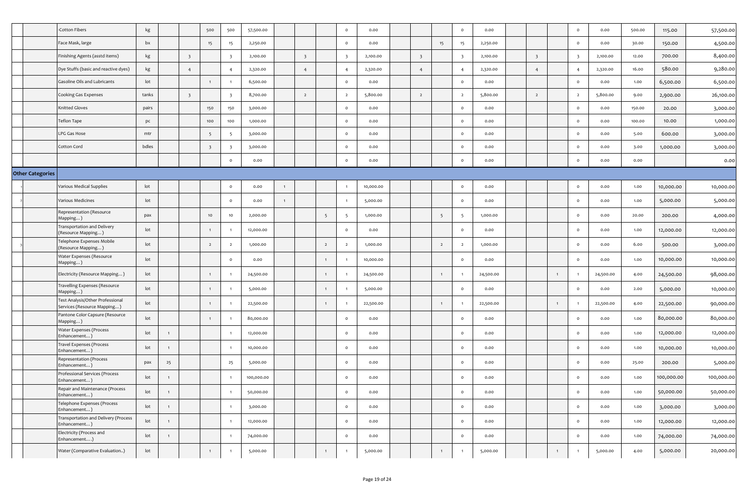|                         | Cotton Fibers                                                   | kg    |                         | 500                     | 500                     | 57,500.00  |              |                         |                | $\circ$                 | 0.00      |                         |                 | $\circ$                  | 0.00      |                         |                | $\circ$                 | 0.00      | 500.00 | 115.00     | 57,500.00  |
|-------------------------|-----------------------------------------------------------------|-------|-------------------------|-------------------------|-------------------------|------------|--------------|-------------------------|----------------|-------------------------|-----------|-------------------------|-----------------|--------------------------|-----------|-------------------------|----------------|-------------------------|-----------|--------|------------|------------|
|                         | Face Mask, large                                                | bx    |                         | 15                      | 15                      | 2,250.00   |              |                         |                | $\circ$                 | 0.00      |                         | 15              | 15                       | 2,250.00  |                         |                | $\circ$                 | 0.00      | 30.00  | 150.00     | 4,500.00   |
|                         | Finishing Agents (asstd items)                                  | kg    | $\overline{\mathbf{3}}$ |                         | $\overline{\mathbf{3}}$ | 2,100.00   |              | $\overline{\mathbf{3}}$ |                | $\overline{\mathbf{3}}$ | 2,100.00  | $\overline{\mathbf{3}}$ |                 | $\overline{\phantom{a}}$ | 2,100.00  | $\overline{\mathbf{3}}$ |                | $\overline{\mathbf{3}}$ | 2,100.00  | 12.00  | 700.00     | 8,400.00   |
|                         | Dye Stuffs (basic and reactive dyes)                            | kg    | $\overline{4}$          |                         | $\overline{4}$          | 2,320.00   |              | $\overline{4}$          |                | $\overline{4}$          | 2,320.00  | $\overline{4}$          |                 | $\overline{4}$           | 2,320.00  | $\overline{4}$          |                | $\overline{4}$          | 2,320.00  | 16.00  | 580.00     | 9,280.00   |
|                         | Gasoline Oils and Lubricants                                    | lot   |                         | $\mathbf{1}$            |                         | 6,500.00   |              |                         |                | $\circ$                 | 0.00      |                         |                 | $\circ$                  | 0.00      |                         |                | $\circ$                 | 0.00      | 1.00   | 6,500.00   | 6,500.00   |
|                         | Cooking Gas Expenses                                            | tanks | $\overline{\mathbf{3}}$ |                         | $\overline{\mathbf{3}}$ | 8,700.00   |              | $\overline{2}$          |                | $\overline{2}$          | 5,800.00  | $\overline{2}$          |                 | $\overline{2}$           | 5,800.00  | $\overline{2}$          |                | $\overline{2}$          | 5,800.00  | 9.00   | 2,900.00   | 26,100.00  |
|                         | Knitted Gloves                                                  | pairs |                         | 150                     | 150                     | 3,000.00   |              |                         |                | $\circ$                 | 0.00      |                         |                 | $\circ$                  | 0.00      |                         |                | $\circ$                 | 0.00      | 150.00 | 20.00      | 3,000.00   |
|                         | Teflon Tape                                                     | pc    |                         | 100                     | 100                     | 1,000.00   |              |                         |                | $\circ$                 | 0.00      |                         |                 | $\mathbf{o}$             | 0.00      |                         |                | $\circ$                 | 0.00      | 100.00 | 10.00      | 1,000.00   |
|                         | LPG Gas Hose                                                    | mtr   |                         | 5                       | -5                      | 3,000.00   |              |                         |                | $\circ$                 | 0.00      |                         |                 | $\circ$                  | 0.00      |                         |                | $\circ$                 | 0.00      | 5.00   | 600.00     | 3,000.00   |
|                         | Cotton Cord                                                     | bdles |                         | $\overline{\mathbf{3}}$ | - 3                     | 3,000.00   |              |                         |                | $\circ$                 | 0.00      |                         |                 | $\circ$                  | 0.00      |                         |                | $\circ$                 | 0.00      | 3.00   | 1,000.00   | 3,000.00   |
|                         |                                                                 |       |                         |                         | $\circ$                 | 0.00       |              |                         |                | $\circ$                 | 0.00      |                         |                 | $\circ$                  | 0.00      |                         |                | $\circ$                 | 0.00      | 0.00   |            | 0.00       |
| <b>Other Categories</b> |                                                                 |       |                         |                         |                         |            |              |                         |                |                         |           |                         |                 |                          |           |                         |                |                         |           |        |            |            |
|                         | Various Medical Supplies                                        | lot   |                         |                         | $\circ$                 | 0.00       |              |                         |                |                         | 10,000.00 |                         |                 | $\circ$                  | 0.00      |                         |                | $\circ$                 | 0.00      | 1.00   | 10,000.00  | 10,000.00  |
|                         | Various Medicines                                               | lot   |                         |                         | $\circ$                 | 0.00       | $\mathbf{1}$ |                         |                |                         | 5,000.00  |                         |                 | $\circ$                  | 0.00      |                         |                | $\circ$                 | 0.00      | 1.00   | 5,000.00   | 5,000.00   |
|                         | Representation (Resource<br>Mapping)                            | pax   |                         | 10                      | 10                      | 2,000.00   |              |                         | 5              | -5                      | 1,000.00  |                         | $5\overline{5}$ | - 5                      | 1,000.00  |                         |                | $\circ$                 | 0.00      | 20.00  | 200.00     | 4,000.00   |
|                         | Transportation and Delivery<br>(Resource Mapping )              | lot   |                         | $\mathbf{1}$            |                         | 12,000.00  |              |                         |                | $\circ$                 | 0.00      |                         |                 | $\circ$                  | 0.00      |                         |                | $\circ$                 | 0.00      | 1.00   | 12,000.00  | 12,000.00  |
|                         | Telephone Expenses Mobile<br>(Resource Mapping )                | lot   |                         | $\overline{2}$          | $\overline{2}$          | 1,000.00   |              |                         | $\overline{2}$ | $\overline{2}$          | 1,000.00  |                         | $\overline{2}$  | $\overline{2}$           | 1,000.00  |                         |                | $\circ$                 | 0.00      | 6.00   | 500.00     | 3,000.00   |
|                         | Water Expenses (Resource<br>Mapping)                            | lot   |                         |                         | $\circ$                 | 0.00       |              |                         | $\overline{1}$ |                         | 10,000.00 |                         |                 | $\circ$                  | 0.00      |                         |                | $\circ$                 | 0.00      | 1.00   | 10,000.00  | 10,000.00  |
|                         | Electricity (Resource Mapping)                                  | lot   |                         | $\mathbf{1}$            |                         | 24,500.00  |              |                         | $\overline{1}$ |                         | 24,500.00 |                         | $\overline{1}$  |                          | 24,500.00 |                         | $\overline{1}$ |                         | 24,500.00 | 4.00   | 24,500.00  | 98,000.00  |
|                         | Travelling Expenses (Resource<br>Mapping`                       | lot   |                         | $\mathbf{1}$            |                         | 5,000.00   |              |                         | $\overline{1}$ |                         | 5,000.00  |                         |                 | $\circ$                  | 0.00      |                         |                | $\circ$                 | 0.00      | 2.00   | 5,000.00   | 10,000.00  |
|                         | Test Analysis/Other Professional<br>Services (Resource Mapping) | lot   |                         | $\overline{1}$          |                         | 22,500.00  |              |                         | $\overline{1}$ |                         | 22,500.00 |                         | $\overline{1}$  |                          | 22,500.00 |                         | $\overline{1}$ |                         | 22,500.00 | 4.00   | 22,500.00  | 90,000.00  |
|                         | Pantone Color Capsure (Resource<br>Mapping )                    | lot   |                         | $\overline{1}$          |                         | 80,000.00  |              |                         |                | $\circ$                 | 0.00      |                         |                 | $\circ$                  | 0.00      |                         |                | $\circ$                 | 0.00      | 1.00   | 80,000.00  | 80,000.00  |
|                         | Water Expenses (Process<br>Enhancement                          | lot   |                         |                         | $\overline{1}$          | 12,000.00  |              |                         |                | $\circ$                 | 0.00      |                         |                 | $\circ$                  | 0.00      |                         |                | $\circ$                 | 0.00      | 1.00   | 12,000.00  | 12,000.00  |
|                         | Travel Expenses (Process<br>Enhancement)                        | lot   | $\mathbf{1}$            |                         |                         | 10,000.00  |              |                         |                | $\circ$                 | 0.00      |                         |                 | $\circ$                  | 0.00      |                         |                | $\circ$                 | 0.00      | 1.00   | 10,000.00  | 10,000.00  |
|                         | Representation (Process<br>Enhancement                          | pax   | 25                      |                         | 25                      | 5,000.00   |              |                         |                | $\circ$                 | 0.00      |                         |                 | $\circ$                  | 0.00      |                         |                | $\circ$                 | 0.00      | 25.00  | 200.00     | 5,000.00   |
|                         | Professional Services (Process<br>Enhancement)                  | lot   |                         |                         |                         | 100,000.00 |              |                         |                | $\circ$                 | 0.00      |                         |                 | $\circ$                  | 0.00      |                         |                | $\circ$                 | 0.00      | 1.00   | 100,000.00 | 100,000.00 |
|                         | Repair and Maintenance (Process<br>Enhancement)                 | lot   | $\overline{1}$          |                         | $\overline{1}$          | 50,000.00  |              |                         |                | $\circ$                 | 0.00      |                         |                 | $\mathbf{o}$             | 0.00      |                         |                | $\circ$                 | 0.00      | 1.00   | 50,000.00  | 50,000.00  |
|                         | Telephone Expenses (Process<br>Enhancement)                     | lot   | $\overline{1}$          |                         | $\overline{1}$          | 3,000.00   |              |                         |                | $\circ$                 | 0.00      |                         |                 | $\circ$                  | 0.00      |                         |                | $\circ$                 | 0.00      | 1.00   | 3,000.00   | 3,000.00   |
|                         | Transportation and Delivery (Process<br>Enhancement)            | lot   | $\overline{1}$          |                         | $\overline{1}$          | 12,000.00  |              |                         |                | $\circ$                 | 0.00      |                         |                 | $\mathbf{o}$             | 0.00      |                         |                | $\circ$                 | 0.00      | 1.00   | 12,000.00  | 12,000.00  |
|                         | Electricity (Process and<br>Enhancement)                        | lot   | $\mathbf{1}$            |                         | $\overline{1}$          | 74,000.00  |              |                         |                | $\circ$                 | 0.00      |                         |                 | $\mathbf{o}$             | 0.00      |                         |                | $\circ$                 | 0.00      | 1.00   | 74,000.00  | 74,000.00  |
|                         | Water (Comparative Evaluation)                                  | lot   |                         | $\mathbf{1}$            | $\overline{1}$          | 5,000.00   |              |                         | $\overline{1}$ |                         | 5,000.00  |                         | $\overline{1}$  |                          | 5,000.00  |                         | $\overline{1}$ |                         | 5,000.00  | 4.00   | 5,000.00   | 20,000.00  |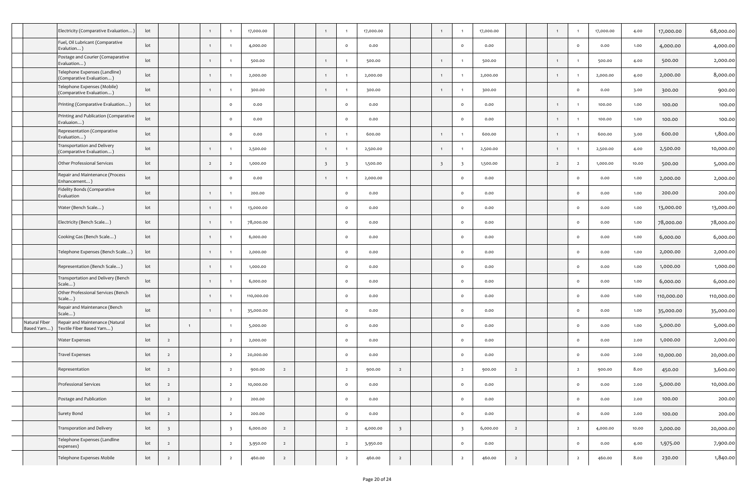|                             | Electricity (Comparative Evaluation                         | lot             |                         |                |                |                         | 17,000.00  |                |                         |                         | 17,000.00 |                         | $\overline{1}$          |                         | 17,000.00 |                |                |                | 17,000.00 | 4.00  | 17,000.00  | 68,000.00  |
|-----------------------------|-------------------------------------------------------------|-----------------|-------------------------|----------------|----------------|-------------------------|------------|----------------|-------------------------|-------------------------|-----------|-------------------------|-------------------------|-------------------------|-----------|----------------|----------------|----------------|-----------|-------|------------|------------|
|                             | Fuel, Oil Lubricant (Comparative<br>Evalution)              | lot             |                         |                | $\overline{1}$ |                         | 4,000.00   |                |                         | $\circ$                 | 0.00      |                         |                         | $\circ$                 | 0.00      |                |                | $\circ$        | 0.00      | 1.00  | 4,000.00   | 4,000.00   |
|                             | Postage and Courier (Comaparative<br>Evaluation)            | lot             |                         |                | $\overline{1}$ |                         | 500.00     |                | $\mathbf{1}$            |                         | 500.00    |                         | $\overline{1}$          |                         | 500.00    |                | $\overline{1}$ | -1             | 500.00    | 4.00  | 500.00     | 2,000.00   |
|                             | Telephone Expenses (Landline)<br>Comparative Evaluation)    | lot             |                         |                | -1             |                         | 2,000.00   |                | $\overline{1}$          |                         | 2,000.00  |                         | $\overline{1}$          |                         | 2,000.00  |                |                |                | 2,000.00  | 4.00  | 2,000.00   | 8,000.00   |
|                             | Telephone Expenses (Mobile)<br>(Comparative Evaluation)     | lot             |                         |                | $\overline{1}$ |                         | 300.00     |                | $\overline{1}$          |                         | 300.00    |                         | $\mathbf{1}$            |                         | 300.00    |                |                | $\circ$        | 0.00      | 3.00  | 300.00     | 900.00     |
|                             | Printing (Comparative Evaluation)                           | lot             |                         |                |                | $\circ$                 | 0.00       |                |                         | $\circ$                 | 0.00      |                         |                         | $\circ$                 | 0.00      |                |                |                | 100.00    | 1.00  | 100.00     | 100.00     |
|                             | Printing and Publication (Comparative<br>Evaluaion)         | lot             |                         |                |                | $\circ$                 | 0.00       |                |                         | $\circ$                 | 0.00      |                         |                         | $\circ$                 | 0.00      |                | $\overline{1}$ | $\mathbf{1}$   | 100.00    | 1.00  | 100.00     | 100.00     |
|                             | Representation (Comparative<br>Evaluation)                  | lot             |                         |                |                | $\circ$                 | 0.00       |                |                         |                         | 600.00    |                         | $\overline{1}$          |                         | 600.00    |                | $\overline{1}$ |                | 600.00    | 3.00  | 600.00     | 1,800.00   |
|                             | Transportation and Delivery<br>(Comparative Evaluation      | lot             |                         |                | $\mathbf{1}$   |                         | 2,500.00   |                |                         |                         | 2,500.00  |                         | $\overline{1}$          |                         | 2,500.00  |                | $\overline{1}$ | $\overline{1}$ | 2,500.00  | 4.00  | 2,500.00   | 10,000.00  |
|                             | Other Professional Services                                 | lot             |                         |                | $\overline{2}$ | $\overline{2}$          | 1,000.00   |                | $\overline{\mathbf{3}}$ | $\overline{\mathbf{3}}$ | 1,500.00  |                         | $\overline{\mathbf{3}}$ | $\overline{\mathbf{3}}$ | 1,500.00  |                | $\overline{2}$ | $\overline{2}$ | 1,000.00  | 10.00 | 500.00     | 5,000.00   |
|                             | Repair and Maintenance (Process<br>Enhancement)             | lot             |                         |                |                | $\circ$                 | 0.00       |                |                         |                         | 2,000.00  |                         |                         | $\circ$                 | 0.00      |                |                | $\mathsf{o}$   | 0.00      | 1.00  | 2,000.00   | 2,000.00   |
|                             | Fidelity Bonds (Comparative<br>Evaluation                   | lot             |                         |                |                |                         | 200.00     |                |                         | $\circ$                 | 0.00      |                         |                         | $\circ$                 | 0.00      |                |                | $\circ$        | 0.00      | 1.00  | 200.00     | 200.00     |
|                             | Water (Bench Scale)                                         | lot             |                         |                | $\overline{1}$ |                         | 13,000.00  |                |                         | $\circ$                 | 0.00      |                         |                         | $\circ$                 | 0.00      |                |                | $\circ$        | 0.00      | 1.00  | 13,000.00  | 13,000.00  |
|                             | Electricity (Bench Scale)                                   | lot             |                         |                | $\overline{1}$ |                         | 78,000.00  |                |                         | $\circ$                 | 0.00      |                         |                         | $\circ$                 | 0.00      |                |                | $\circ$        | 0.00      | 1.00  | 78,000.00  | 78,000.00  |
|                             | Cooking Gas (Bench Scale)                                   | lot             |                         |                | $\overline{1}$ |                         | 6,000.00   |                |                         | $\circ$                 | 0.00      |                         |                         | $\circ$                 | 0.00      |                |                | $\circ$        | 0.00      | 1.00  | 6,000.00   | 6,000.00   |
|                             | Telephone Expenses (Bench Scale )                           | lot             |                         |                | $\overline{1}$ |                         | 2,000.00   |                |                         | $\circ$                 | 0.00      |                         |                         | $\circ$                 | 0.00      |                |                | $\circ$        | 0.00      | 1.00  | 2,000.00   | 2,000.00   |
|                             | Representation (Bench Scale)                                | lot             |                         |                | $\mathbf{1}$   |                         | 1,000.00   |                |                         | $\circ$                 | 0.00      |                         |                         | $\circ$                 | 0.00      |                |                | $\circ$        | 0.00      | 1.00  | 1,000.00   | 1,000.00   |
|                             | Transportation and Delivery (Bench<br>Scale)                | lot             |                         |                | $\mathbf{1}$   |                         | 6,000.00   |                |                         | $\circ$                 | 0.00      |                         |                         | $\circ$                 | 0.00      |                |                | $\circ$        | 0.00      | 1.00  | 6,000.00   | 6,000.00   |
|                             | Other Professional Services (Bench<br>Scale)                | lot             |                         |                | $\overline{1}$ |                         | 110,000.00 |                |                         | $\circ$                 | 0.00      |                         |                         | $\circ$                 | 0.00      |                |                | $\circ$        | 0.00      | 1.00  | 110,000.00 | 110,000.00 |
|                             | Repair and Maintenance (Bench<br>Scale)                     | lot             |                         |                | $\overline{1}$ |                         | 35,000.00  |                |                         | $\circ$                 | 0.00      |                         |                         | $\circ$                 | 0.00      |                |                | $\circ$        | 0.00      | 1.00  | 35,000.00  | 35,000.00  |
| Natural Fiber<br>Based Yarn | Repair and Maintenance (Natural<br>Textile Fiber Based Yarn | lot             |                         | $\overline{1}$ |                |                         | 5,000.00   |                |                         | $\circ$                 | 0.00      |                         |                         | $\circ$                 | 0.00      |                |                | $\circ$        | 0.00      | 1.00  | 5,000.00   | 5,000.00   |
|                             | <b>Water Expenses</b>                                       | lot             | $\overline{2}$          |                |                | $\overline{2}$          | 2,000.00   |                |                         | $\circ$                 | 0.00      |                         |                         | $\circ$                 | 0.00      |                |                | $\circ$        | 0.00      | 2.00  | 1,000.00   | 2,000.00   |
|                             | <b>Travel Expenses</b>                                      | lot             | $\overline{2}$          |                |                | $\overline{2}$          | 20,000.00  |                |                         | $\circ$                 | 0.00      |                         |                         | $\circ$                 | 0.00      |                |                | $\circ$        | 0.00      | 2.00  | 10,000.00  | 20,000.00  |
|                             | Representation                                              | lot             | $\overline{2}$          |                |                | $\overline{2}$          | 900.00     | $\overline{2}$ |                         | $\overline{2}$          | 900.00    | $\overline{2}$          |                         | $\overline{2}$          | 900.00    | $\overline{2}$ |                | $\overline{2}$ | 900.00    | 8.00  | 450.00     | 3,600.00   |
|                             | Professional Services                                       | $_{\text{lot}}$ | $\overline{2}$          |                |                | $\epsilon$              | 10,000.00  |                |                         |                         | 0.00      |                         |                         |                         | 0.00      |                |                |                | 0.00      | 2.00  | 5,000.00   | 10,000.00  |
|                             | Postage and Publication                                     | lot             | $\overline{2}$          |                |                | $\overline{2}$          | 200.00     |                |                         | $\circ$                 | 0.00      |                         |                         | $\circ$                 | 0.00      |                |                | $\circ$        | 0.00      | 2.00  | 100.00     | 200.00     |
|                             | Surety Bond                                                 | lot             | $\overline{2}$          |                |                | $\overline{2}$          | 200.00     |                |                         | $\circ$                 | 0.00      |                         |                         | $\circ$                 | 0.00      |                |                | $\circ$        | 0.00      | 2.00  | 100.00     | 200.00     |
|                             | Transporation and Delivery                                  | lot             | $\overline{\mathbf{3}}$ |                |                | $\overline{\mathbf{3}}$ | 6,000.00   | $\overline{2}$ |                         | $\overline{2}$          | 4,000.00  | $\overline{\mathbf{3}}$ |                         | $\overline{\mathbf{3}}$ | 6,000.00  | $\overline{2}$ |                | $\overline{2}$ | 4,000.00  | 10.00 | 2,000.00   | 20,000.00  |
|                             | Telephone Expenses (Landline<br>expenses)                   | lot             | $\overline{2}$          |                |                | $\overline{2}$          | 3,950.00   | $\overline{2}$ |                         | $\overline{2}$          | 3,950.00  |                         |                         | $\circ$                 | 0.00      |                |                | $\circ$        | 0.00      | 4.00  | 1,975.00   | 7,900.00   |
|                             | Telephone Expenses Mobile                                   | $_{\text{lot}}$ | $\overline{2}$          |                |                | $\overline{2}$          | 460.00     | $\overline{2}$ |                         | $\overline{2}$          | 460.00    | $\overline{2}$          |                         | $\overline{2}$          | 460.00    | $\overline{2}$ |                | $\overline{2}$ | 460.00    | 8.00  | 230.00     | 1,840.00   |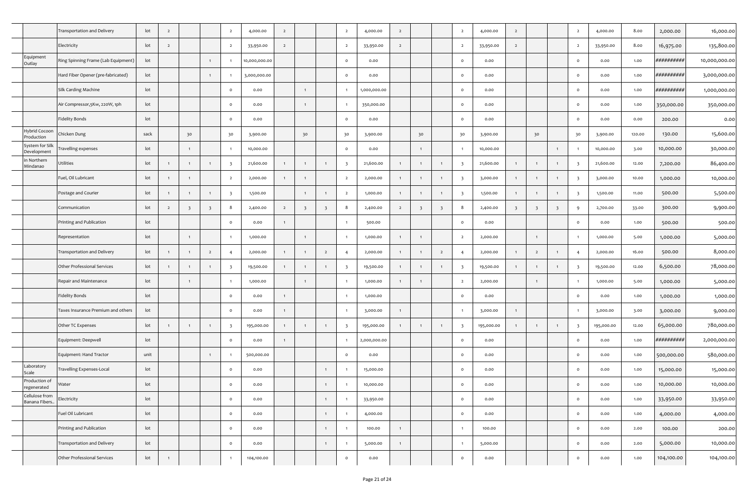|                                  | Transportation and Delivery         | lot             | $\overline{2}$ |                |                | $\overline{2}$          | 4,000.00      | $\overline{2}$ |                         |                | $\overline{2}$          | 4,000.00     | $\overline{2}$ |                         |                | $\overline{2}$          | 4,000.00   | $\overline{2}$          |                         |                         | $\overline{2}$          | 4,000.00   | 8.00   | 2,000.00   | 16,000.00     |
|----------------------------------|-------------------------------------|-----------------|----------------|----------------|----------------|-------------------------|---------------|----------------|-------------------------|----------------|-------------------------|--------------|----------------|-------------------------|----------------|-------------------------|------------|-------------------------|-------------------------|-------------------------|-------------------------|------------|--------|------------|---------------|
|                                  | Electricity                         | lot             | $\overline{2}$ |                |                | $\overline{2}$          | 33,950.00     | $\overline{2}$ |                         |                | $\overline{2}$          | 33,950.00    | $\overline{2}$ |                         |                | $\overline{2}$          | 33,950.00  | $\overline{2}$          |                         |                         | $\overline{2}$          | 33,950.00  | 8.00   | 16,975.00  | 135,800.00    |
| Equipment<br>Outlay              | Ring Spinning Frame (Lab Equipment) | lot             |                |                |                |                         | 10,000,000.00 |                |                         |                | $\circ$                 | 0.00         |                |                         |                | $\circ$                 | 0.00       |                         |                         |                         | $\circ$                 | 0.00       | 1.00   | ########## | 10,000,000.00 |
|                                  | Hard Fiber Opener (pre-fabricated)  | lot             |                |                |                |                         | 3,000,000.00  |                |                         |                | $\circ$                 | 0.00         |                |                         |                | $\circ$                 | 0.00       |                         |                         |                         | $\circ$                 | 0.00       | 1.00   | ########## | 3,000,000.00  |
|                                  | Silk Carding Machine                | lot             |                |                |                | $\circ$                 | 0.00          |                | $\overline{1}$          |                | $\overline{1}$          | 1,000,000.00 |                |                         |                | $\circ$                 | 0.00       |                         |                         |                         | $\circ$                 | 0.00       | 1.00   | ########## | 1,000,000.00  |
|                                  | Air Compressor, 5Kw, 220W, 1ph      | lot             |                |                |                | $\circ$                 | 0.00          |                | $\overline{1}$          |                |                         | 350,000.00   |                |                         |                | $\circ$                 | 0.00       |                         |                         |                         | $\circ$                 | 0.00       | 1.00   | 350,000.00 | 350,000.00    |
|                                  | Fidelity Bonds                      | lot             |                |                |                | $\circ$                 | 0.00          |                |                         |                | $\circ$                 | 0.00         |                |                         |                | $\circ$                 | 0.00       |                         |                         |                         | $\circ$                 | 0.00       | 0.00   | 200.00     | 0.00          |
| Hybrid Cocoon<br>roduction       | Chicken Dung                        | sack            |                | 30             |                | 30                      | 3,900.00      |                | 30                      |                | 30                      | 3,900.00     |                | 30                      |                | 30                      | 3,900.00   |                         | 30                      |                         | 30                      | 3,900.00   | 120.00 | 130.00     | 15,600.00     |
| System for Sill<br>Development   | Travelling expenses                 | lot             |                |                |                | $\overline{1}$          | 10,000.00     |                |                         |                | $\circ$                 | 0.00         |                | $\overline{1}$          |                | $\overline{1}$          | 10,000.00  |                         |                         | $\overline{1}$          |                         | 10,000.00  | 3.00   | 10,000.00  | 30,000.00     |
| in Northern<br>Mindanao          | Utilities                           | lot             | $\overline{1}$ |                |                | $\overline{\mathbf{3}}$ | 21,600.00     | 1              | $\overline{1}$          |                | $\overline{\mathbf{3}}$ | 21,600.00    | $\mathbf{1}$   | $\overline{1}$          |                | $\overline{\mathbf{3}}$ | 21,600.00  | 1                       | $\mathbf{1}$            | $\overline{1}$          | $\overline{\mathbf{3}}$ | 21,600.00  | 12.00  | 7,200.00   | 86,400.00     |
|                                  | Fuel, Oil Lubricant                 | lot             | $\overline{1}$ |                |                | $\overline{2}$          | 2,000.00      | $\mathbf{1}$   | $\overline{1}$          |                | $\overline{2}$          | 2,000.00     | $\mathbf{1}$   | $\overline{1}$          |                | $\overline{\mathbf{3}}$ | 3,000.00   | 1                       | $\overline{1}$          | $\overline{1}$          | $\overline{\mathbf{3}}$ | 3,000.00   | 10.00  | 1,000.00   | 10,000.00     |
|                                  | Postage and Courier                 | lot             | $\overline{1}$ |                |                | $\overline{\mathbf{3}}$ | 1,500.00      |                | $\overline{1}$          |                | $\overline{2}$          | 1,000.00     | $\mathbf{1}$   | $\overline{1}$          |                | $\overline{\mathbf{3}}$ | 1,500.00   | 1                       | $\overline{1}$          | $\overline{1}$          | $\overline{\mathbf{3}}$ | 1,500.00   | 11.00  | 500.00     | 5,500.00      |
|                                  | Communication                       | lot             | $\overline{2}$ | 3              | -3             | 8                       | 2,400.00      | $\overline{2}$ | $\overline{\mathbf{3}}$ | 3              | 8                       | 2,400.00     | $\overline{2}$ | $\overline{\mathbf{3}}$ | 3              | 8                       | 2,400.00   | $\overline{\mathbf{3}}$ | $\overline{\mathbf{3}}$ | $\overline{\mathbf{3}}$ | 9                       | 2,700.00   | 33.00  | 300.00     | 9,900.00      |
|                                  | Printing and Publication            | lot             |                |                |                | $\mathsf{o}$            | 0.00          | 1              |                         |                |                         | 500.00       |                |                         |                | $\circ$                 | 0.00       |                         |                         |                         | $\circ$                 | 0.00       | 1.00   | 500.00     | 500.00        |
|                                  | Representation                      | lot             |                | $\mathbf{1}$   |                |                         | 1,000.00      |                | $\overline{1}$          |                |                         | 1,000.00     | 1              | $\overline{1}$          |                | $\overline{2}$          | 2,000.00   |                         | $\overline{1}$          |                         |                         | 1,000.00   | 5.00   | 1,000.00   | 5,000.00      |
|                                  | Transportation and Delivery         | lot             | $\overline{1}$ | $\overline{1}$ | $\overline{2}$ | $\overline{4}$          | 2,000.00      | 1              | $\overline{1}$          | $\overline{2}$ | 4                       | 2,000.00     | 1              | $\overline{1}$          | $\overline{2}$ | $\overline{4}$          | 2,000.00   | 1                       | $\overline{2}$          | $\overline{1}$          | $\overline{4}$          | 2,000.00   | 16.00  | 500.00     | 8,000.00      |
|                                  | Other Professional Services         | lot             | $\overline{1}$ | $\overline{1}$ |                | $\overline{\mathbf{3}}$ | 19,500.00     | 1              | $\overline{1}$          |                | $\overline{\mathbf{3}}$ | 19,500.00    | $\mathbf{1}$   | $\overline{1}$          |                | $\overline{\mathbf{3}}$ | 19,500.00  | 1                       | $\overline{1}$          | $\overline{1}$          | $\overline{\mathbf{3}}$ | 19,500.00  | 12.00  | 6,500.00   | 78,000.00     |
|                                  | Repair and Maintenance              | lot             |                | $\overline{1}$ |                |                         | 1,000.00      |                | $\overline{1}$          |                |                         | 1,000.00     | $\mathbf{1}$   | $\overline{1}$          |                | $\overline{2}$          | 2,000.00   |                         | $\mathbf{1}$            |                         |                         | 1,000.00   | 5.00   | 1,000.00   | 5,000.00      |
|                                  | <b>Fidelity Bonds</b>               | lot             |                |                |                | $\mathsf{o}$            | 0.00          | 1              |                         |                |                         | 1,000.00     |                |                         |                | $\circ$                 | 0.00       |                         |                         |                         | $\circ$                 | 0.00       | 1.00   | 1,000.00   | 1,000.00      |
|                                  | Taxes Insurance Premium and others  | lot             |                |                |                | $\circ$                 | 0.00          | 1              |                         |                |                         | 3,000.00     | 1              |                         |                |                         | 3,000.00   | 1                       |                         |                         |                         | 3,000.00   | 3.00   | 3,000.00   | 9,000.00      |
|                                  | Other TC Expenses                   | lot             | $\overline{1}$ |                |                | $\overline{\mathbf{3}}$ | 195,000.00    | 1              | $\overline{1}$          |                | $\overline{\mathbf{3}}$ | 195,000.00   | $\mathbf{1}$   | $\overline{1}$          |                | $\overline{\mathbf{3}}$ | 195,000.00 | 1                       | $\overline{1}$          | $\overline{1}$          | $\overline{\mathbf{3}}$ | 195,000.00 | 12.00  | 65,000.00  | 780,000.00    |
|                                  | Equipment: Deepwell                 | lot             |                |                |                | $\circ$                 | 0.00          | 1              |                         |                |                         | 2,000,000.00 |                |                         |                | $\circ$                 | 0.00       |                         |                         |                         | $\circ$                 | 0.00       | 1.00   | ########## | 2,000,000.00  |
|                                  | Equipment: Hand Tractor             | unit            |                |                |                |                         | 500,000.00    |                |                         |                | $\circ$                 | 0.00         |                |                         |                | $\circ$                 | 0.00       |                         |                         |                         | $\circ$                 | 0.00       | 1.00   | 500,000.00 | 580,000.00    |
| Laboratory<br>Scale              | Travelling Expenses-Local           | lot             |                |                |                | $\circ$                 | 0.00          |                |                         |                |                         | 15,000.00    |                |                         |                | $\circ$                 | 0.00       |                         |                         |                         | $\circ$                 | 0.00       | 1.00   | 15,000.00  | 15,000.00     |
| Production of<br>regenerated     | Water                               | $_{\text{lot}}$ |                |                |                |                         | 0.00          |                |                         |                |                         | 10,000.00    |                |                         |                |                         | 0.00       |                         |                         |                         |                         | 0.00       | 1.00   | 10,000.00  | 10,000.00     |
| Cellulose from<br>Banana Fibers. | Electricity                         | lot             |                |                |                | $\circ$                 | 0.00          |                |                         | $\overline{1}$ |                         | 33,950.00    |                |                         |                | $\circ$                 | 0.00       |                         |                         |                         | $\circ$                 | 0.00       | 1.00   | 33,950.00  | 33,950.00     |
|                                  | Fuel Oil Lubricant                  | lot             |                |                |                | $\circ$                 | 0.00          |                |                         | $\overline{1}$ | $\overline{1}$          | 4,000.00     |                |                         |                | $\circ$                 | 0.00       |                         |                         |                         | $\circ$                 | 0.00       | 1.00   | 4,000.00   | 4,000.00      |
|                                  | Printing and Publication            | lot             |                |                |                | $\circ$                 | 0.00          |                |                         | $\overline{1}$ |                         | 100.00       | 1              |                         |                |                         | 100.00     |                         |                         |                         | $\circ$                 | 0.00       | 2.00   | 100.00     | 200.00        |
|                                  | Transportation and Delivery         | lot             |                |                |                | $\circ$                 | 0.00          |                |                         | $\overline{1}$ |                         | 5,000.00     | 1              |                         |                |                         | 5,000.00   |                         |                         |                         | $\circ$                 | 0.00       | 2.00   | 5,000.00   | 10,000.00     |
|                                  | Other Professional Services         | lot             | $\overline{1}$ |                |                | $\mathbf{1}$            | 104,100.00    |                |                         |                | $\circ$                 | 0.00         |                |                         |                | $\circ$                 | 0.00       |                         |                         |                         | $\circ$                 | 0.00       | 1.00   | 104,100.00 | 104,100.00    |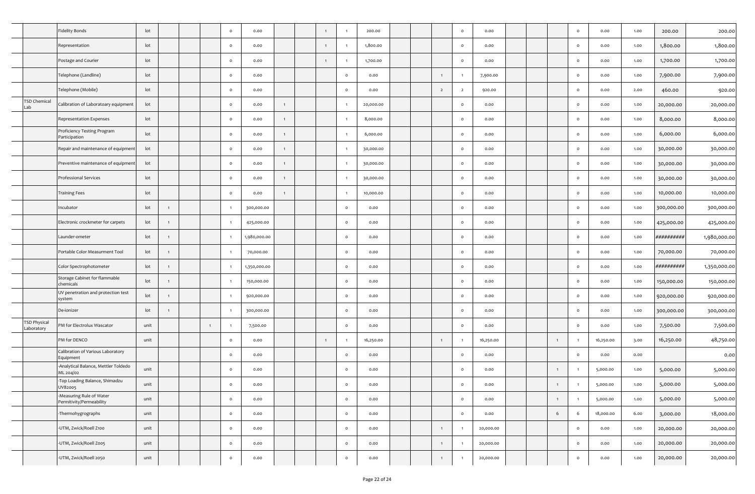|                            | Fidelity Bonds                                      | lot  |                |  | $\circ$        | 0.00         |                |                |                     | 200.00    |  |                | $\circ$        | 0.00      |  |                | $\circ$ | 0.00      | 1.00 | 200.00     | 200.00       |
|----------------------------|-----------------------------------------------------|------|----------------|--|----------------|--------------|----------------|----------------|---------------------|-----------|--|----------------|----------------|-----------|--|----------------|---------|-----------|------|------------|--------------|
|                            | Representation                                      | lot  |                |  | $\circ$        | 0.00         |                | $\mathbf{1}$   |                     | 1,800.00  |  |                | $\circ$        | 0.00      |  |                | $\circ$ | 0.00      | 1.00 | 1,800.00   | 1,800.00     |
|                            | Postage and Courier                                 | lot  |                |  | $\circ$        | 0.00         |                | $\overline{1}$ |                     | 1,700.00  |  |                | $\circ$        | 0.00      |  |                | $\circ$ | 0.00      | 1.00 | 1,700.00   | 1,700.00     |
|                            | Telephone (Landline)                                | lot  |                |  | $\circ$        | 0.00         |                |                | $\mathsf{o}$        | 0.00      |  | $\mathbf{1}$   |                | 7,900.00  |  |                | $\circ$ | 0.00      | 1.00 | 7,900.00   | 7,900.00     |
|                            | Telephone (Mobile)                                  | lot  |                |  | $\circ$        | 0.00         |                |                | $\circ$             | 0.00      |  | $\overline{2}$ | $\overline{2}$ | 920.00    |  |                | $\circ$ | 0.00      | 2.00 | 460.00     | 920.00       |
| <b>TSD Chemical</b><br>Lab | Calibration of Laboratoary equipment                | lot  |                |  | $\circ$        | 0.00         | $\overline{1}$ |                |                     | 20,000.00 |  |                | $\circ$        | 0.00      |  |                | $\circ$ | 0.00      | 1.00 | 20,000.00  | 20,000.00    |
|                            | Representation Expenses                             | lot  |                |  | $\circ$        | 0.00         | $\overline{1}$ |                |                     | 8,000.00  |  |                | $\circ$        | 0.00      |  |                | $\circ$ | 0.00      | 1.00 | 8,000.00   | 8,000.00     |
|                            | Proficiency Testing Program<br>Participation        | lot  |                |  | $\circ$        | 0.00         | $\overline{1}$ |                |                     | 6,000.00  |  |                | $\circ$        | 0.00      |  |                | $\circ$ | 0.00      | 1.00 | 6,000.00   | 6,000.00     |
|                            | Repair and maintenance of equipment                 | lot  |                |  | $\circ$        | 0.00         | $\overline{1}$ |                |                     | 30,000.00 |  |                | $\circ$        | 0.00      |  |                | $\circ$ | 0.00      | 1.00 | 30,000.00  | 30,000.00    |
|                            | Preventive maintenance of equipment                 | lot  |                |  | $\circ$        | 0.00         | $\overline{1}$ |                |                     | 30,000.00 |  |                | $\circ$        | 0.00      |  |                | $\circ$ | 0.00      | 1.00 | 30,000.00  | 30,000.00    |
|                            | Professional Services                               | lot  |                |  | $\circ$        | 0.00         | $\mathbf{1}$   |                |                     | 30,000.00 |  |                | $\circ$        | 0.00      |  |                | $\circ$ | 0.00      | 1.00 | 30,000.00  | 30,000.00    |
|                            | Training Fees                                       | lot  |                |  | $\circ$        | 0.00         | $\overline{1}$ |                |                     | 10,000.00 |  |                | $\circ$        | 0.00      |  |                | $\circ$ | 0.00      | 1.00 | 10,000.00  | 10,000.00    |
|                            | Incubator                                           | lot  | $\overline{1}$ |  | $\overline{1}$ | 300,000.00   |                |                | $\mathsf{o}\,$      | 0.00      |  |                | $\circ$        | 0.00      |  |                | $\circ$ | 0.00      | 1.00 | 300,000.00 | 300,000.00   |
|                            | Electronic crockmeter for carpets                   | lot  | $\overline{1}$ |  |                | 425,000.00   |                |                | $\circ$             | 0.00      |  |                | $\circ$        | 0.00      |  |                | $\circ$ | 0.00      | 1.00 | 425,000.00 | 425,000.00   |
|                            | Launder-ometer                                      | lot  | $\overline{1}$ |  |                | 1,980,000.00 |                |                | $\circ$             | 0.00      |  |                | $\circ$        | 0.00      |  |                | $\circ$ | 0.00      | 1.00 | ########## | 1,980,000.00 |
|                            | Portable Color Measurment Tool                      | lot  | $\overline{1}$ |  |                | 70,000.00    |                |                | $\mathsf{o}$        | 0.00      |  |                | $\circ$        | 0.00      |  |                | $\circ$ | 0.00      | 1.00 | 70,000.00  | 70,000.00    |
|                            | Color Spectrophotometer                             | lot  | $\overline{1}$ |  |                | 1,350,000.00 |                |                | $\mathsf{o}\,$      | 0.00      |  |                | $\circ$        | 0.00      |  |                | $\circ$ | 0.00      | 1.00 | ########## | 1,350,000.00 |
|                            | Storage Cabinet for flammable<br>chemicals          | lot  | $\overline{1}$ |  |                | 150,000.00   |                |                | $\mathsf{o}\,$      | 0.00      |  |                | $\circ$        | 0.00      |  |                | $\circ$ | 0.00      | 1.00 | 150,000.00 | 150,000.00   |
|                            | UV penetration and protection test<br>system        | lot  | $\mathbf{1}$   |  |                | 920,000.00   |                |                | $\mathsf{o}$        | 0.00      |  |                | $\circ$        | 0.00      |  |                | $\circ$ | 0.00      | 1.00 | 920,000.00 | 920,000.00   |
|                            | De-ionizer                                          | lot  | $\overline{1}$ |  |                | 300,000.00   |                |                | $\circ$             | 0.00      |  |                | $\circ$        | 0.00      |  |                | $\circ$ | 0.00      | 1.00 | 300,000.00 | 300,000.00   |
| TSD Physical<br>Laboratory | PM for Electrolux Wascator                          | unit |                |  | -1             | 7,500.00     |                |                | $\circ$             | 0.00      |  |                | $\circ$        | 0.00      |  |                | $\circ$ | 0.00      | 1.00 | 7,500.00   | 7,500.00     |
|                            | PM for DENCO                                        | unit |                |  | $\circ$        | 0.00         |                |                |                     | 16,250.00 |  | $\mathbf{1}$   |                | 16,250.00 |  | $\overline{1}$ |         | 16,250.00 | 3.00 | 16,250.00  | 48,750.00    |
|                            | Calibration of Various Laboratory<br>Equipment      |      |                |  | $\circ$        | 0.00         |                |                | $\circ$             | 0.00      |  |                | $\circ$        | 0.00      |  |                | $\circ$ | 0.00      | 0.00 |            | 0.00         |
|                            | Analytical Balance, Mettler Toldedo<br>ML 204/02    | unit |                |  | $\circ$        | 0.00         |                |                | $\mathsf{o}$        | 0.00      |  |                | $\circ$        | 0.00      |  | $\overline{1}$ |         | 5,000.00  | 1.00 | 5,000.00   | 5,000.00     |
|                            | -Top Loading Balance, Shimadzu<br>UV82005           | unit |                |  | v              | v.vv         |                |                | v                   | 0.00      |  |                |                | 0.00      |  |                |         | 5,000.00  | 1.00 | 5,000.00   | 5,000.00     |
|                            | Measuring Rule of Water<br>Permitivity/Permeability | unit |                |  | $\circ$        | 0.00         |                |                | $\circ$             | 0.00      |  |                | $\circ$        | 0.00      |  | $\overline{1}$ |         | 5,000.00  | 1.00 | 5,000.00   | 5,000.00     |
|                            | Thermohygrographs                                   | unit |                |  | $\circ$        | 0.00         |                |                | $\mathsf{o}\xspace$ | 0.00      |  |                | $\circ$        | 0.00      |  | $6\,$          | 6       | 18,000.00 | 6.00 | 3,000.00   | 18,000.00    |
|                            | -UTM, Zwick/Roell Z100                              | unit |                |  | $\circ$        | 0.00         |                |                | $\circ$             | 0.00      |  | 1              |                | 20,000.00 |  |                | $\circ$ | 0.00      | 1.00 | 20,000.00  | 20,000.00    |
|                            | -UTM, Zwick/Roell Zoo5                              | unit |                |  | $\circ$        | 0.00         |                |                | $\mathsf{o}\xspace$ | 0.00      |  | $\mathbf{1}$   |                | 20,000.00 |  |                | $\circ$ | 0.00      | 1.00 | 20,000.00  | 20,000.00    |
|                            | -UTM, Zwick/Roell 2050                              | unit |                |  | $\circ$        | 0.00         |                |                | $\mathsf{o}\xspace$ | 0.00      |  | $\mathbf{1}$   |                | 20,000.00 |  |                | $\circ$ | 0.00      | 1.00 | 20,000.00  | 20,000.00    |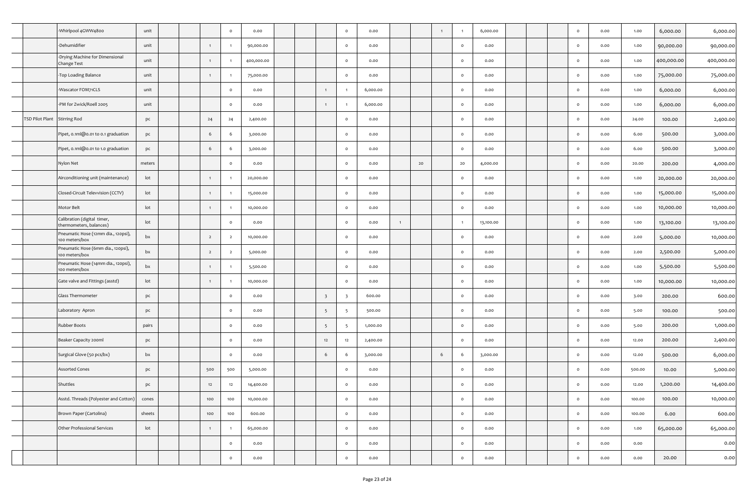|   |                              | Whirlpool 4GWW4800-                                    | unit   |  |                | $\circ$        | 0.00       |  |                         | $\circ$                 | 0.00     |              |    | $\mathbf{1}$ |         | 6,000.00  |  | $\circ$ | 0.00 | 1.00   | 6,000.00   | 6,000.00   |
|---|------------------------------|--------------------------------------------------------|--------|--|----------------|----------------|------------|--|-------------------------|-------------------------|----------|--------------|----|--------------|---------|-----------|--|---------|------|--------|------------|------------|
|   |                              | -Dehumidifier                                          | unit   |  | $\mathbf{1}$   |                | 90,000.00  |  |                         | $\circ$                 | 0.00     |              |    |              | $\circ$ | 0.00      |  | $\circ$ | 0.00 | 1.00   | 90,000.00  | 90,000.00  |
|   |                              | -Drying Machine for Dimensional<br>Change Test         | unit   |  | $\mathbf{1}$   | $\overline{1}$ | 400,000.00 |  |                         | $\circ$                 | 0.00     |              |    |              | $\circ$ | 0.00      |  | $\circ$ | 0.00 | 1.00   | 400,000.00 | 400,000.00 |
|   |                              | Top Loading Balance                                    | unit   |  | $\mathbf{1}$   | -1             | 75,000.00  |  |                         | $\circ$                 | 0.00     |              |    |              | $\circ$ | 0.00      |  | $\circ$ | 0.00 | 1.00   | 75,000.00  | 75,000.00  |
|   |                              | -Wascator FOM71CLS                                     | unit   |  |                | $\circ$        | 0.00       |  | $\overline{1}$          | $\mathbf{1}$            | 6,000.00 |              |    |              | $\circ$ | 0.00      |  | $\circ$ | 0.00 | 1.00   | 6,000.00   | 6,000.00   |
|   |                              | -PM for Zwick/Roell 2005                               | unit   |  |                | $\circ$        | 0.00       |  |                         |                         | 6,000.00 |              |    |              | $\circ$ | 0.00      |  | $\circ$ | 0.00 | 1.00   | 6,000.00   | 6,000.00   |
|   | TSD Pilot Plant Stirring Rod |                                                        | pc     |  | 24             | 24             | 2,400.00   |  |                         | $\circ$                 | 0.00     |              |    |              | $\circ$ | 0.00      |  | $\circ$ | 0.00 | 24.00  | 100.00     | 2,400.00   |
|   |                              | Pipet, 0.1ml@0.01 to 0.1 graduation                    | pc     |  | 6              | 6              | 3,000.00   |  |                         | $\circ$                 | 0.00     |              |    |              | $\circ$ | 0.00      |  | $\circ$ | 0.00 | 6.00   | 500.00     | 3,000.00   |
|   |                              | Pipet, 0.1ml@0.01 to 1.0 graduation                    | pc     |  | 6              | 6              | 3,000.00   |  |                         | $\circ$                 | 0.00     |              |    |              | $\circ$ | 0.00      |  | $\circ$ | 0.00 | 6.00   | 500.00     | 3,000.00   |
|   |                              | Nylon Net                                              | meters |  |                | $\circ$        | 0.00       |  |                         | $\circ$                 | 0.00     |              | 20 |              | 20      | 4,000.00  |  | $\circ$ | 0.00 | 20.00  | 200.00     | 4,000.00   |
|   |                              | Airconditioning unit (maintenance)                     | lot    |  | $\mathbf{1}$   | $\overline{1}$ | 20,000.00  |  |                         | $\circ$                 | 0.00     |              |    |              | $\circ$ | 0.00      |  | $\circ$ | 0.00 | 1.00   | 20,000.00  | 20,000.00  |
|   |                              | Closed-Circuit Televvision (CCTV)                      | lot    |  |                |                | 15,000.00  |  |                         | $\circ$                 | 0.00     |              |    |              | $\circ$ | 0.00      |  | $\circ$ | 0.00 | 1.00   | 15,000.00  | 15,000.00  |
|   |                              | Motor Belt                                             | lot    |  | $\mathbf{1}$   | $\overline{1}$ | 10,000.00  |  |                         | $\circ$                 | 0.00     |              |    |              | $\circ$ | 0.00      |  | $\circ$ | 0.00 | 1.00   | 10,000.00  | 10,000.00  |
|   |                              | Calibration (digital timer,<br>thermometers, balances) | lot    |  |                | $\circ$        | 0.00       |  |                         | $\mathsf{o}\xspace$     | 0.00     | $\mathbf{1}$ |    |              |         | 13,100.00 |  | $\circ$ | 0.00 | 1.00   | 13,100.00  | 13,100.00  |
|   |                              | Pneumatic Hose (12mm dia., 120psi),<br>100 meters/box  | bx     |  | $\overline{2}$ | $\overline{2}$ | 10,000.00  |  |                         | $\mathsf{o}\,$          | 0.00     |              |    |              | $\circ$ | 0.00      |  | $\circ$ | 0.00 | 2.00   | 5,000.00   | 10,000.00  |
|   |                              | Pneumatic Hose (6mm dia., 120psi),<br>100 meters/box   | bx     |  | $\overline{2}$ | $\overline{2}$ | 5,000.00   |  |                         | $\circ$                 | 0.00     |              |    |              | $\circ$ | 0.00      |  | $\circ$ | 0.00 | 2.00   | 2,500.00   | 5,000.00   |
|   |                              | Pneumatic Hose (14mm dia., 120psi),<br>100 meters/box  | bx     |  | $\mathbf{1}$   |                | 5,500.00   |  |                         | $\circ$                 | 0.00     |              |    |              | $\circ$ | 0.00      |  | $\circ$ | 0.00 | 1.00   | 5,500.00   | 5,500.00   |
|   |                              | Gate valve and Fittings (asstd)                        | lot    |  | $\mathbf{1}$   |                | 10,000.00  |  |                         | $\circ$                 | 0.00     |              |    |              | $\circ$ | 0.00      |  | $\circ$ | 0.00 | 1.00   | 10,000.00  | 10,000.00  |
|   |                              | Glass Thermometer                                      | pc     |  |                | $\circ$        | 0.00       |  | $\overline{\mathbf{3}}$ | $\overline{\mathbf{3}}$ | 600.00   |              |    |              | $\circ$ | 0.00      |  | $\circ$ | 0.00 | 3.00   | 200.00     | 600.00     |
|   |                              | Laboratory Apron                                       | pc     |  |                | $\circ$        | 0.00       |  | $5\overline{5}$         | -5                      | 500.00   |              |    |              | $\circ$ | 0.00      |  | $\circ$ | 0.00 | 5.00   | 100.00     | 500.00     |
|   |                              | Rubber Boots                                           | pairs  |  |                | $\circ$        | 0.00       |  | $5\overline{5}$         | -5                      | 1,000.00 |              |    |              | $\circ$ | 0.00      |  | $\circ$ | 0.00 | 5.00   | 200.00     | 1,000.00   |
|   |                              | Beaker Capacity 200ml                                  | pc     |  |                | $\circ$        | 0.00       |  | 12                      | 12                      | 2,400.00 |              |    |              | $\circ$ | 0.00      |  | $\circ$ | 0.00 | 12.00  | 200.00     | 2,400.00   |
|   |                              | Surgical Glove (50 pcs/bx)                             | bx     |  |                | $\circ$        | 0.00       |  | 6                       | 6                       | 3,000.00 |              |    | 6            | 6       | 3,000.00  |  | $\circ$ | 0.00 | 12.00  | 500.00     | 6,000.00   |
|   |                              | <b>Assorted Cones</b>                                  | pc     |  | 500            | 500            | 5,000.00   |  |                         | $\circ$                 | 0.00     |              |    |              | $\circ$ | 0.00      |  | $\circ$ | 0.00 | 500.00 | 10.00      | 5,000.00   |
|   |                              | Shuttles                                               | pc     |  | -12            | 14.            | 14,400.00  |  |                         | U                       | 0.00     |              |    |              |         | v.vv      |  | U       | 0.00 | 12.00  | 1,200.00   | 14,400.00  |
| - |                              | Asstd. Threads (Polyester and Cotton)                  | cones  |  | 100            | 100            | 10,000.00  |  |                         | $\circ$                 | 0.00     |              |    |              | $\circ$ | 0.00      |  | $\circ$ | 0.00 | 100.00 | 100.00     | 10,000.00  |
|   |                              | Brown Paper (Cartolina)                                | sheets |  | 100            | 100            | 600.00     |  |                         | $\circ$                 | 0.00     |              |    |              | $\circ$ | 0.00      |  | $\circ$ | 0.00 | 100.00 | 6.00       | 600.00     |
|   |                              | Other Professional Services                            | lot    |  | $\mathbf{1}$   | $\overline{1}$ | 65,000.00  |  |                         | $\circ$                 | 0.00     |              |    |              | $\circ$ | 0.00      |  | $\circ$ | 0.00 | 1.00   | 65,000.00  | 65,000.00  |
|   |                              |                                                        |        |  |                | $\circ$        | 0.00       |  |                         | $\circ$                 | 0.00     |              |    |              | $\circ$ | 0.00      |  | $\circ$ | 0.00 | 0.00   |            | 0.00       |
|   |                              |                                                        |        |  |                | $\circ$        | 0.00       |  |                         | $\circ$                 | 0.00     |              |    |              | $\circ$ | 0.00      |  | $\circ$ | 0.00 | 0.00   | 20.00      | 0.00       |
|   |                              |                                                        |        |  |                |                |            |  |                         |                         |          |              |    |              |         |           |  |         |      |        |            |            |